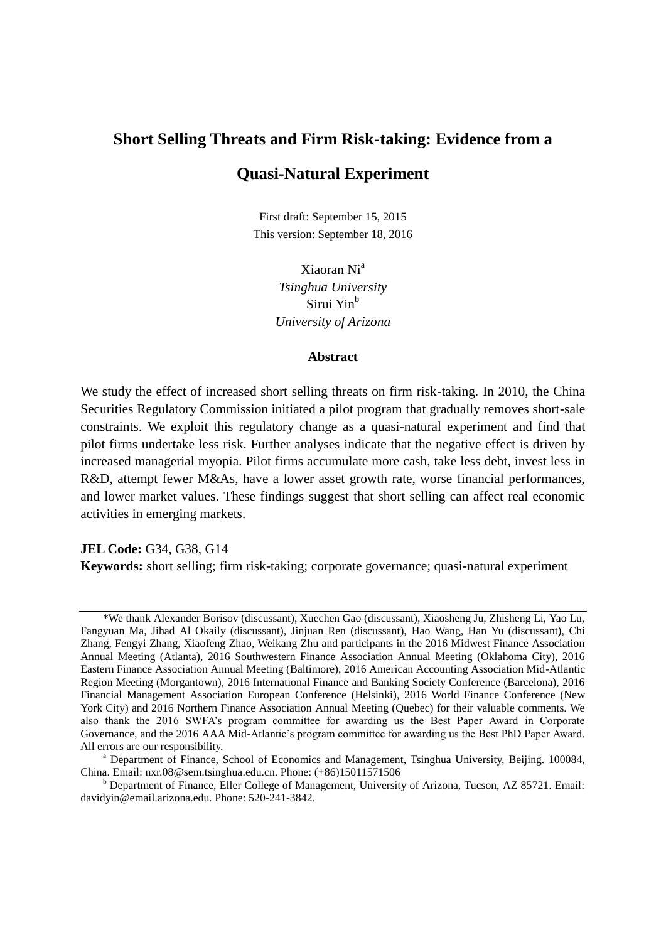# **Short Selling Threats and Firm Risk-taking: Evidence from a Quasi-Natural Experiment**

First draft: September 15, 2015 This version: September 18, 2016

> Xiaoran Ni<sup>a</sup> *Tsinghua University* Sirui Yin<sup>b</sup> *University of Arizona*

#### **Abstract**

We study the effect of increased short selling threats on firm risk-taking. In 2010, the China Securities Regulatory Commission initiated a pilot program that gradually removes short-sale constraints. We exploit this regulatory change as a quasi-natural experiment and find that pilot firms undertake less risk. Further analyses indicate that the negative effect is driven by increased managerial myopia. Pilot firms accumulate more cash, take less debt, invest less in R&D, attempt fewer M&As, have a lower asset growth rate, worse financial performances, and lower market values. These findings suggest that short selling can affect real economic activities in emerging markets.

#### **JEL Code:** G34, G38, G14

**Keywords:** short selling; firm risk-taking; corporate governance; quasi-natural experiment

<sup>\*</sup>We thank Alexander Borisov (discussant), Xuechen Gao (discussant), Xiaosheng Ju, Zhisheng Li, Yao Lu, Fangyuan Ma, Jihad Al Okaily (discussant), Jinjuan Ren (discussant), Hao Wang, Han Yu (discussant), Chi Zhang, Fengyi Zhang, Xiaofeng Zhao, Weikang Zhu and participants in the 2016 Midwest Finance Association Annual Meeting (Atlanta), 2016 Southwestern Finance Association Annual Meeting (Oklahoma City), 2016 Eastern Finance Association Annual Meeting (Baltimore), 2016 American Accounting Association Mid-Atlantic Region Meeting (Morgantown), 2016 International Finance and Banking Society Conference (Barcelona), 2016 Financial Management Association European Conference (Helsinki), 2016 World Finance Conference (New York City) and 2016 Northern Finance Association Annual Meeting (Quebec) for their valuable comments. We also thank the 2016 SWFA's program committee for awarding us the Best Paper Award in Corporate Governance, and the 2016 AAA Mid-Atlantic's program committee for awarding us the Best PhD Paper Award. All errors are our responsibility.

<sup>a</sup> Department of Finance, School of Economics and Management, Tsinghua University, Beijing. 100084, China. Email: nxr.08@sem.tsinghua.edu.cn. Phone: (+86)15011571506

<sup>b</sup> Department of Finance, Eller College of Management, University of Arizona, Tucson, AZ 85721. Email: davidyin@email.arizona.edu. Phone: 520-241-3842.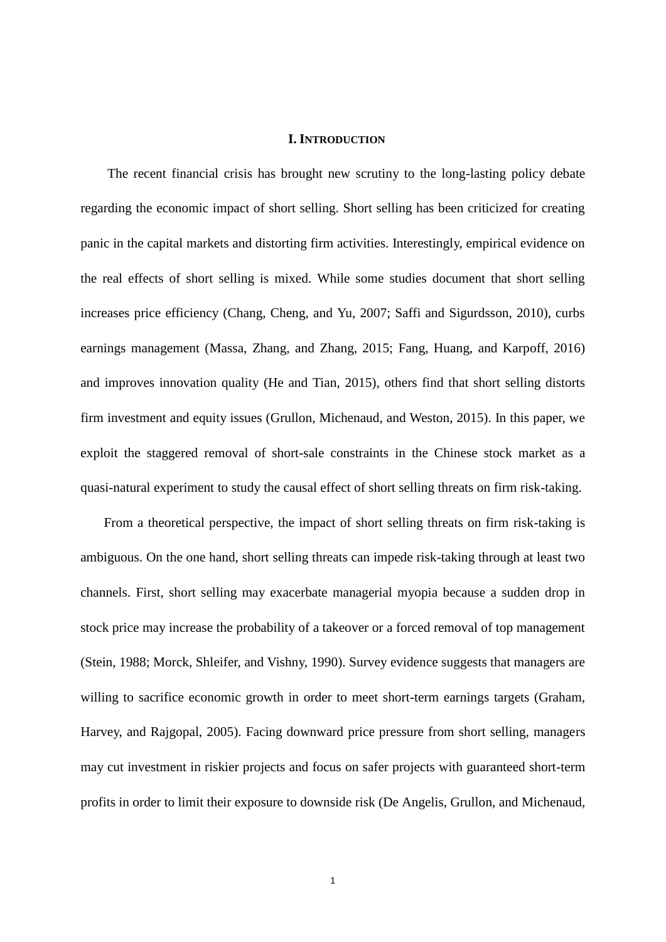#### **I. INTRODUCTION**

The recent financial crisis has brought new scrutiny to the long-lasting policy debate regarding the economic impact of short selling. Short selling has been criticized for creating panic in the capital markets and distorting firm activities. Interestingly, empirical evidence on the real effects of short selling is mixed. While some studies document that short selling increases price efficiency (Chang, Cheng, and Yu, 2007; Saffi and Sigurdsson, 2010), curbs earnings management (Massa, Zhang, and Zhang, 2015; Fang, Huang, and Karpoff, 2016) and improves innovation quality (He and Tian, 2015), others find that short selling distorts firm investment and equity issues (Grullon, Michenaud, and Weston, 2015). In this paper, we exploit the staggered removal of short-sale constraints in the Chinese stock market as a quasi-natural experiment to study the causal effect of short selling threats on firm risk-taking.

From a theoretical perspective, the impact of short selling threats on firm risk-taking is ambiguous. On the one hand, short selling threats can impede risk-taking through at least two channels. First, short selling may exacerbate managerial myopia because a sudden drop in stock price may increase the probability of a takeover or a forced removal of top management (Stein, 1988; Morck, Shleifer, and Vishny, 1990). Survey evidence suggests that managers are willing to sacrifice economic growth in order to meet short-term earnings targets (Graham, Harvey, and Rajgopal, 2005). Facing downward price pressure from short selling, managers may cut investment in riskier projects and focus on safer projects with guaranteed short-term profits in order to limit their exposure to downside risk (De Angelis, Grullon, and Michenaud,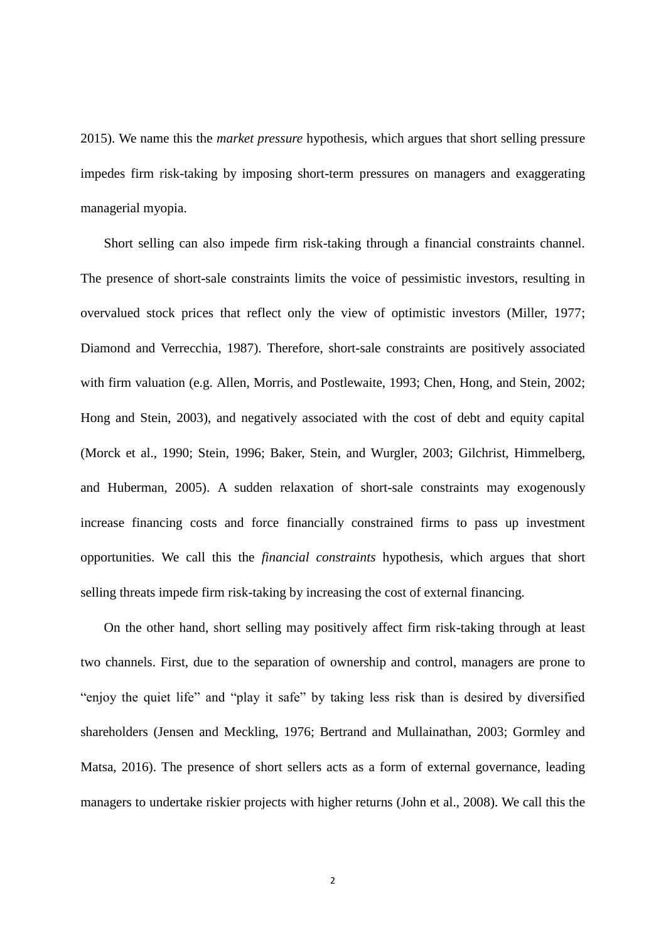2015). We name this the *market pressure* hypothesis, which argues that short selling pressure impedes firm risk-taking by imposing short-term pressures on managers and exaggerating managerial myopia.

Short selling can also impede firm risk-taking through a financial constraints channel. The presence of short-sale constraints limits the voice of pessimistic investors, resulting in overvalued stock prices that reflect only the view of optimistic investors (Miller, 1977; Diamond and Verrecchia, 1987). Therefore, short-sale constraints are positively associated with firm valuation (e.g. Allen, Morris, and Postlewaite, 1993; Chen, Hong, and Stein, 2002; Hong and Stein, 2003), and negatively associated with the cost of debt and equity capital (Morck et al., 1990; Stein, 1996; Baker, Stein, and Wurgler, 2003; Gilchrist, Himmelberg, and Huberman, 2005). A sudden relaxation of short-sale constraints may exogenously increase financing costs and force financially constrained firms to pass up investment opportunities. We call this the *financial constraints* hypothesis, which argues that short selling threats impede firm risk-taking by increasing the cost of external financing.

On the other hand, short selling may positively affect firm risk-taking through at least two channels. First, due to the separation of ownership and control, managers are prone to "enjoy the quiet life" and "play it safe" by taking less risk than is desired by diversified shareholders (Jensen and Meckling, 1976; Bertrand and Mullainathan, 2003; Gormley and Matsa, 2016). The presence of short sellers acts as a form of external governance, leading managers to undertake riskier projects with higher returns (John et al., 2008). We call this the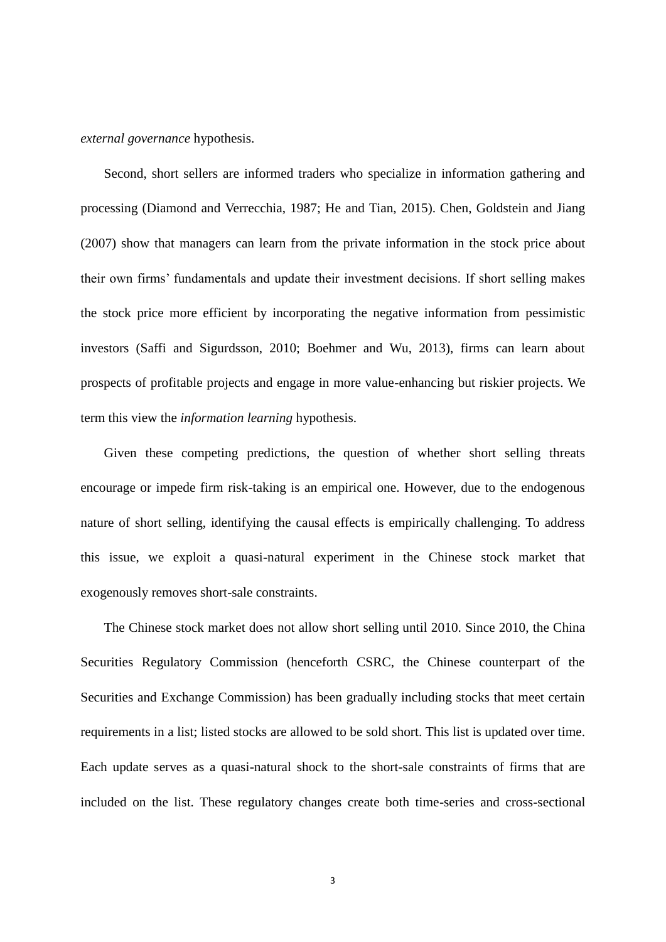*external governance* hypothesis.

Second, short sellers are informed traders who specialize in information gathering and processing (Diamond and Verrecchia, 1987; He and Tian, 2015). Chen, Goldstein and Jiang (2007) show that managers can learn from the private information in the stock price about their own firms' fundamentals and update their investment decisions. If short selling makes the stock price more efficient by incorporating the negative information from pessimistic investors (Saffi and Sigurdsson, 2010; Boehmer and Wu, 2013), firms can learn about prospects of profitable projects and engage in more value-enhancing but riskier projects. We term this view the *information learning* hypothesis.

Given these competing predictions, the question of whether short selling threats encourage or impede firm risk-taking is an empirical one. However, due to the endogenous nature of short selling, identifying the causal effects is empirically challenging. To address this issue, we exploit a quasi-natural experiment in the Chinese stock market that exogenously removes short-sale constraints.

The Chinese stock market does not allow short selling until 2010. Since 2010, the China Securities Regulatory Commission (henceforth CSRC, the Chinese counterpart of the Securities and Exchange Commission) has been gradually including stocks that meet certain requirements in a list; listed stocks are allowed to be sold short. This list is updated over time. Each update serves as a quasi-natural shock to the short-sale constraints of firms that are included on the list. These regulatory changes create both time-series and cross-sectional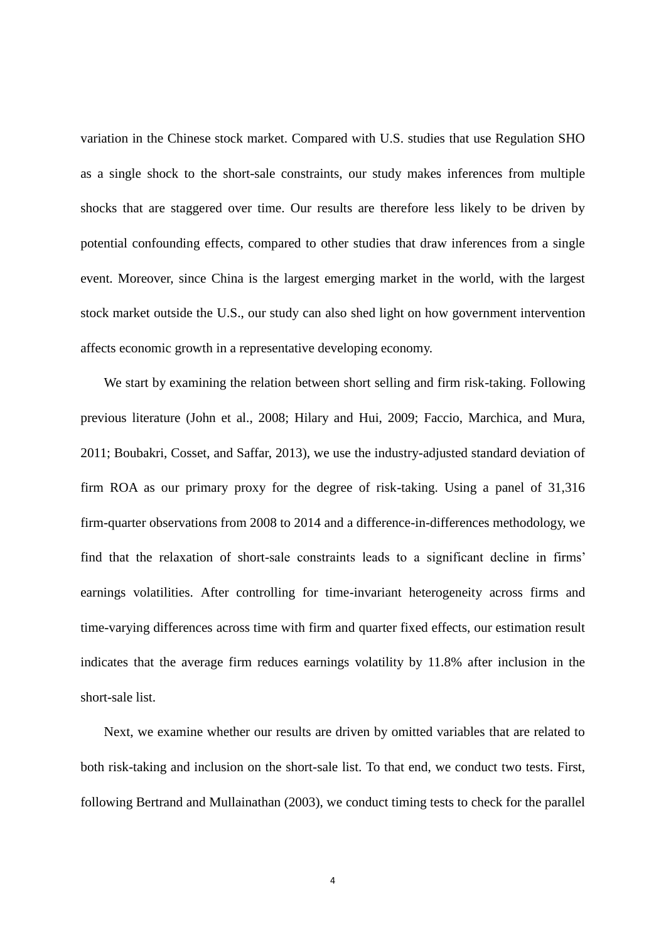variation in the Chinese stock market. Compared with U.S. studies that use Regulation SHO as a single shock to the short-sale constraints, our study makes inferences from multiple shocks that are staggered over time. Our results are therefore less likely to be driven by potential confounding effects, compared to other studies that draw inferences from a single event. Moreover, since China is the largest emerging market in the world, with the largest stock market outside the U.S., our study can also shed light on how government intervention affects economic growth in a representative developing economy.

We start by examining the relation between short selling and firm risk-taking. Following previous literature (John et al., 2008; Hilary and Hui, 2009; Faccio, Marchica, and Mura, 2011; Boubakri, Cosset, and Saffar, 2013), we use the industry-adjusted standard deviation of firm ROA as our primary proxy for the degree of risk-taking. Using a panel of 31,316 firm-quarter observations from 2008 to 2014 and a difference-in-differences methodology, we find that the relaxation of short-sale constraints leads to a significant decline in firms' earnings volatilities. After controlling for time-invariant heterogeneity across firms and time-varying differences across time with firm and quarter fixed effects, our estimation result indicates that the average firm reduces earnings volatility by 11.8% after inclusion in the short-sale list.

Next, we examine whether our results are driven by omitted variables that are related to both risk-taking and inclusion on the short-sale list. To that end, we conduct two tests. First, following Bertrand and Mullainathan (2003), we conduct timing tests to check for the parallel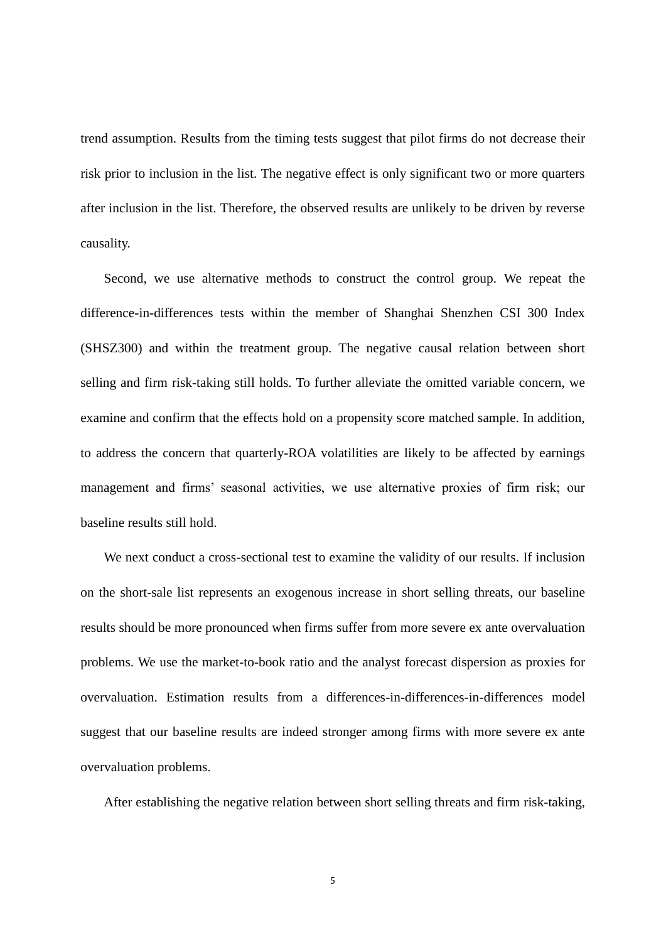trend assumption. Results from the timing tests suggest that pilot firms do not decrease their risk prior to inclusion in the list. The negative effect is only significant two or more quarters after inclusion in the list. Therefore, the observed results are unlikely to be driven by reverse causality.

Second, we use alternative methods to construct the control group. We repeat the difference-in-differences tests within the member of Shanghai Shenzhen CSI 300 Index (SHSZ300) and within the treatment group. The negative causal relation between short selling and firm risk-taking still holds. To further alleviate the omitted variable concern, we examine and confirm that the effects hold on a propensity score matched sample. In addition, to address the concern that quarterly-ROA volatilities are likely to be affected by earnings management and firms' seasonal activities, we use alternative proxies of firm risk; our baseline results still hold.

We next conduct a cross-sectional test to examine the validity of our results. If inclusion on the short-sale list represents an exogenous increase in short selling threats, our baseline results should be more pronounced when firms suffer from more severe ex ante overvaluation problems. We use the market-to-book ratio and the analyst forecast dispersion as proxies for overvaluation. Estimation results from a differences-in-differences-in-differences model suggest that our baseline results are indeed stronger among firms with more severe ex ante overvaluation problems.

After establishing the negative relation between short selling threats and firm risk-taking,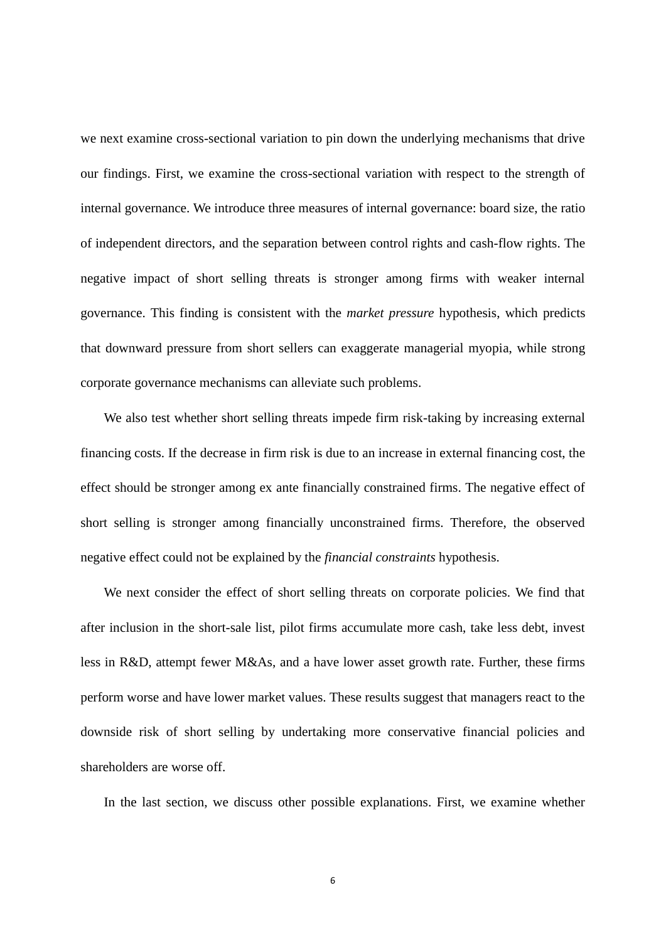we next examine cross-sectional variation to pin down the underlying mechanisms that drive our findings. First, we examine the cross-sectional variation with respect to the strength of internal governance. We introduce three measures of internal governance: board size, the ratio of independent directors, and the separation between control rights and cash-flow rights. The negative impact of short selling threats is stronger among firms with weaker internal governance. This finding is consistent with the *market pressure* hypothesis, which predicts that downward pressure from short sellers can exaggerate managerial myopia, while strong corporate governance mechanisms can alleviate such problems.

We also test whether short selling threats impede firm risk-taking by increasing external financing costs. If the decrease in firm risk is due to an increase in external financing cost, the effect should be stronger among ex ante financially constrained firms. The negative effect of short selling is stronger among financially unconstrained firms. Therefore, the observed negative effect could not be explained by the *financial constraints* hypothesis.

We next consider the effect of short selling threats on corporate policies. We find that after inclusion in the short-sale list, pilot firms accumulate more cash, take less debt, invest less in R&D, attempt fewer M&As, and a have lower asset growth rate. Further, these firms perform worse and have lower market values. These results suggest that managers react to the downside risk of short selling by undertaking more conservative financial policies and shareholders are worse off.

In the last section, we discuss other possible explanations. First, we examine whether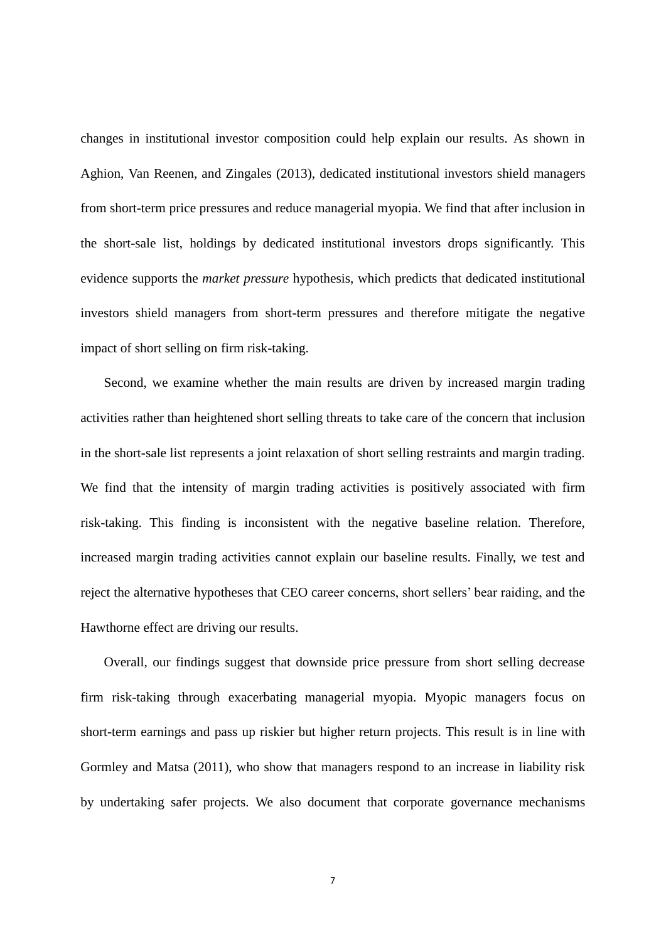changes in institutional investor composition could help explain our results. As shown in Aghion, Van Reenen, and Zingales (2013), dedicated institutional investors shield managers from short-term price pressures and reduce managerial myopia. We find that after inclusion in the short-sale list, holdings by dedicated institutional investors drops significantly. This evidence supports the *market pressure* hypothesis, which predicts that dedicated institutional investors shield managers from short-term pressures and therefore mitigate the negative impact of short selling on firm risk-taking.

Second, we examine whether the main results are driven by increased margin trading activities rather than heightened short selling threats to take care of the concern that inclusion in the short-sale list represents a joint relaxation of short selling restraints and margin trading. We find that the intensity of margin trading activities is positively associated with firm risk-taking. This finding is inconsistent with the negative baseline relation. Therefore, increased margin trading activities cannot explain our baseline results. Finally, we test and reject the alternative hypotheses that CEO career concerns, short sellers' bear raiding, and the Hawthorne effect are driving our results.

Overall, our findings suggest that downside price pressure from short selling decrease firm risk-taking through exacerbating managerial myopia. Myopic managers focus on short-term earnings and pass up riskier but higher return projects. This result is in line with Gormley and Matsa (2011), who show that managers respond to an increase in liability risk by undertaking safer projects. We also document that corporate governance mechanisms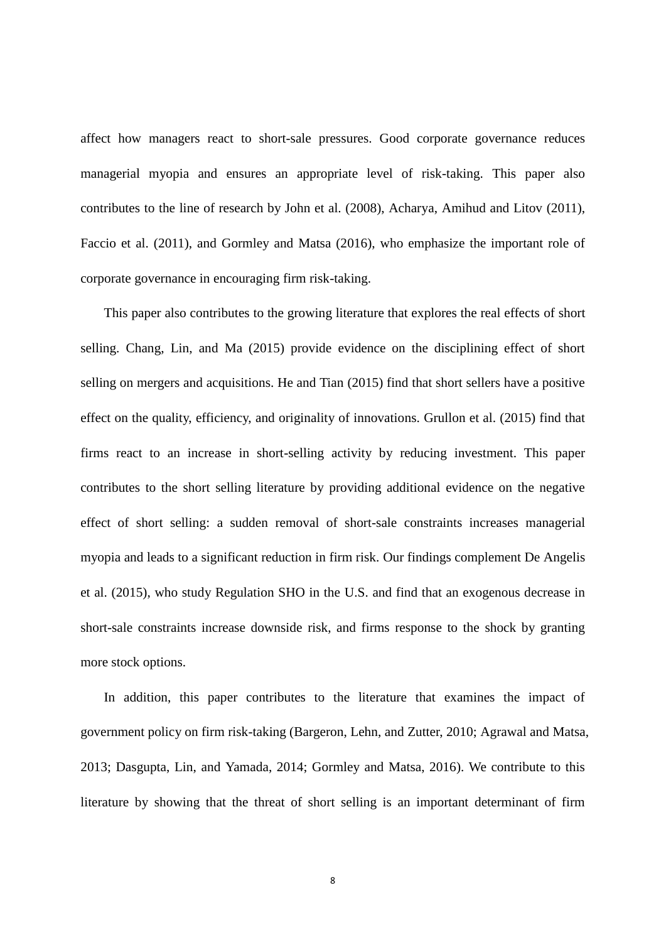affect how managers react to short-sale pressures. Good corporate governance reduces managerial myopia and ensures an appropriate level of risk-taking. This paper also contributes to the line of research by John et al. (2008), Acharya, Amihud and Litov (2011), Faccio et al. (2011), and Gormley and Matsa (2016), who emphasize the important role of corporate governance in encouraging firm risk-taking.

This paper also contributes to the growing literature that explores the real effects of short selling. Chang, Lin, and Ma (2015) provide evidence on the disciplining effect of short selling on mergers and acquisitions. He and Tian (2015) find that short sellers have a positive effect on the quality, efficiency, and originality of innovations. Grullon et al. (2015) find that firms react to an increase in short-selling activity by reducing investment. This paper contributes to the short selling literature by providing additional evidence on the negative effect of short selling: a sudden removal of short-sale constraints increases managerial myopia and leads to a significant reduction in firm risk. Our findings complement De Angelis et al. (2015), who study Regulation SHO in the U.S. and find that an exogenous decrease in short-sale constraints increase downside risk, and firms response to the shock by granting more stock options.

In addition, this paper contributes to the literature that examines the impact of government policy on firm risk-taking (Bargeron, Lehn, and Zutter, 2010; Agrawal and Matsa, 2013; Dasgupta, Lin, and Yamada, 2014; Gormley and Matsa, 2016). We contribute to this literature by showing that the threat of short selling is an important determinant of firm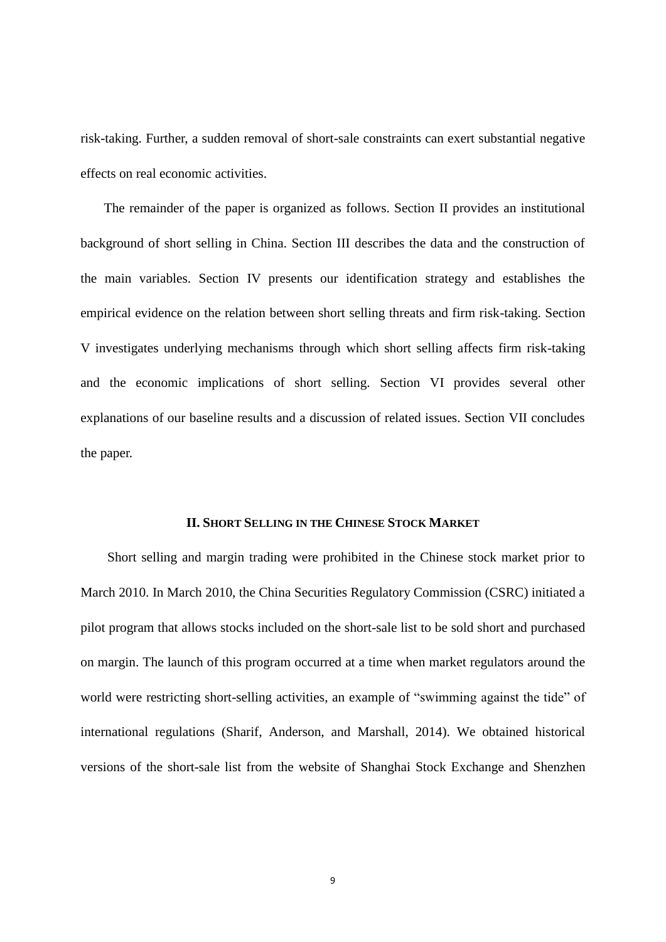risk-taking. Further, a sudden removal of short-sale constraints can exert substantial negative effects on real economic activities.

The remainder of the paper is organized as follows. Section II provides an institutional background of short selling in China. Section III describes the data and the construction of the main variables. Section IV presents our identification strategy and establishes the empirical evidence on the relation between short selling threats and firm risk-taking. Section V investigates underlying mechanisms through which short selling affects firm risk-taking and the economic implications of short selling. Section VI provides several other explanations of our baseline results and a discussion of related issues. Section VII concludes the paper.

# **II. SHORT SELLING IN THE CHINESE STOCK MARKET**

Short selling and margin trading were prohibited in the Chinese stock market prior to March 2010. In March 2010, the China Securities Regulatory Commission (CSRC) initiated a pilot program that allows stocks included on the short-sale list to be sold short and purchased on margin. The launch of this program occurred at a time when market regulators around the world were restricting short-selling activities, an example of "swimming against the tide" of international regulations (Sharif, Anderson, and Marshall, 2014). We obtained historical versions of the short-sale list from the website of Shanghai Stock Exchange and Shenzhen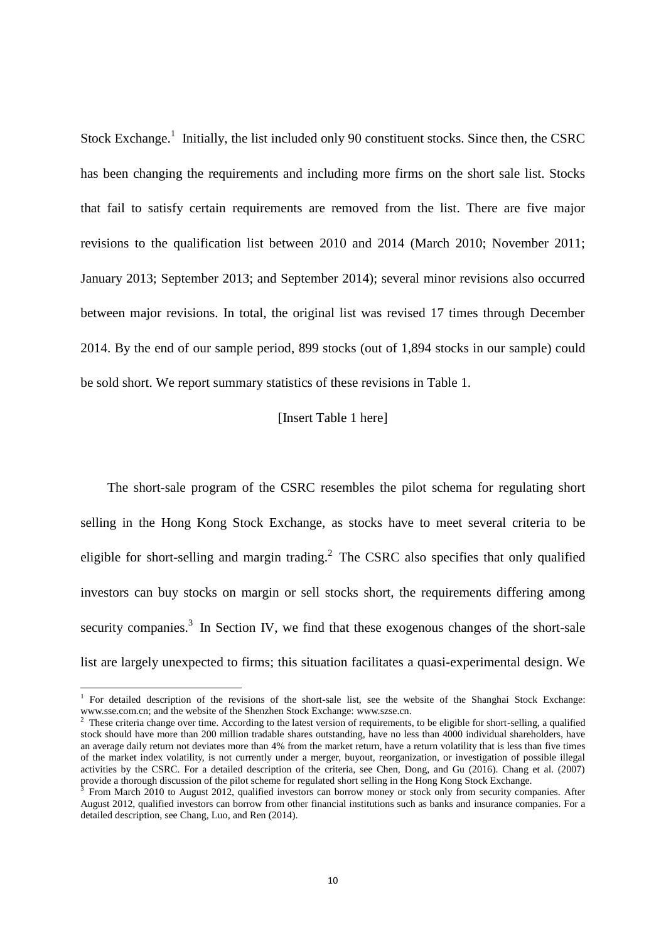Stock Exchange.<sup>1</sup> Initially, the list included only 90 constituent stocks. Since then, the CSRC has been changing the requirements and including more firms on the short sale list. Stocks that fail to satisfy certain requirements are removed from the list. There are five major revisions to the qualification list between 2010 and 2014 (March 2010; November 2011; January 2013; September 2013; and September 2014); several minor revisions also occurred between major revisions. In total, the original list was revised 17 times through December 2014. By the end of our sample period, 899 stocks (out of 1,894 stocks in our sample) could be sold short. We report summary statistics of these revisions in Table 1.

#### [Insert Table 1 here]

 The short-sale program of the CSRC resembles the pilot schema for regulating short selling in the Hong Kong Stock Exchange, as stocks have to meet several criteria to be eligible for short-selling and margin trading. $2$  The CSRC also specifies that only qualified investors can buy stocks on margin or sell stocks short, the requirements differing among security companies.<sup>3</sup> In Section IV, we find that these exogenous changes of the short-sale list are largely unexpected to firms; this situation facilitates a quasi-experimental design. We

 1 For detailed description of the revisions of the short-sale list, see the website of the Shanghai Stock Exchange: www.sse.com.cn; and the website of the Shenzhen Stock Exchange: www.szse.cn.

 $2^2$  These criteria change over time. According to the latest version of requirements, to be eligible for short-selling, a qualified stock should have more than 200 million tradable shares outstanding, have no less than 4000 individual shareholders, have an average daily return not deviates more than 4% from the market return, have a return volatility that is less than five times of the market index volatility, is not currently under a merger, buyout, reorganization, or investigation of possible illegal activities by the CSRC. For a detailed description of the criteria, see Chen, Dong, and Gu (2016). Chang et al. (2007) provide a thorough discussion of the pilot scheme for regulated short selling in the Hong Kong Stock Exchange.<br><sup>3</sup> From March 2010 to Aygust 2012, qualified investors can be row manay or stock only from sequrity com-

From March 2010 to August 2012, qualified investors can borrow money or stock only from security companies. After August 2012, qualified investors can borrow from other financial institutions such as banks and insurance companies. For a detailed description, see Chang, Luo, and Ren (2014).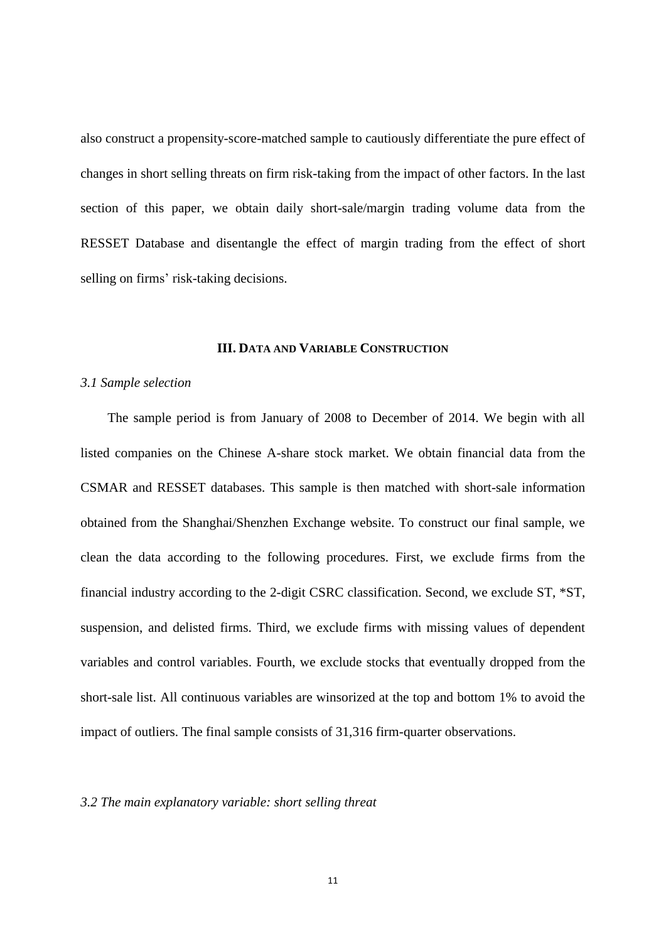also construct a propensity-score-matched sample to cautiously differentiate the pure effect of changes in short selling threats on firm risk-taking from the impact of other factors. In the last section of this paper, we obtain daily short-sale/margin trading volume data from the RESSET Database and disentangle the effect of margin trading from the effect of short selling on firms' risk-taking decisions.

# **III. DATA AND VARIABLE CONSTRUCTION**

#### *3.1 Sample selection*

The sample period is from January of 2008 to December of 2014. We begin with all listed companies on the Chinese A-share stock market. We obtain financial data from the CSMAR and RESSET databases. This sample is then matched with short-sale information obtained from the Shanghai/Shenzhen Exchange website. To construct our final sample, we clean the data according to the following procedures. First, we exclude firms from the financial industry according to the 2-digit CSRC classification. Second, we exclude ST, \*ST, suspension, and delisted firms. Third, we exclude firms with missing values of dependent variables and control variables. Fourth, we exclude stocks that eventually dropped from the short-sale list. All continuous variables are winsorized at the top and bottom 1% to avoid the impact of outliers. The final sample consists of 31,316 firm-quarter observations.

# *3.2 The main explanatory variable: short selling threat*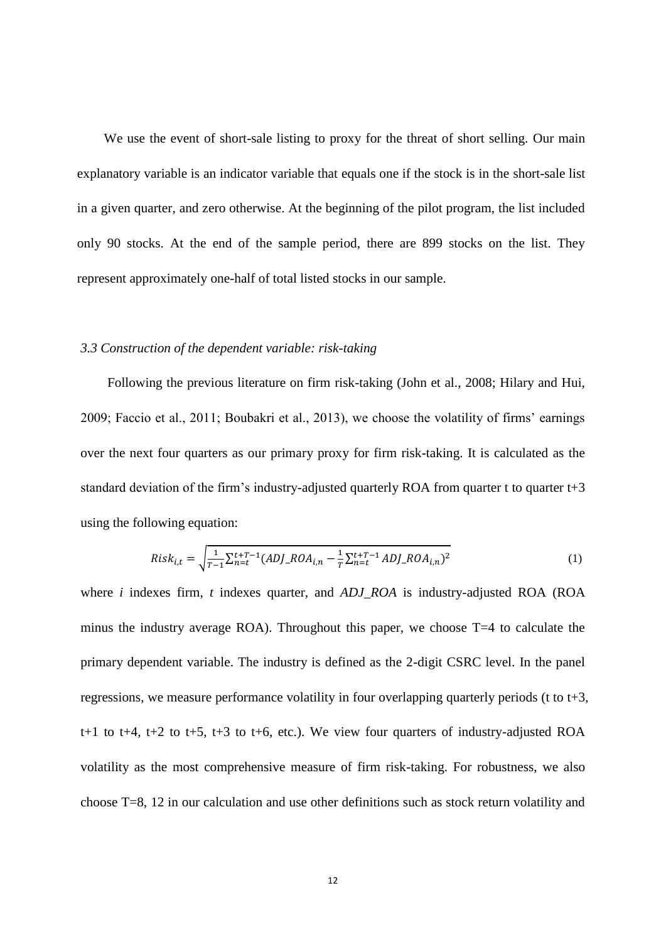We use the event of short-sale listing to proxy for the threat of short selling. Our main explanatory variable is an indicator variable that equals one if the stock is in the short-sale list in a given quarter, and zero otherwise. At the beginning of the pilot program, the list included only 90 stocks. At the end of the sample period, there are 899 stocks on the list. They represent approximately one-half of total listed stocks in our sample.

#### *3.3 Construction of the dependent variable: risk-taking*

 Following the previous literature on firm risk-taking (John et al., 2008; Hilary and Hui, 2009; Faccio et al., 2011; Boubakri et al., 2013), we choose the volatility of firms' earnings over the next four quarters as our primary proxy for firm risk-taking. It is calculated as the standard deviation of the firm's industry-adjusted quarterly ROA from quarter t to quarter  $t+3$ using the following equation:

$$
Risk_{i,t} = \sqrt{\frac{1}{T-1} \sum_{n=t}^{t+T-1} (ADJ\_ROA_{i,n} - \frac{1}{T} \sum_{n=t}^{t+T-1} ADJ\_ROA_{i,n})^2}
$$
(1)

where *i* indexes firm, *t* indexes quarter, and *ADJ\_ROA* is industry-adjusted ROA (ROA minus the industry average ROA). Throughout this paper, we choose T=4 to calculate the primary dependent variable. The industry is defined as the 2-digit CSRC level. In the panel regressions, we measure performance volatility in four overlapping quarterly periods (t to t+3, t+1 to t+4, t+2 to t+5, t+3 to t+6, etc.). We view four quarters of industry-adjusted ROA volatility as the most comprehensive measure of firm risk-taking. For robustness, we also choose T=8, 12 in our calculation and use other definitions such as stock return volatility and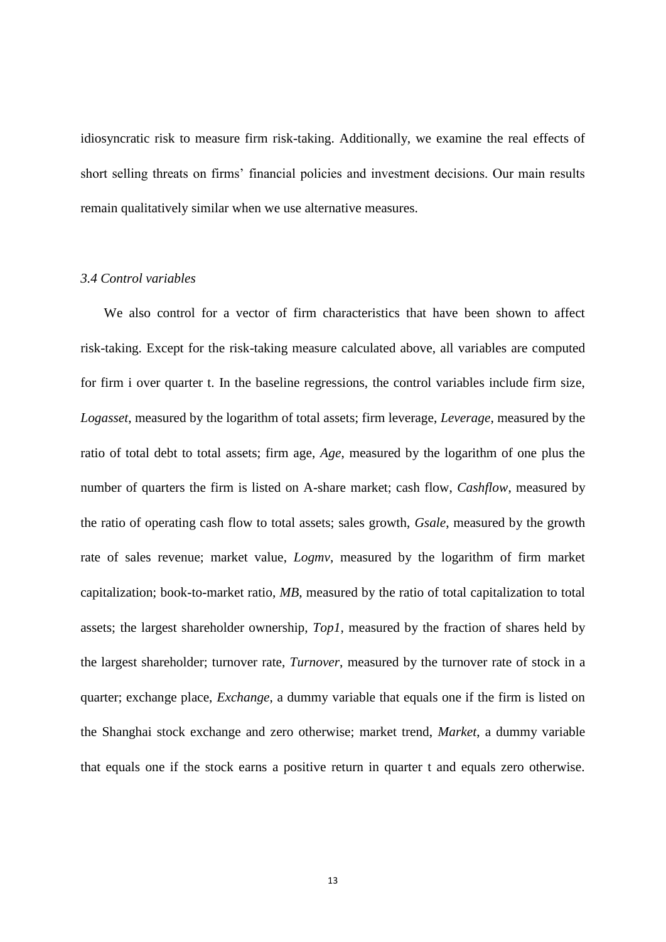idiosyncratic risk to measure firm risk-taking. Additionally, we examine the real effects of short selling threats on firms' financial policies and investment decisions. Our main results remain qualitatively similar when we use alternative measures.

# *3.4 Control variables*

We also control for a vector of firm characteristics that have been shown to affect risk-taking. Except for the risk-taking measure calculated above, all variables are computed for firm i over quarter t. In the baseline regressions, the control variables include firm size, *Logasset*, measured by the logarithm of total assets; firm leverage, *Leverage*, measured by the ratio of total debt to total assets; firm age, *Age*, measured by the logarithm of one plus the number of quarters the firm is listed on A-share market; cash flow, *Cashflow*, measured by the ratio of operating cash flow to total assets; sales growth, *Gsale*, measured by the growth rate of sales revenue; market value, *Logmv*, measured by the logarithm of firm market capitalization; book-to-market ratio, *MB*, measured by the ratio of total capitalization to total assets; the largest shareholder ownership, *Top1*, measured by the fraction of shares held by the largest shareholder; turnover rate, *Turnover*, measured by the turnover rate of stock in a quarter; exchange place, *Exchange*, a dummy variable that equals one if the firm is listed on the Shanghai stock exchange and zero otherwise; market trend, *Market*, a dummy variable that equals one if the stock earns a positive return in quarter t and equals zero otherwise.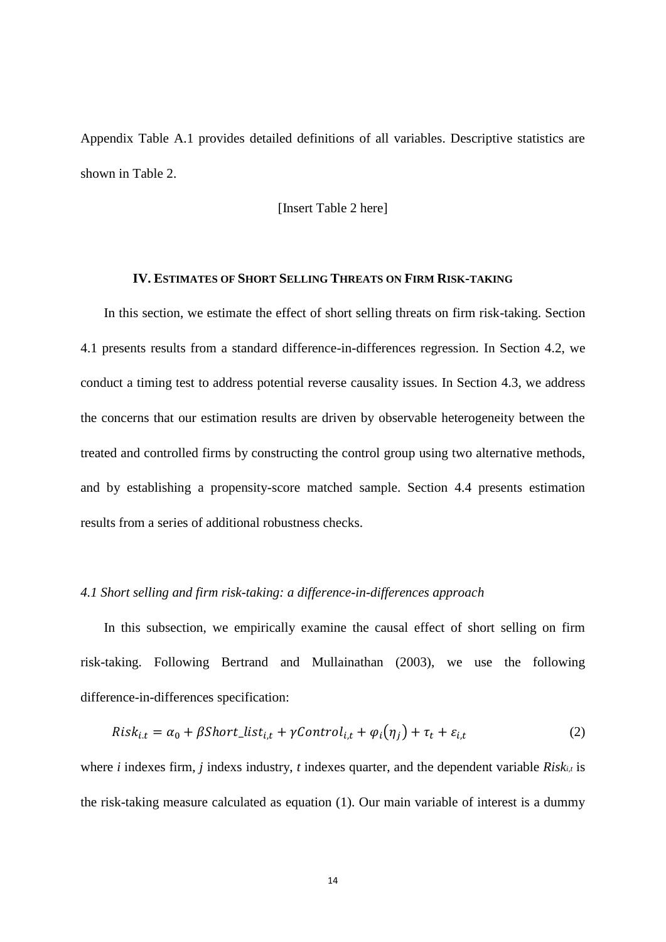Appendix Table A.1 provides detailed definitions of all variables. Descriptive statistics are shown in Table 2.

# [Insert Table 2 here]

# **IV. ESTIMATES OF SHORT SELLING THREATS ON FIRM RISK-TAKING**

In this section, we estimate the effect of short selling threats on firm risk-taking. Section 4.1 presents results from a standard difference-in-differences regression. In Section 4.2, we conduct a timing test to address potential reverse causality issues. In Section 4.3, we address the concerns that our estimation results are driven by observable heterogeneity between the treated and controlled firms by constructing the control group using two alternative methods, and by establishing a propensity-score matched sample. Section 4.4 presents estimation results from a series of additional robustness checks.

#### *4.1 Short selling and firm risk-taking: a difference-in-differences approach*

In this subsection, we empirically examine the causal effect of short selling on firm risk-taking. Following Bertrand and Mullainathan (2003), we use the following difference-in-differences specification:

$$
Risk_{i,t} = \alpha_0 + \beta Short\_list_{i,t} + \gamma Control_{i,t} + \varphi_i(\eta_j) + \tau_t + \varepsilon_{i,t}
$$
\n(2)

where *i* indexes firm, *j* indexs industry, *t* indexes quarter, and the dependent variable *Riski,t* is the risk-taking measure calculated as equation (1). Our main variable of interest is a dummy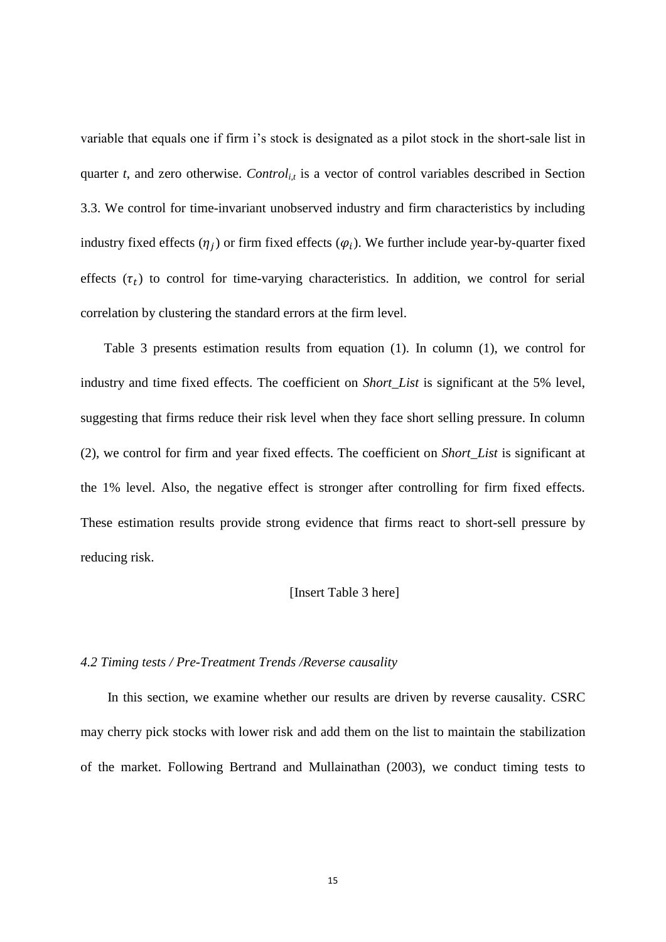variable that equals one if firm i's stock is designated as a pilot stock in the short-sale list in quarter  $t$ , and zero otherwise. *Control<sub>ist</sub>* is a vector of control variables described in Section 3.3. We control for time-invariant unobserved industry and firm characteristics by including industry fixed effects  $(\eta_j)$  or firm fixed effects  $(\varphi_i)$ . We further include year-by-quarter fixed effects  $(\tau_t)$  to control for time-varying characteristics. In addition, we control for serial correlation by clustering the standard errors at the firm level.

Table 3 presents estimation results from equation (1). In column (1), we control for industry and time fixed effects. The coefficient on *Short\_List* is significant at the 5% level, suggesting that firms reduce their risk level when they face short selling pressure. In column (2), we control for firm and year fixed effects. The coefficient on *Short\_List* is significant at the 1% level. Also, the negative effect is stronger after controlling for firm fixed effects. These estimation results provide strong evidence that firms react to short-sell pressure by reducing risk.

#### [Insert Table 3 here]

#### *4.2 Timing tests / Pre-Treatment Trends /Reverse causality*

 In this section, we examine whether our results are driven by reverse causality. CSRC may cherry pick stocks with lower risk and add them on the list to maintain the stabilization of the market. Following Bertrand and Mullainathan (2003), we conduct timing tests to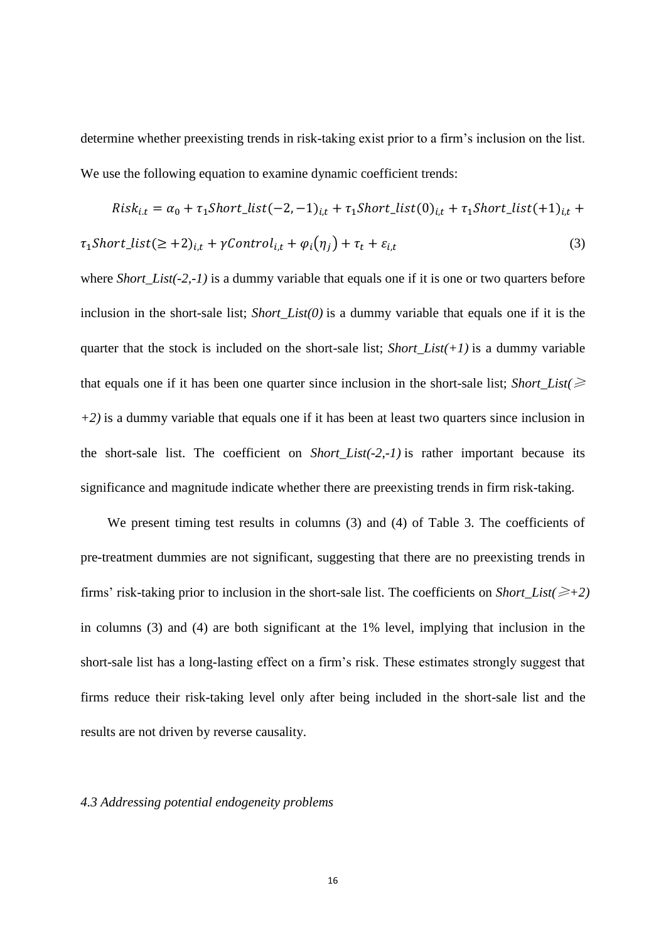determine whether preexisting trends in risk-taking exist prior to a firm's inclusion on the list. We use the following equation to examine dynamic coefficient trends:

$$
Risk_{i,t} = \alpha_0 + \tau_1 Short\_list(-2, -1)_{i,t} + \tau_1 Short\_list(0)_{i,t} + \tau_1 Short\_list(+1)_{i,t} +
$$

$$
\tau_1Short\_list(\geq +2)_{i,t} + \gamma Control_{i,t} + \varphi_i(\eta_j) + \tau_t + \varepsilon_{i,t}
$$
\n<sup>(3)</sup>

where *Short\_List(-2,-1)* is a dummy variable that equals one if it is one or two quarters before inclusion in the short-sale list; *Short List(0)* is a dummy variable that equals one if it is the quarter that the stock is included on the short-sale list; *Short\_List(+1)* is a dummy variable that equals one if it has been one quarter since inclusion in the short-sale list; *Short\_List(* $\geq$ *+2)* is a dummy variable that equals one if it has been at least two quarters since inclusion in the short-sale list. The coefficient on *Short\_List(-2,-1)* is rather important because its significance and magnitude indicate whether there are preexisting trends in firm risk-taking.

We present timing test results in columns (3) and (4) of Table 3. The coefficients of pre-treatment dummies are not significant, suggesting that there are no preexisting trends in firms' risk-taking prior to inclusion in the short-sale list. The coefficients on *Short\_List(*≥*+2)* in columns (3) and (4) are both significant at the 1% level, implying that inclusion in the short-sale list has a long-lasting effect on a firm's risk. These estimates strongly suggest that firms reduce their risk-taking level only after being included in the short-sale list and the results are not driven by reverse causality.

# *4.3 Addressing potential endogeneity problems*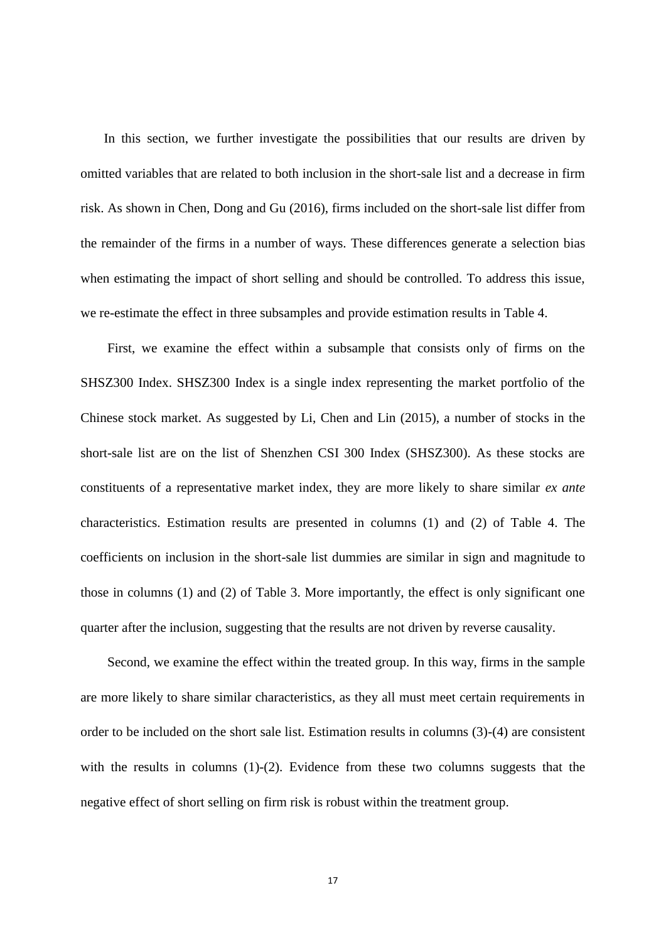In this section, we further investigate the possibilities that our results are driven by omitted variables that are related to both inclusion in the short-sale list and a decrease in firm risk. As shown in Chen, Dong and Gu (2016), firms included on the short-sale list differ from the remainder of the firms in a number of ways. These differences generate a selection bias when estimating the impact of short selling and should be controlled. To address this issue, we re-estimate the effect in three subsamples and provide estimation results in Table 4.

First, we examine the effect within a subsample that consists only of firms on the SHSZ300 Index. SHSZ300 Index is a single index representing the market portfolio of the Chinese stock market. As suggested by Li, Chen and Lin (2015), a number of stocks in the short-sale list are on the list of Shenzhen CSI 300 Index (SHSZ300). As these stocks are constituents of a representative market index, they are more likely to share similar *ex ante* characteristics. Estimation results are presented in columns (1) and (2) of Table 4. The coefficients on inclusion in the short-sale list dummies are similar in sign and magnitude to those in columns (1) and (2) of Table 3. More importantly, the effect is only significant one quarter after the inclusion, suggesting that the results are not driven by reverse causality.

Second, we examine the effect within the treated group. In this way, firms in the sample are more likely to share similar characteristics, as they all must meet certain requirements in order to be included on the short sale list. Estimation results in columns (3)-(4) are consistent with the results in columns (1)-(2). Evidence from these two columns suggests that the negative effect of short selling on firm risk is robust within the treatment group.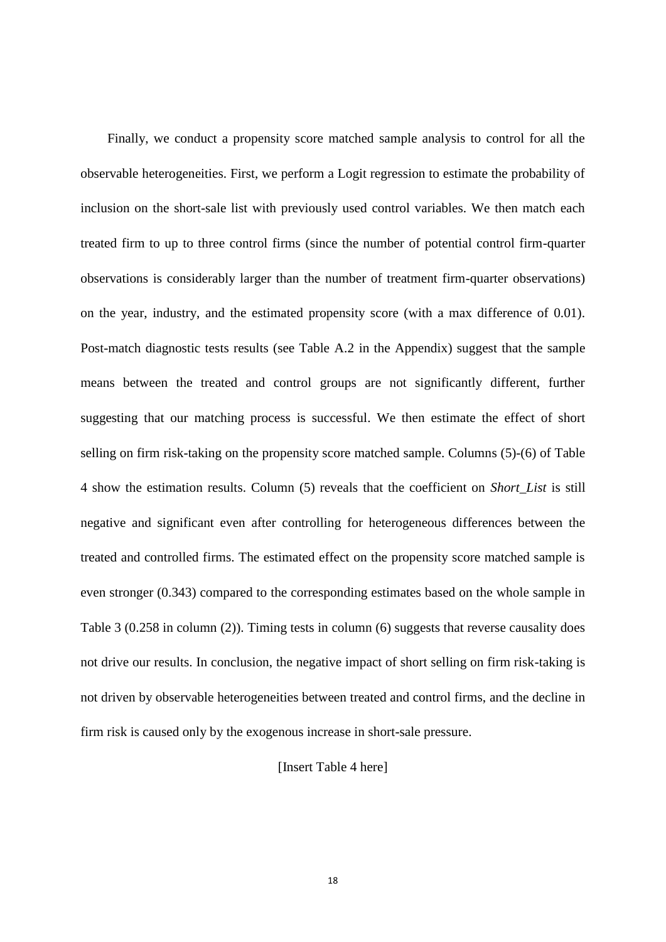Finally, we conduct a propensity score matched sample analysis to control for all the observable heterogeneities. First, we perform a Logit regression to estimate the probability of inclusion on the short-sale list with previously used control variables. We then match each treated firm to up to three control firms (since the number of potential control firm-quarter observations is considerably larger than the number of treatment firm-quarter observations) on the year, industry, and the estimated propensity score (with a max difference of 0.01). Post-match diagnostic tests results (see Table A.2 in the Appendix) suggest that the sample means between the treated and control groups are not significantly different, further suggesting that our matching process is successful. We then estimate the effect of short selling on firm risk-taking on the propensity score matched sample. Columns (5)-(6) of Table 4 show the estimation results. Column (5) reveals that the coefficient on *Short\_List* is still negative and significant even after controlling for heterogeneous differences between the treated and controlled firms. The estimated effect on the propensity score matched sample is even stronger (0.343) compared to the corresponding estimates based on the whole sample in Table 3 (0.258 in column (2)). Timing tests in column (6) suggests that reverse causality does not drive our results. In conclusion, the negative impact of short selling on firm risk-taking is not driven by observable heterogeneities between treated and control firms, and the decline in firm risk is caused only by the exogenous increase in short-sale pressure.

# [Insert Table 4 here]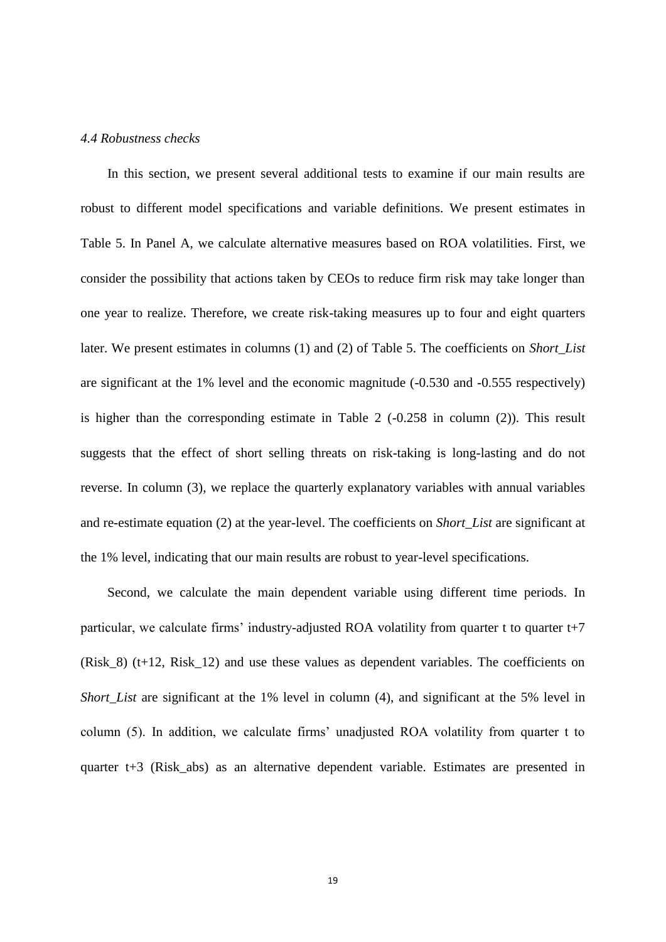#### *4.4 Robustness checks*

In this section, we present several additional tests to examine if our main results are robust to different model specifications and variable definitions. We present estimates in Table 5. In Panel A, we calculate alternative measures based on ROA volatilities. First, we consider the possibility that actions taken by CEOs to reduce firm risk may take longer than one year to realize. Therefore, we create risk-taking measures up to four and eight quarters later. We present estimates in columns (1) and (2) of Table 5. The coefficients on *Short\_List* are significant at the 1% level and the economic magnitude (-0.530 and -0.555 respectively) is higher than the corresponding estimate in Table 2 (-0.258 in column (2)). This result suggests that the effect of short selling threats on risk-taking is long-lasting and do not reverse. In column (3), we replace the quarterly explanatory variables with annual variables and re-estimate equation (2) at the year-level. The coefficients on *Short\_List* are significant at the 1% level, indicating that our main results are robust to year-level specifications.

Second, we calculate the main dependent variable using different time periods. In particular, we calculate firms' industry-adjusted ROA volatility from quarter t to quarter t+7 (Risk  $8$ ) (t+12, Risk 12) and use these values as dependent variables. The coefficients on *Short List* are significant at the 1% level in column (4), and significant at the 5% level in column (5). In addition, we calculate firms' unadjusted ROA volatility from quarter t to quarter t+3 (Risk\_abs) as an alternative dependent variable. Estimates are presented in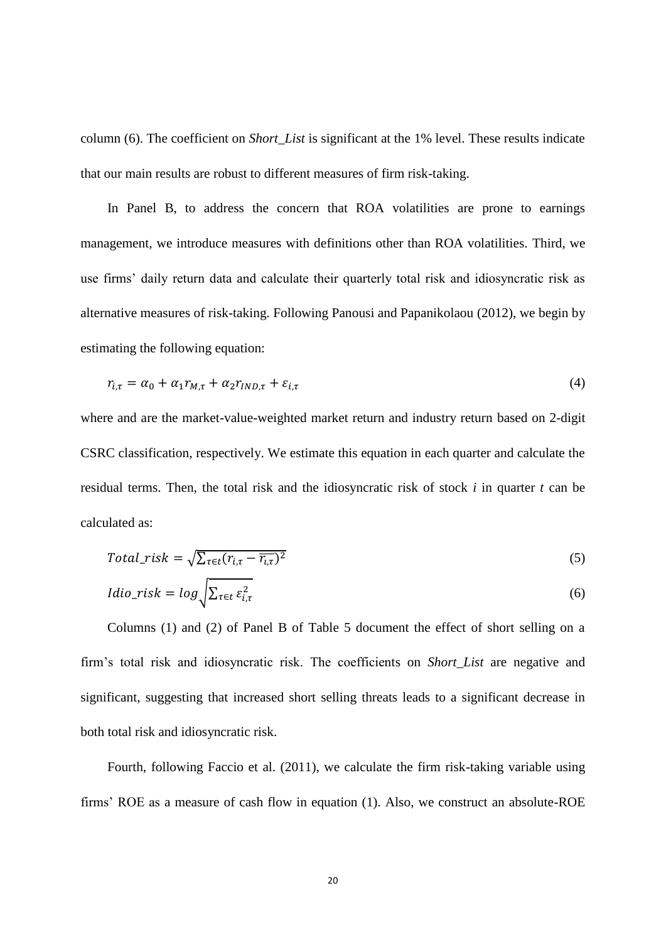column (6). The coefficient on *Short\_List* is significant at the 1% level. These results indicate that our main results are robust to different measures of firm risk-taking.

In Panel B, to address the concern that ROA volatilities are prone to earnings management, we introduce measures with definitions other than ROA volatilities. Third, we use firms' daily return data and calculate their quarterly total risk and idiosyncratic risk as alternative measures of risk-taking. Following Panousi and Papanikolaou (2012), we begin by estimating the following equation:

$$
r_{i,\tau} = \alpha_0 + \alpha_1 r_{M,\tau} + \alpha_2 r_{IND,\tau} + \varepsilon_{i,\tau}
$$
\n<sup>(4)</sup>

where and are the market-value-weighted market return and industry return based on 2-digit CSRC classification, respectively. We estimate this equation in each quarter and calculate the residual terms. Then, the total risk and the idiosyncratic risk of stock *i* in quarter *t* can be calculated as:

$$
Total\_risk = \sqrt{\sum_{\tau \in t} (r_{i,\tau} - \overline{r_{i,\tau}})^2}
$$
\n(5)

$$
Idio\_risk = log \sqrt{\sum_{\tau \in t} \varepsilon_{i,\tau}^2}
$$
 (6)

Columns (1) and (2) of Panel B of Table 5 document the effect of short selling on a firm's total risk and idiosyncratic risk. The coefficients on *Short\_List* are negative and significant, suggesting that increased short selling threats leads to a significant decrease in both total risk and idiosyncratic risk.

Fourth, following Faccio et al. (2011), we calculate the firm risk-taking variable using firms' ROE as a measure of cash flow in equation (1). Also, we construct an absolute-ROE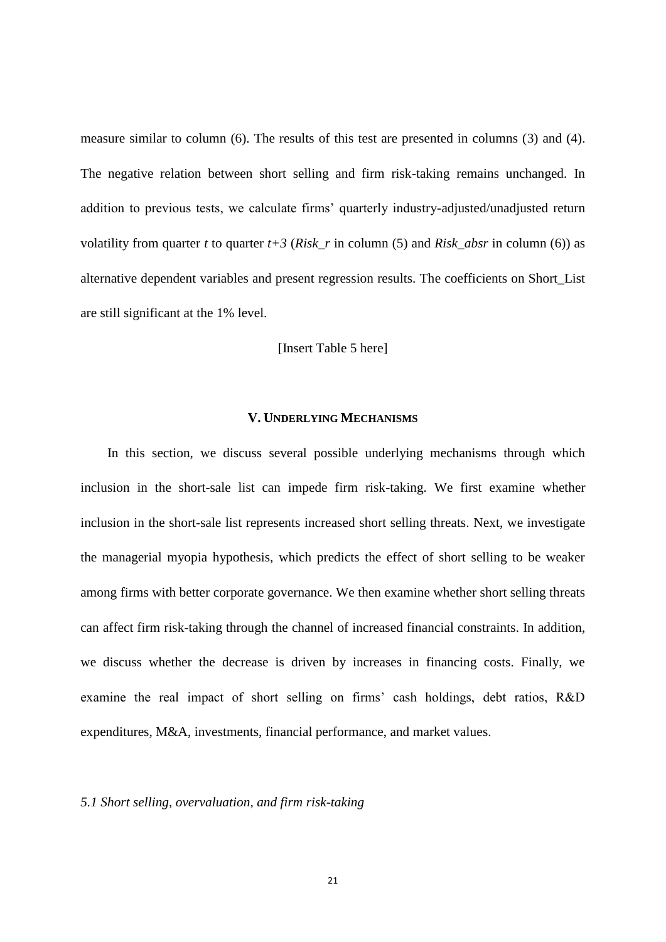measure similar to column (6). The results of this test are presented in columns (3) and (4). The negative relation between short selling and firm risk-taking remains unchanged. In addition to previous tests, we calculate firms' quarterly industry-adjusted/unadjusted return volatility from quarter *t* to quarter  $t+3$  (*Risk* r in column (5) and *Risk* absr in column (6)) as alternative dependent variables and present regression results. The coefficients on Short\_List are still significant at the 1% level.

#### [Insert Table 5 here]

#### **V. UNDERLYING MECHANISMS**

In this section, we discuss several possible underlying mechanisms through which inclusion in the short-sale list can impede firm risk-taking. We first examine whether inclusion in the short-sale list represents increased short selling threats. Next, we investigate the managerial myopia hypothesis, which predicts the effect of short selling to be weaker among firms with better corporate governance. We then examine whether short selling threats can affect firm risk-taking through the channel of increased financial constraints. In addition, we discuss whether the decrease is driven by increases in financing costs. Finally, we examine the real impact of short selling on firms' cash holdings, debt ratios, R&D expenditures, M&A, investments, financial performance, and market values.

# *5.1 Short selling, overvaluation, and firm risk-taking*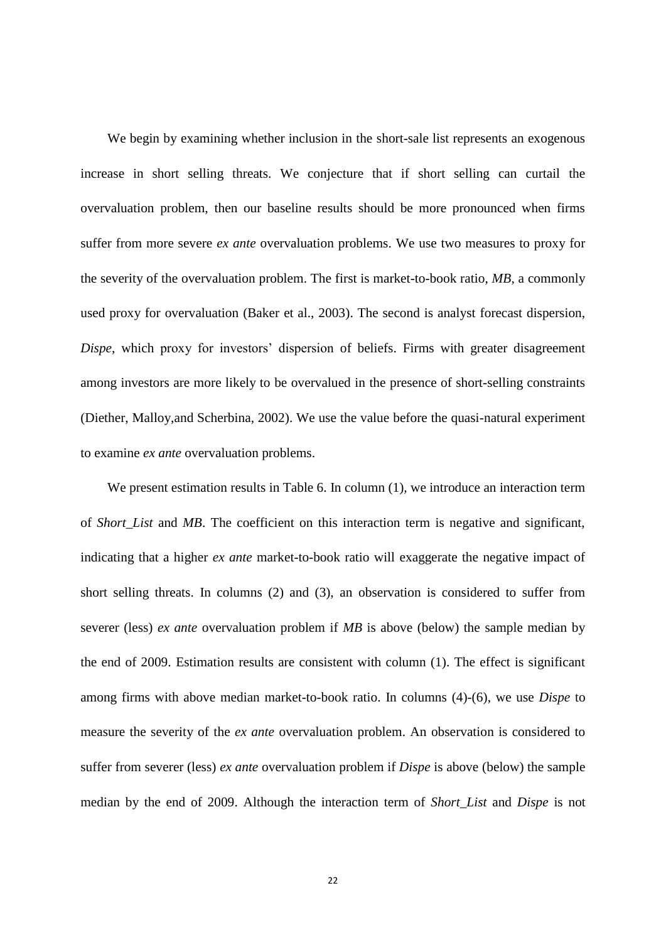We begin by examining whether inclusion in the short-sale list represents an exogenous increase in short selling threats. We conjecture that if short selling can curtail the overvaluation problem, then our baseline results should be more pronounced when firms suffer from more severe *ex ante* overvaluation problems. We use two measures to proxy for the severity of the overvaluation problem. The first is market-to-book ratio, *MB*, a commonly used proxy for overvaluation (Baker et al., 2003). The second is analyst forecast dispersion, *Dispe*, which proxy for investors' dispersion of beliefs. Firms with greater disagreement among investors are more likely to be overvalued in the presence of short-selling constraints (Diether, Malloy,and Scherbina, 2002). We use the value before the quasi-natural experiment to examine *ex ante* overvaluation problems.

We present estimation results in Table 6. In column  $(1)$ , we introduce an interaction term of *Short List* and *MB*. The coefficient on this interaction term is negative and significant, indicating that a higher *ex ante* market-to-book ratio will exaggerate the negative impact of short selling threats. In columns (2) and (3), an observation is considered to suffer from severer (less) *ex ante* overvaluation problem if *MB* is above (below) the sample median by the end of 2009. Estimation results are consistent with column (1). The effect is significant among firms with above median market-to-book ratio. In columns (4)-(6), we use *Dispe* to measure the severity of the *ex ante* overvaluation problem. An observation is considered to suffer from severer (less) *ex ante* overvaluation problem if *Dispe* is above (below) the sample median by the end of 2009. Although the interaction term of *Short\_List* and *Dispe* is not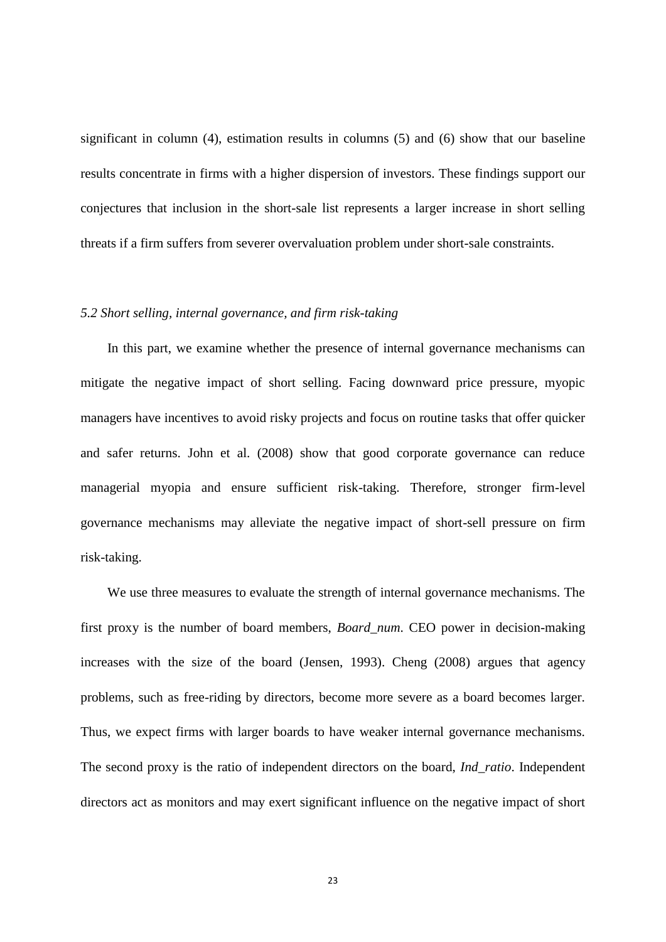significant in column (4), estimation results in columns (5) and (6) show that our baseline results concentrate in firms with a higher dispersion of investors. These findings support our conjectures that inclusion in the short-sale list represents a larger increase in short selling threats if a firm suffers from severer overvaluation problem under short-sale constraints.

# *5.2 Short selling, internal governance, and firm risk-taking*

In this part, we examine whether the presence of internal governance mechanisms can mitigate the negative impact of short selling. Facing downward price pressure, myopic managers have incentives to avoid risky projects and focus on routine tasks that offer quicker and safer returns. John et al. (2008) show that good corporate governance can reduce managerial myopia and ensure sufficient risk-taking. Therefore, stronger firm-level governance mechanisms may alleviate the negative impact of short-sell pressure on firm risk-taking.

We use three measures to evaluate the strength of internal governance mechanisms. The first proxy is the number of board members, *Board\_num*. CEO power in decision-making increases with the size of the board (Jensen, 1993). Cheng (2008) argues that agency problems, such as free-riding by directors, become more severe as a board becomes larger. Thus, we expect firms with larger boards to have weaker internal governance mechanisms. The second proxy is the ratio of independent directors on the board, *Ind\_ratio*. Independent directors act as monitors and may exert significant influence on the negative impact of short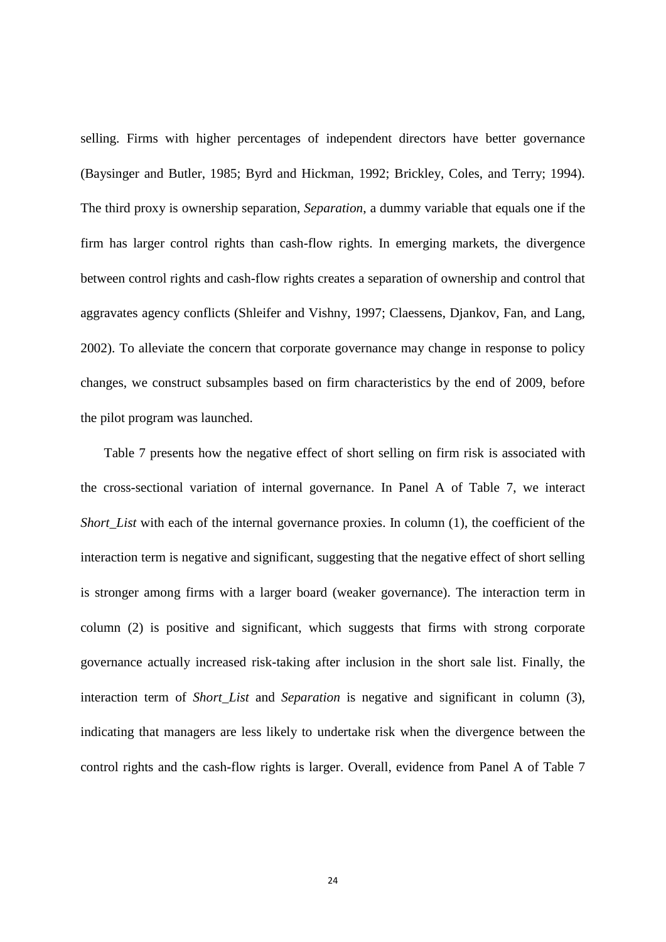selling. Firms with higher percentages of independent directors have better governance (Baysinger and Butler, 1985; Byrd and Hickman, 1992; Brickley, Coles, and Terry; 1994). The third proxy is ownership separation, *Separation*, a dummy variable that equals one if the firm has larger control rights than cash-flow rights. In emerging markets, the divergence between control rights and cash-flow rights creates a separation of ownership and control that aggravates agency conflicts (Shleifer and Vishny, 1997; Claessens, Djankov, Fan, and Lang, 2002). To alleviate the concern that corporate governance may change in response to policy changes, we construct subsamples based on firm characteristics by the end of 2009, before the pilot program was launched.

Table 7 presents how the negative effect of short selling on firm risk is associated with the cross-sectional variation of internal governance. In Panel A of Table 7, we interact *Short List* with each of the internal governance proxies. In column (1), the coefficient of the interaction term is negative and significant, suggesting that the negative effect of short selling is stronger among firms with a larger board (weaker governance). The interaction term in column (2) is positive and significant, which suggests that firms with strong corporate governance actually increased risk-taking after inclusion in the short sale list. Finally, the interaction term of *Short List* and *Separation* is negative and significant in column (3), indicating that managers are less likely to undertake risk when the divergence between the control rights and the cash-flow rights is larger. Overall, evidence from Panel A of Table 7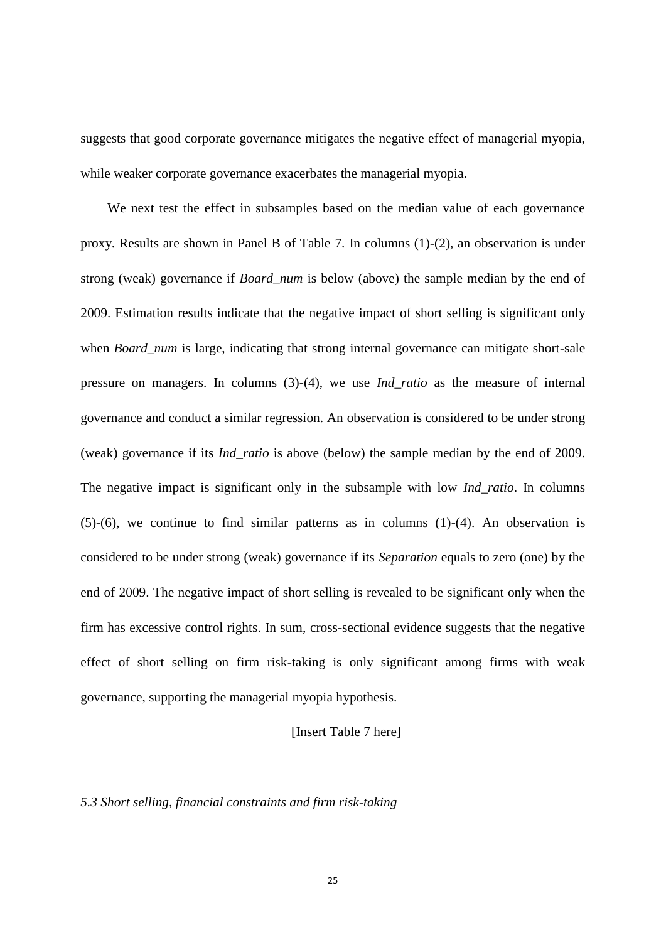suggests that good corporate governance mitigates the negative effect of managerial myopia, while weaker corporate governance exacerbates the managerial myopia.

We next test the effect in subsamples based on the median value of each governance proxy. Results are shown in Panel B of Table 7. In columns (1)-(2), an observation is under strong (weak) governance if *Board\_num* is below (above) the sample median by the end of 2009. Estimation results indicate that the negative impact of short selling is significant only when *Board\_num* is large, indicating that strong internal governance can mitigate short-sale pressure on managers. In columns (3)-(4), we use *Ind\_ratio* as the measure of internal governance and conduct a similar regression. An observation is considered to be under strong (weak) governance if its *Ind\_ratio* is above (below) the sample median by the end of 2009. The negative impact is significant only in the subsample with low *Ind\_ratio*. In columns  $(5)-(6)$ , we continue to find similar patterns as in columns  $(1)-(4)$ . An observation is considered to be under strong (weak) governance if its *Separation* equals to zero (one) by the end of 2009. The negative impact of short selling is revealed to be significant only when the firm has excessive control rights. In sum, cross-sectional evidence suggests that the negative effect of short selling on firm risk-taking is only significant among firms with weak governance, supporting the managerial myopia hypothesis.

# [Insert Table 7 here]

# *5.3 Short selling, financial constraints and firm risk-taking*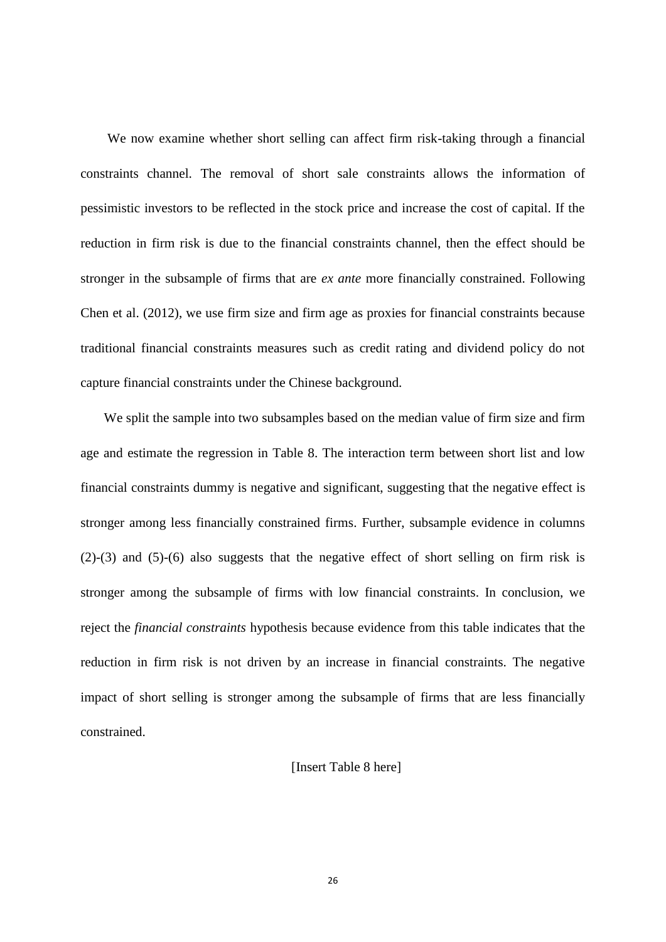We now examine whether short selling can affect firm risk-taking through a financial constraints channel. The removal of short sale constraints allows the information of pessimistic investors to be reflected in the stock price and increase the cost of capital. If the reduction in firm risk is due to the financial constraints channel, then the effect should be stronger in the subsample of firms that are *ex ante* more financially constrained. Following Chen et al. (2012), we use firm size and firm age as proxies for financial constraints because traditional financial constraints measures such as credit rating and dividend policy do not capture financial constraints under the Chinese background.

We split the sample into two subsamples based on the median value of firm size and firm age and estimate the regression in Table 8. The interaction term between short list and low financial constraints dummy is negative and significant, suggesting that the negative effect is stronger among less financially constrained firms. Further, subsample evidence in columns (2)-(3) and (5)-(6) also suggests that the negative effect of short selling on firm risk is stronger among the subsample of firms with low financial constraints. In conclusion, we reject the *financial constraints* hypothesis because evidence from this table indicates that the reduction in firm risk is not driven by an increase in financial constraints. The negative impact of short selling is stronger among the subsample of firms that are less financially constrained.

# [Insert Table 8 here]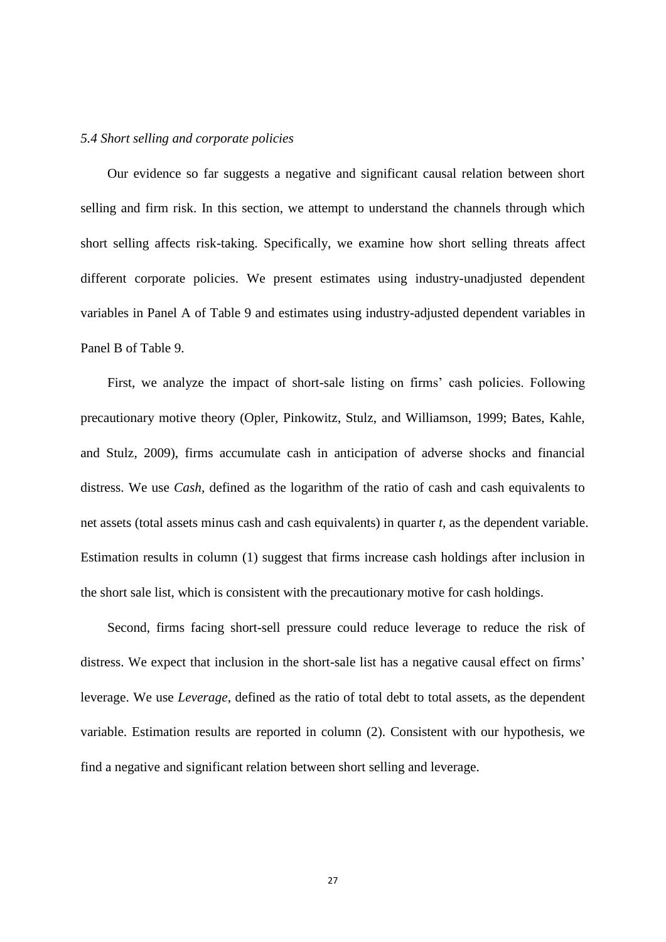#### *5.4 Short selling and corporate policies*

Our evidence so far suggests a negative and significant causal relation between short selling and firm risk. In this section, we attempt to understand the channels through which short selling affects risk-taking. Specifically, we examine how short selling threats affect different corporate policies. We present estimates using industry-unadjusted dependent variables in Panel A of Table 9 and estimates using industry-adjusted dependent variables in Panel B of Table 9.

First, we analyze the impact of short-sale listing on firms' cash policies. Following precautionary motive theory (Opler, Pinkowitz, Stulz, and Williamson, 1999; Bates, Kahle, and Stulz, 2009), firms accumulate cash in anticipation of adverse shocks and financial distress. We use *Cash*, defined as the logarithm of the ratio of cash and cash equivalents to net assets (total assets minus cash and cash equivalents) in quarter *t*, as the dependent variable. Estimation results in column (1) suggest that firms increase cash holdings after inclusion in the short sale list, which is consistent with the precautionary motive for cash holdings.

Second, firms facing short-sell pressure could reduce leverage to reduce the risk of distress. We expect that inclusion in the short-sale list has a negative causal effect on firms' leverage. We use *Leverage*, defined as the ratio of total debt to total assets, as the dependent variable. Estimation results are reported in column (2). Consistent with our hypothesis, we find a negative and significant relation between short selling and leverage.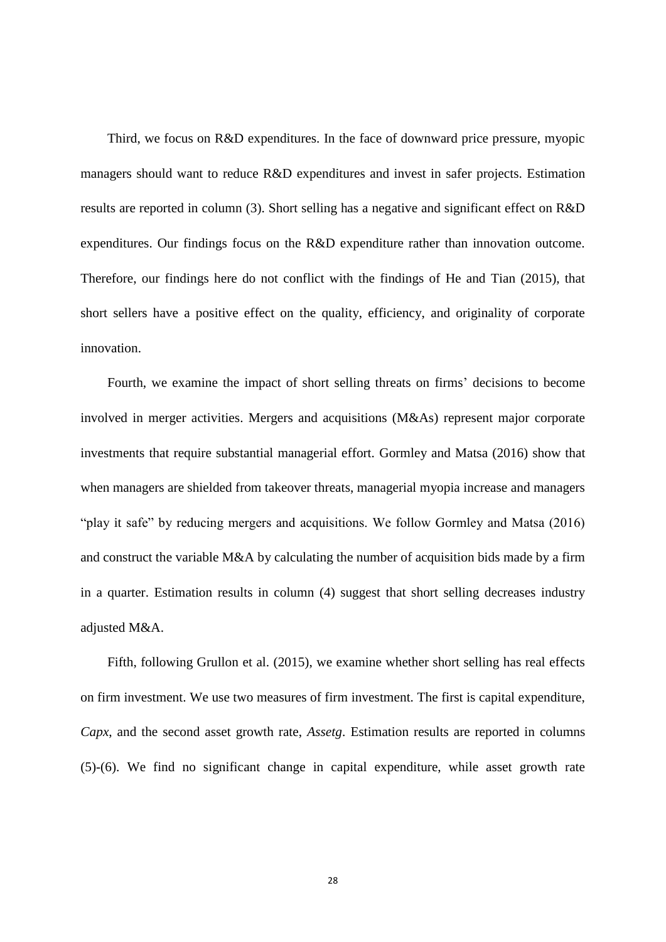Third, we focus on R&D expenditures. In the face of downward price pressure, myopic managers should want to reduce R&D expenditures and invest in safer projects. Estimation results are reported in column (3). Short selling has a negative and significant effect on R&D expenditures. Our findings focus on the R&D expenditure rather than innovation outcome. Therefore, our findings here do not conflict with the findings of He and Tian (2015), that short sellers have a positive effect on the quality, efficiency, and originality of corporate innovation.

Fourth, we examine the impact of short selling threats on firms' decisions to become involved in merger activities. Mergers and acquisitions (M&As) represent major corporate investments that require substantial managerial effort. Gormley and Matsa (2016) show that when managers are shielded from takeover threats, managerial myopia increase and managers "play it safe" by reducing mergers and acquisitions. We follow Gormley and Matsa (2016) and construct the variable M&A by calculating the number of acquisition bids made by a firm in a quarter. Estimation results in column (4) suggest that short selling decreases industry adjusted M&A.

Fifth, following Grullon et al. (2015), we examine whether short selling has real effects on firm investment. We use two measures of firm investment. The first is capital expenditure, *Capx*, and the second asset growth rate, *Assetg*. Estimation results are reported in columns (5)-(6). We find no significant change in capital expenditure, while asset growth rate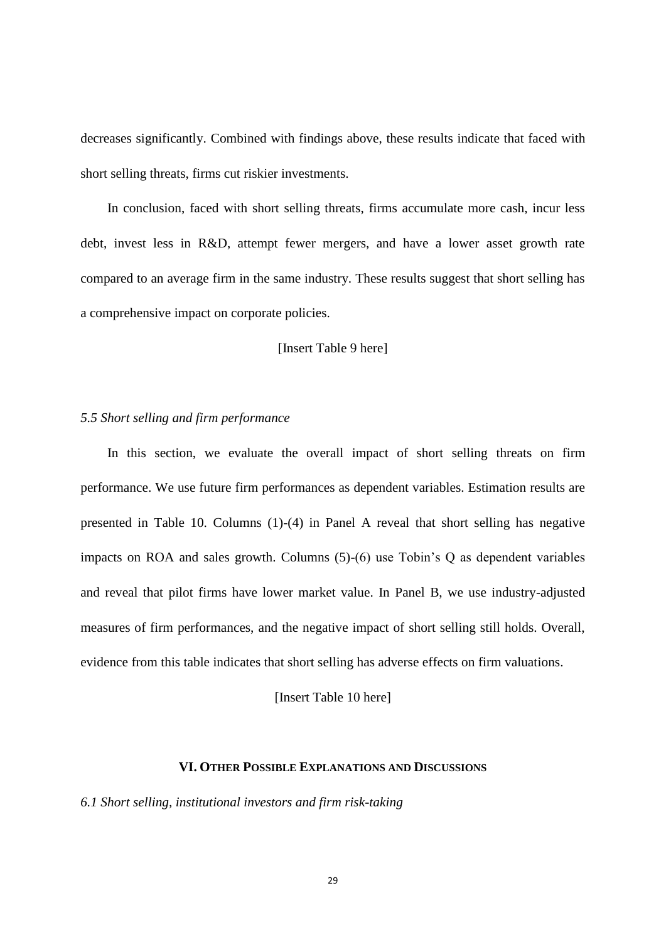decreases significantly. Combined with findings above, these results indicate that faced with short selling threats, firms cut riskier investments.

In conclusion, faced with short selling threats, firms accumulate more cash, incur less debt, invest less in R&D, attempt fewer mergers, and have a lower asset growth rate compared to an average firm in the same industry. These results suggest that short selling has a comprehensive impact on corporate policies.

[Insert Table 9 here]

#### *5.5 Short selling and firm performance*

In this section, we evaluate the overall impact of short selling threats on firm performance. We use future firm performances as dependent variables. Estimation results are presented in Table 10. Columns (1)-(4) in Panel A reveal that short selling has negative impacts on ROA and sales growth. Columns (5)-(6) use Tobin's Q as dependent variables and reveal that pilot firms have lower market value. In Panel B, we use industry-adjusted measures of firm performances, and the negative impact of short selling still holds. Overall, evidence from this table indicates that short selling has adverse effects on firm valuations.

[Insert Table 10 here]

# **VI. OTHER POSSIBLE EXPLANATIONS AND DISCUSSIONS**

*6.1 Short selling, institutional investors and firm risk-taking*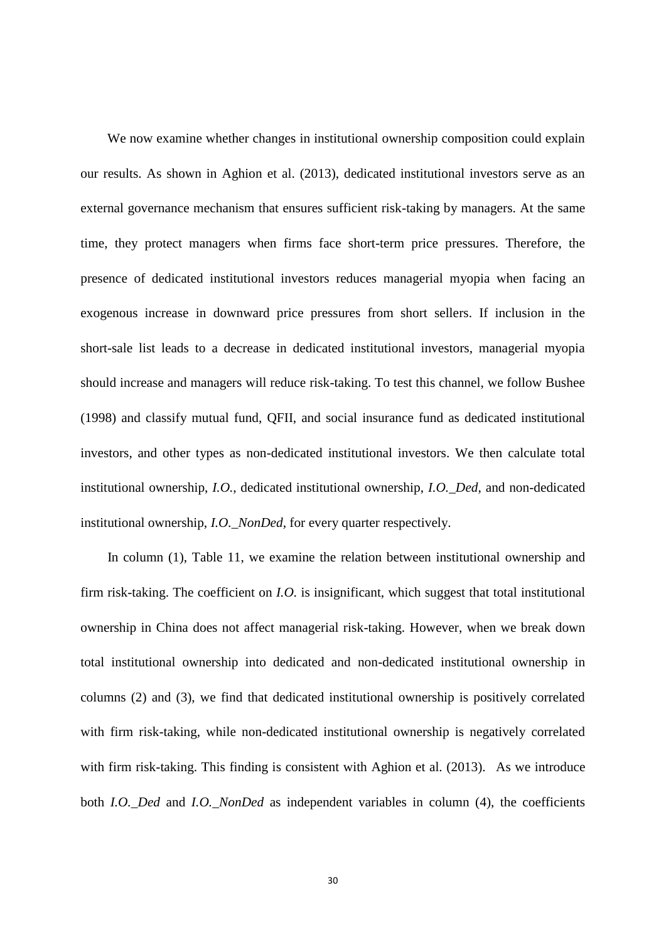We now examine whether changes in institutional ownership composition could explain our results. As shown in Aghion et al. (2013), dedicated institutional investors serve as an external governance mechanism that ensures sufficient risk-taking by managers. At the same time, they protect managers when firms face short-term price pressures. Therefore, the presence of dedicated institutional investors reduces managerial myopia when facing an exogenous increase in downward price pressures from short sellers. If inclusion in the short-sale list leads to a decrease in dedicated institutional investors, managerial myopia should increase and managers will reduce risk-taking. To test this channel, we follow Bushee (1998) and classify mutual fund, QFII, and social insurance fund as dedicated institutional investors, and other types as non-dedicated institutional investors. We then calculate total institutional ownership, *I.O.*, dedicated institutional ownership, *I.O.\_Ded*, and non-dedicated institutional ownership, *I.O.\_NonDed*, for every quarter respectively.

 In column (1), Table 11, we examine the relation between institutional ownership and firm risk-taking. The coefficient on *I.O.* is insignificant, which suggest that total institutional ownership in China does not affect managerial risk-taking. However, when we break down total institutional ownership into dedicated and non-dedicated institutional ownership in columns (2) and (3), we find that dedicated institutional ownership is positively correlated with firm risk-taking, while non-dedicated institutional ownership is negatively correlated with firm risk-taking. This finding is consistent with Aghion et al. (2013). As we introduce both *I.O.\_Ded* and *I.O.\_NonDed* as independent variables in column (4), the coefficients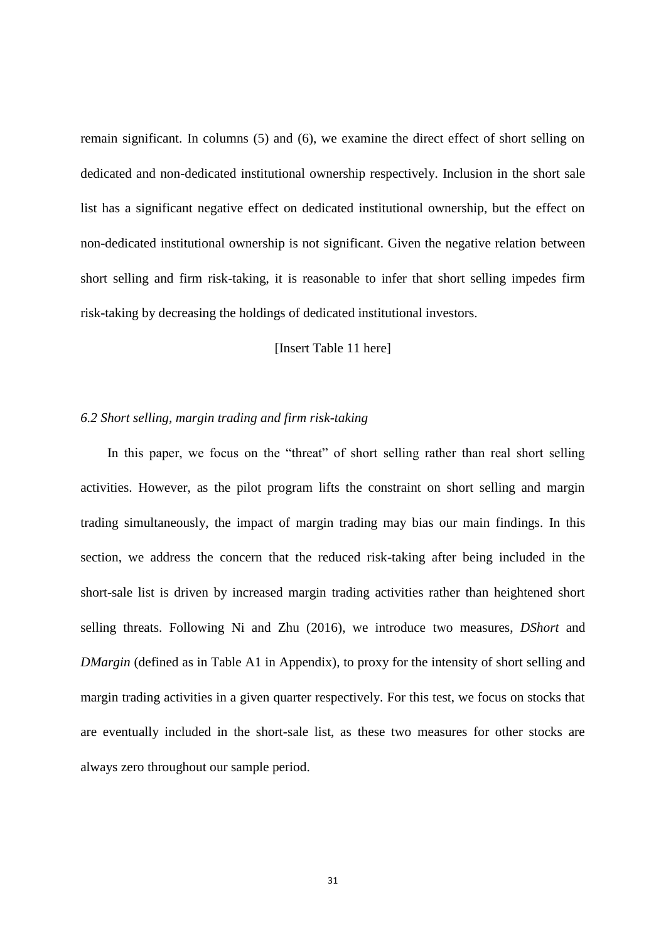remain significant. In columns (5) and (6), we examine the direct effect of short selling on dedicated and non-dedicated institutional ownership respectively. Inclusion in the short sale list has a significant negative effect on dedicated institutional ownership, but the effect on non-dedicated institutional ownership is not significant. Given the negative relation between short selling and firm risk-taking, it is reasonable to infer that short selling impedes firm risk-taking by decreasing the holdings of dedicated institutional investors.

[Insert Table 11 here]

## *6.2 Short selling, margin trading and firm risk-taking*

In this paper, we focus on the "threat" of short selling rather than real short selling activities. However, as the pilot program lifts the constraint on short selling and margin trading simultaneously, the impact of margin trading may bias our main findings. In this section, we address the concern that the reduced risk-taking after being included in the short-sale list is driven by increased margin trading activities rather than heightened short selling threats. Following Ni and Zhu (2016), we introduce two measures, *DShort* and *DMargin* (defined as in Table A1 in Appendix), to proxy for the intensity of short selling and margin trading activities in a given quarter respectively. For this test, we focus on stocks that are eventually included in the short-sale list, as these two measures for other stocks are always zero throughout our sample period.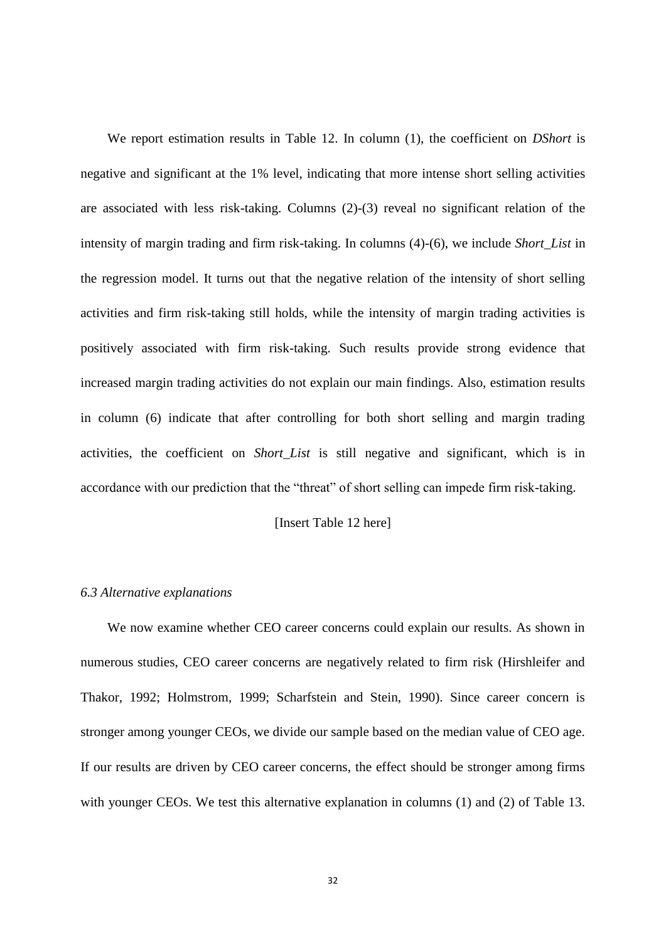We report estimation results in Table 12. In column (1), the coefficient on *DShort* is negative and significant at the 1% level, indicating that more intense short selling activities are associated with less risk-taking. Columns (2)-(3) reveal no significant relation of the intensity of margin trading and firm risk-taking. In columns (4)-(6), we include *Short\_List* in the regression model. It turns out that the negative relation of the intensity of short selling activities and firm risk-taking still holds, while the intensity of margin trading activities is positively associated with firm risk-taking. Such results provide strong evidence that increased margin trading activities do not explain our main findings. Also, estimation results in column (6) indicate that after controlling for both short selling and margin trading activities, the coefficient on *Short\_List* is still negative and significant, which is in accordance with our prediction that the "threat" of short selling can impede firm risk-taking.

# [Insert Table 12 here]

#### *6.3 Alternative explanations*

We now examine whether CEO career concerns could explain our results. As shown in numerous studies, CEO career concerns are negatively related to firm risk (Hirshleifer and Thakor, 1992; Holmstrom, 1999; Scharfstein and Stein, 1990). Since career concern is stronger among younger CEOs, we divide our sample based on the median value of CEO age. If our results are driven by CEO career concerns, the effect should be stronger among firms with younger CEOs. We test this alternative explanation in columns (1) and (2) of Table 13.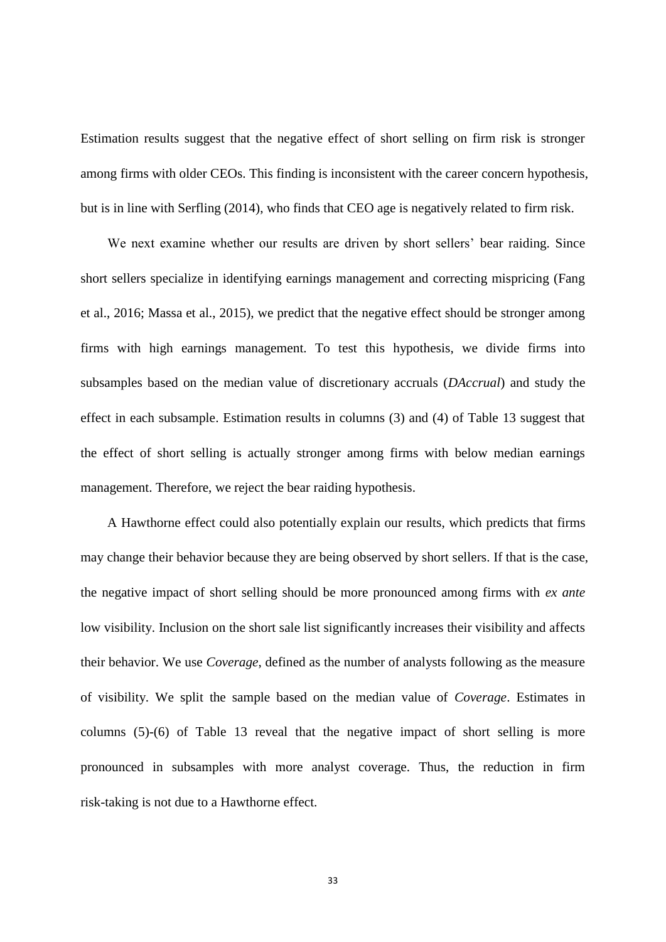Estimation results suggest that the negative effect of short selling on firm risk is stronger among firms with older CEOs. This finding is inconsistent with the career concern hypothesis, but is in line with Serfling (2014), who finds that CEO age is negatively related to firm risk.

We next examine whether our results are driven by short sellers' bear raiding. Since short sellers specialize in identifying earnings management and correcting mispricing (Fang et al., 2016; Massa et al., 2015), we predict that the negative effect should be stronger among firms with high earnings management. To test this hypothesis, we divide firms into subsamples based on the median value of discretionary accruals (*DAccrual*) and study the effect in each subsample. Estimation results in columns (3) and (4) of Table 13 suggest that the effect of short selling is actually stronger among firms with below median earnings management. Therefore, we reject the bear raiding hypothesis.

A Hawthorne effect could also potentially explain our results, which predicts that firms may change their behavior because they are being observed by short sellers. If that is the case, the negative impact of short selling should be more pronounced among firms with *ex ante* low visibility. Inclusion on the short sale list significantly increases their visibility and affects their behavior. We use *Coverage*, defined as the number of analysts following as the measure of visibility. We split the sample based on the median value of *Coverage*. Estimates in columns (5)-(6) of Table 13 reveal that the negative impact of short selling is more pronounced in subsamples with more analyst coverage. Thus, the reduction in firm risk-taking is not due to a Hawthorne effect.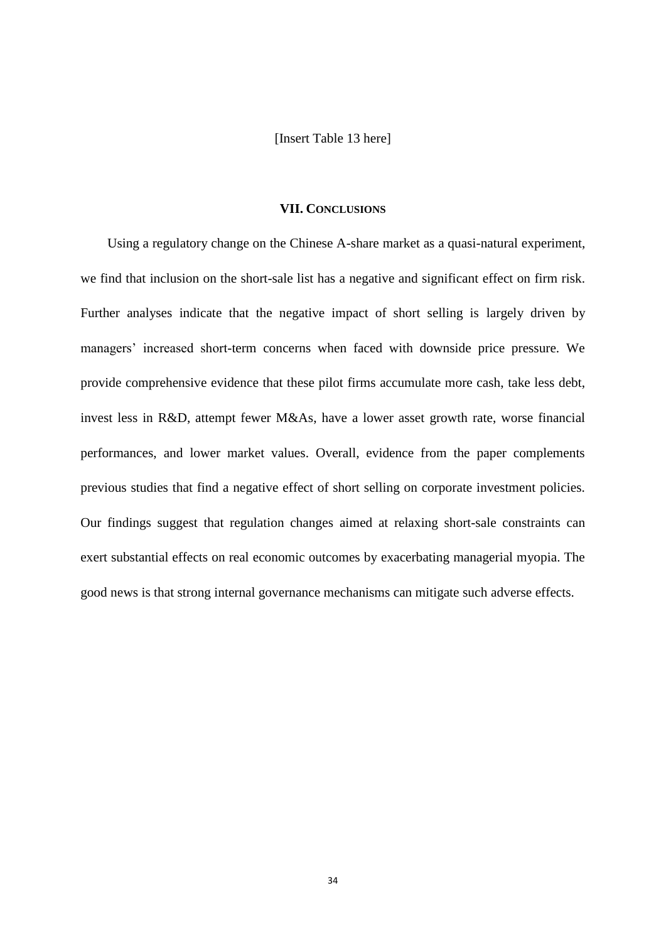[Insert Table 13 here]

# **VII. CONCLUSIONS**

Using a regulatory change on the Chinese A-share market as a quasi-natural experiment, we find that inclusion on the short-sale list has a negative and significant effect on firm risk. Further analyses indicate that the negative impact of short selling is largely driven by managers' increased short-term concerns when faced with downside price pressure. We provide comprehensive evidence that these pilot firms accumulate more cash, take less debt, invest less in R&D, attempt fewer M&As, have a lower asset growth rate, worse financial performances, and lower market values. Overall, evidence from the paper complements previous studies that find a negative effect of short selling on corporate investment policies. Our findings suggest that regulation changes aimed at relaxing short-sale constraints can exert substantial effects on real economic outcomes by exacerbating managerial myopia. The good news is that strong internal governance mechanisms can mitigate such adverse effects.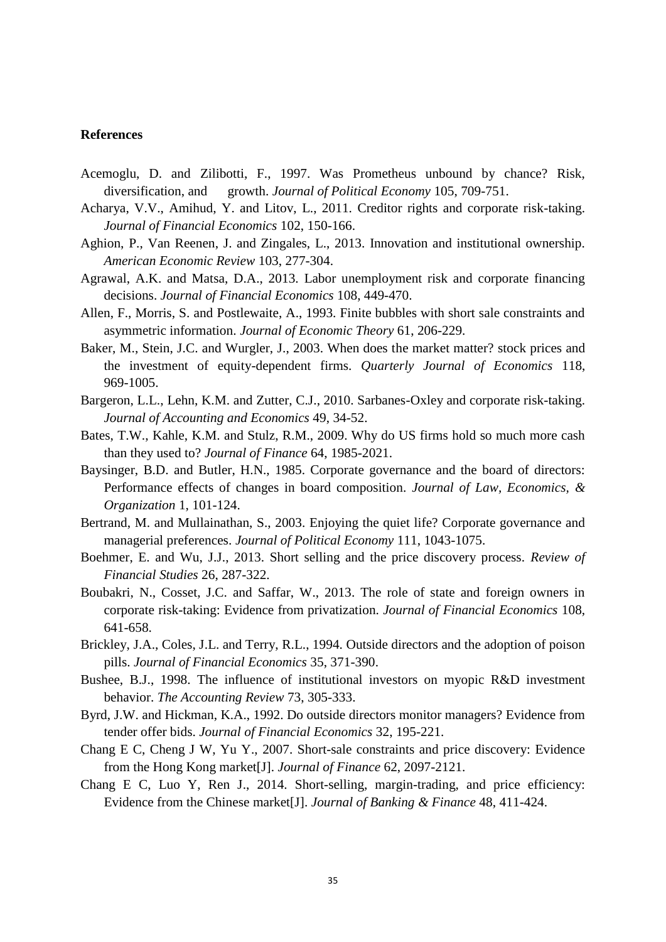#### **References**

- Acemoglu, D. and Zilibotti, F., 1997. Was Prometheus unbound by chance? Risk, diversification, and growth. *Journal of Political Economy* 105, 709-751.
- Acharya, V.V., Amihud, Y. and Litov, L., 2011. Creditor rights and corporate risk-taking. *Journal of Financial Economics* 102, 150-166.
- Aghion, P., Van Reenen, J. and Zingales, L., 2013. Innovation and institutional ownership. *American Economic Review* 103, 277-304.
- Agrawal, A.K. and Matsa, D.A., 2013. Labor unemployment risk and corporate financing decisions. *Journal of Financial Economics* 108, 449-470.
- Allen, F., Morris, S. and Postlewaite, A., 1993. Finite bubbles with short sale constraints and asymmetric information. *Journal of Economic Theory* 61, 206-229.
- Baker, M., Stein, J.C. and Wurgler, J., 2003. When does the market matter? stock prices and the investment of equity-dependent firms. *Quarterly Journal of Economics* 118, 969-1005.
- Bargeron, L.L., Lehn, K.M. and Zutter, C.J., 2010. Sarbanes-Oxley and corporate risk-taking. *Journal of Accounting and Economics* 49, 34-52.
- Bates, T.W., Kahle, K.M. and Stulz, R.M., 2009. Why do US firms hold so much more cash than they used to? *Journal of Finance* 64, 1985-2021.
- Baysinger, B.D. and Butler, H.N., 1985. Corporate governance and the board of directors: Performance effects of changes in board composition. *Journal of Law, Economics, & Organization* 1, 101-124.
- Bertrand, M. and Mullainathan, S., 2003. Enjoying the quiet life? Corporate governance and managerial preferences. *Journal of Political Economy* 111, 1043-1075.
- Boehmer, E. and Wu, J.J., 2013. Short selling and the price discovery process. *Review of Financial Studies* 26, 287-322.
- Boubakri, N., Cosset, J.C. and Saffar, W., 2013. The role of state and foreign owners in corporate risk-taking: Evidence from privatization. *Journal of Financial Economics* 108, 641-658.
- Brickley, J.A., Coles, J.L. and Terry, R.L., 1994. Outside directors and the adoption of poison pills. *Journal of Financial Economics* 35, 371-390.
- Bushee, B.J., 1998. The influence of institutional investors on myopic R&D investment behavior. *The Accounting Review* 73, 305-333.
- Byrd, J.W. and Hickman, K.A., 1992. Do outside directors monitor managers? Evidence from tender offer bids. *Journal of Financial Economics* 32, 195-221.
- Chang E C, Cheng J W, Yu Y., 2007. Short-sale constraints and price discovery: Evidence from the Hong Kong market[J]. *Journal of Finance* 62, 2097-2121.
- Chang E C, Luo Y, Ren J., 2014. Short-selling, margin-trading, and price efficiency: Evidence from the Chinese market[J]. *Journal of Banking & Finance* 48, 411-424.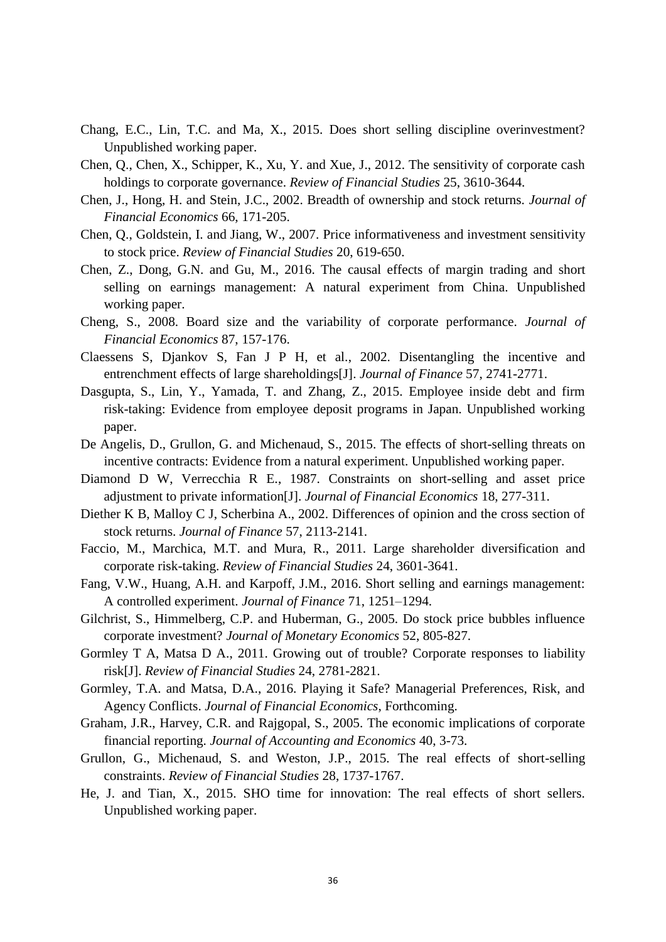- Chang, E.C., Lin, T.C. and Ma, X., 2015. Does short selling discipline overinvestment? Unpublished working paper.
- Chen, Q., Chen, X., Schipper, K., Xu, Y. and Xue, J., 2012. The sensitivity of corporate cash holdings to corporate governance. *Review of Financial Studies* 25, 3610-3644.
- Chen, J., Hong, H. and Stein, J.C., 2002. Breadth of ownership and stock returns. *Journal of Financial Economics* 66, 171-205.
- Chen, Q., Goldstein, I. and Jiang, W., 2007. Price informativeness and investment sensitivity to stock price. *Review of Financial Studies* 20, 619-650.
- Chen, Z., Dong, G.N. and Gu, M., 2016. The causal effects of margin trading and short selling on earnings management: A natural experiment from China. Unpublished working paper.
- Cheng, S., 2008. Board size and the variability of corporate performance. *Journal of Financial Economics* 87, 157-176.
- Claessens S, Djankov S, Fan J P H, et al., 2002. Disentangling the incentive and entrenchment effects of large shareholdings[J]. *Journal of Finance* 57, 2741-2771.
- Dasgupta, S., Lin, Y., Yamada, T. and Zhang, Z., 2015. Employee inside debt and firm risk-taking: Evidence from employee deposit programs in Japan. Unpublished working paper.
- De Angelis, D., Grullon, G. and Michenaud, S., 2015. The effects of short-selling threats on incentive contracts: Evidence from a natural experiment. Unpublished working paper.
- Diamond D W, Verrecchia R E., 1987. Constraints on short-selling and asset price adjustment to private information[J]. *Journal of Financial Economics* 18, 277-311.
- Diether K B, Malloy C J, Scherbina A., 2002. Differences of opinion and the cross section of stock returns. *Journal of Finance* 57, 2113-2141.
- Faccio, M., Marchica, M.T. and Mura, R., 2011. Large shareholder diversification and corporate risk-taking. *Review of Financial Studies* 24, 3601-3641.
- Fang, V.W., Huang, A.H. and Karpoff, J.M., 2016. Short selling and earnings management: A controlled experiment. *Journal of Finance* 71, 1251–1294.
- Gilchrist, S., Himmelberg, C.P. and Huberman, G., 2005. Do stock price bubbles influence corporate investment? *Journal of Monetary Economics* 52, 805-827.
- Gormley T A, Matsa D A., 2011. Growing out of trouble? Corporate responses to liability risk[J]. *Review of Financial Studies* 24, 2781-2821.
- Gormley, T.A. and Matsa, D.A., 2016. Playing it Safe? Managerial Preferences, Risk, and Agency Conflicts. *Journal of Financial Economics*, Forthcoming.
- Graham, J.R., Harvey, C.R. and Rajgopal, S., 2005. The economic implications of corporate financial reporting. *Journal of Accounting and Economics* 40, 3-73.
- Grullon, G., Michenaud, S. and Weston, J.P., 2015. The real effects of short-selling constraints. *Review of Financial Studies* 28, 1737-1767.
- He, J. and Tian, X., 2015. SHO time for innovation: The real effects of short sellers. Unpublished working paper.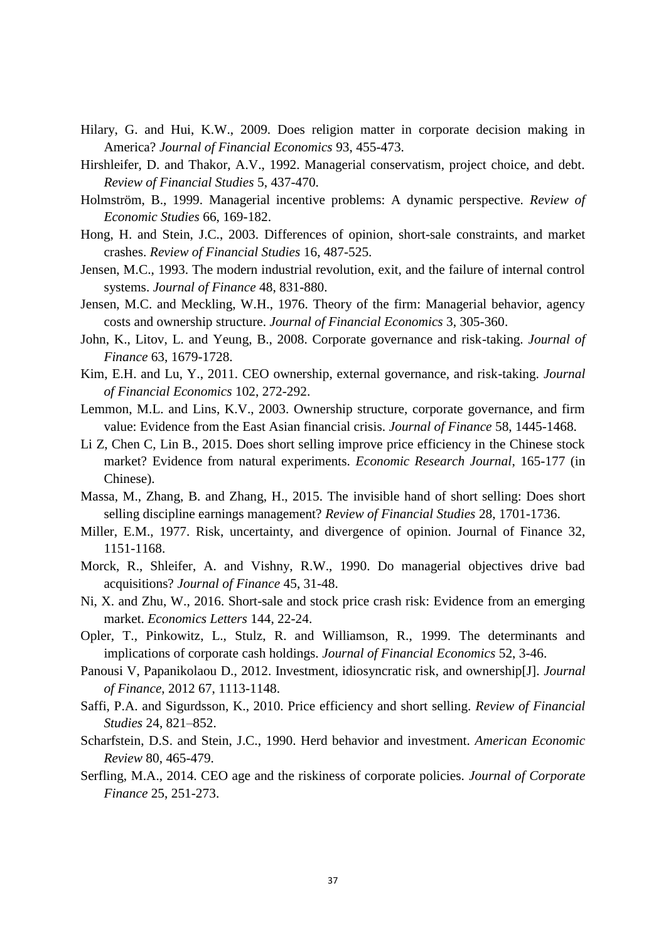- Hilary, G. and Hui, K.W., 2009. Does religion matter in corporate decision making in America? *Journal of Financial Economics* 93, 455-473.
- Hirshleifer, D. and Thakor, A.V., 1992. Managerial conservatism, project choice, and debt. *Review of Financial Studies* 5, 437-470.
- Holmström, B., 1999. Managerial incentive problems: A dynamic perspective. *Review of Economic Studies* 66, 169-182.
- Hong, H. and Stein, J.C., 2003. Differences of opinion, short-sale constraints, and market crashes. *Review of Financial Studies* 16, 487-525.
- Jensen, M.C., 1993. The modern industrial revolution, exit, and the failure of internal control systems. *Journal of Finance* 48, 831-880.
- Jensen, M.C. and Meckling, W.H., 1976. Theory of the firm: Managerial behavior, agency costs and ownership structure. *Journal of Financial Economics* 3, 305-360.
- John, K., Litov, L. and Yeung, B., 2008. Corporate governance and risk-taking. *Journal of Finance* 63, 1679-1728.
- Kim, E.H. and Lu, Y., 2011. CEO ownership, external governance, and risk-taking. *Journal of Financial Economics* 102, 272-292.
- Lemmon, M.L. and Lins, K.V., 2003. Ownership structure, corporate governance, and firm value: Evidence from the East Asian financial crisis. *Journal of Finance* 58, 1445-1468.
- Li Z, Chen C, Lin B., 2015. Does short selling improve price efficiency in the Chinese stock market? Evidence from natural experiments. *Economic Research Journal*, 165-177 (in Chinese).
- Massa, M., Zhang, B. and Zhang, H., 2015. The invisible hand of short selling: Does short selling discipline earnings management? *Review of Financial Studies* 28, 1701-1736.
- Miller, E.M., 1977. Risk, uncertainty, and divergence of opinion. Journal of Finance 32, 1151-1168.
- Morck, R., Shleifer, A. and Vishny, R.W., 1990. Do managerial objectives drive bad acquisitions? *Journal of Finance* 45, 31-48.
- Ni, X. and Zhu, W., 2016. Short-sale and stock price crash risk: Evidence from an emerging market. *Economics Letters* 144, 22-24.
- Opler, T., Pinkowitz, L., Stulz, R. and Williamson, R., 1999. The determinants and implications of corporate cash holdings. *Journal of Financial Economics* 52, 3-46.
- Panousi V, Papanikolaou D., 2012. Investment, idiosyncratic risk, and ownership[J]. *Journal of Finance*, 2012 67, 1113-1148.
- Saffi, P.A. and Sigurdsson, K., 2010. Price efficiency and short selling. *Review of Financial Studies* 24, 821–852.
- Scharfstein, D.S. and Stein, J.C., 1990. Herd behavior and investment. *American Economic Review* 80, 465-479.
- Serfling, M.A., 2014. CEO age and the riskiness of corporate policies. *Journal of Corporate Finance* 25, 251-273.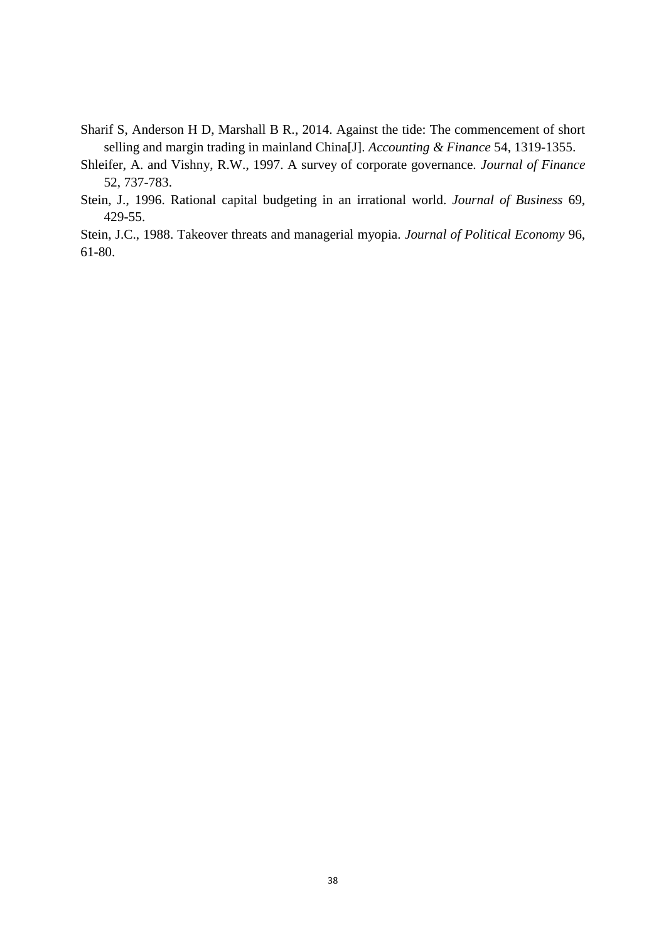- Sharif S, Anderson H D, Marshall B R., 2014. Against the tide: The commencement of short selling and margin trading in mainland China[J]. *Accounting & Finance* 54, 1319-1355.
- Shleifer, A. and Vishny, R.W., 1997. A survey of corporate governance. *Journal of Finance* 52, 737-783.
- Stein, J., 1996. Rational capital budgeting in an irrational world. *Journal of Business* 69, 429-55.

Stein, J.C., 1988. Takeover threats and managerial myopia. *Journal of Political Economy* 96, 61-80.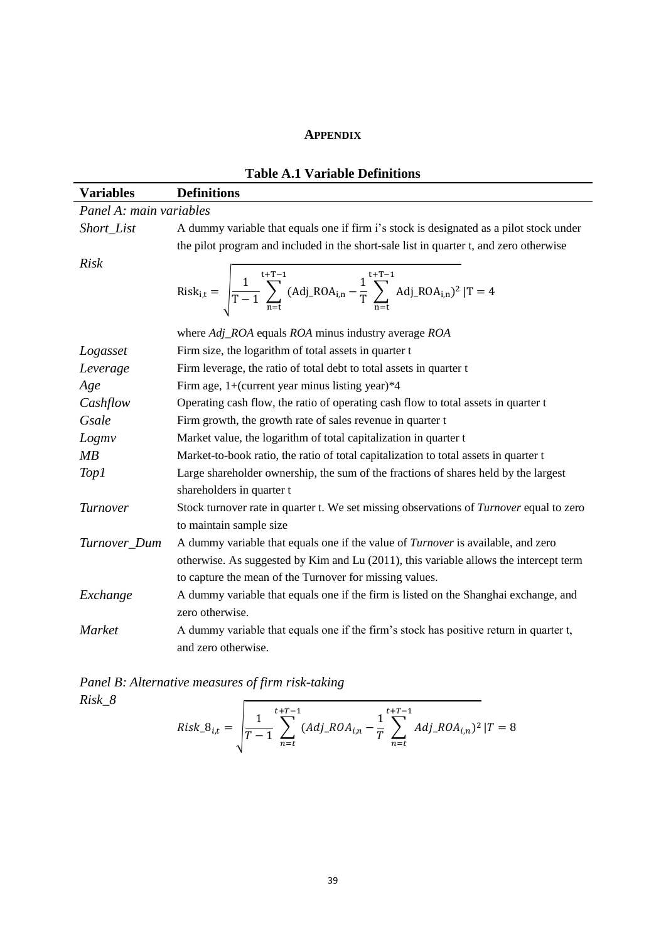#### **APPENDIX**

| <b>Variables</b> | <b>Definitions</b>                                                                                                                    |  |  |  |  |  |
|------------------|---------------------------------------------------------------------------------------------------------------------------------------|--|--|--|--|--|
|                  | Panel A: main variables                                                                                                               |  |  |  |  |  |
| Short_List       | A dummy variable that equals one if firm i's stock is designated as a pilot stock under                                               |  |  |  |  |  |
|                  | the pilot program and included in the short-sale list in quarter t, and zero otherwise                                                |  |  |  |  |  |
| <b>Risk</b>      | Risk <sub>i,t</sub> = $\sqrt{\frac{1}{T-1} \sum_{n=1}^{t+T-1} (Adj_ROA_{i,n} - \frac{1}{T} \sum_{n=t}^{t+T-1} Adj_ROA_{i,n})^2  T=4}$ |  |  |  |  |  |
|                  | where Adj_ROA equals ROA minus industry average ROA                                                                                   |  |  |  |  |  |
| Logasset         | Firm size, the logarithm of total assets in quarter t                                                                                 |  |  |  |  |  |
| Leverage         | Firm leverage, the ratio of total debt to total assets in quarter t                                                                   |  |  |  |  |  |
| Age              | Firm age, 1+(current year minus listing year) $*4$                                                                                    |  |  |  |  |  |
| Cashflow         | Operating cash flow, the ratio of operating cash flow to total assets in quarter t                                                    |  |  |  |  |  |
| Gsale            | Firm growth, the growth rate of sales revenue in quarter t                                                                            |  |  |  |  |  |
| Logmv            | Market value, the logarithm of total capitalization in quarter t                                                                      |  |  |  |  |  |
| MB               | Market-to-book ratio, the ratio of total capitalization to total assets in quarter t                                                  |  |  |  |  |  |
| Top1             | Large shareholder ownership, the sum of the fractions of shares held by the largest                                                   |  |  |  |  |  |
|                  | shareholders in quarter t                                                                                                             |  |  |  |  |  |
| Turnover         | Stock turnover rate in quarter t. We set missing observations of <i>Turnover</i> equal to zero                                        |  |  |  |  |  |
|                  | to maintain sample size                                                                                                               |  |  |  |  |  |
| Turnover_Dum     | A dummy variable that equals one if the value of <i>Turnover</i> is available, and zero                                               |  |  |  |  |  |
|                  | otherwise. As suggested by Kim and Lu (2011), this variable allows the intercept term                                                 |  |  |  |  |  |
|                  | to capture the mean of the Turnover for missing values.                                                                               |  |  |  |  |  |
| Exchange         | A dummy variable that equals one if the firm is listed on the Shanghai exchange, and                                                  |  |  |  |  |  |
|                  | zero otherwise.                                                                                                                       |  |  |  |  |  |
| Market           | A dummy variable that equals one if the firm's stock has positive return in quarter t,<br>and zero otherwise.                         |  |  |  |  |  |

# **Table A.1 Variable Definitions**

*Panel B: Alternative measures of firm risk-taking Risk\_8*

 $Risk_8_{i,t} = \left| \frac{1}{T} \right|$  $\frac{1}{T-1}$   $\sum$  (Adj\_ROA<sub>i,n</sub> – 1  $\frac{1}{T}$   $\sum$   $Adj\_ROA_{i,n}$  $t+T-1$  $t+T-1$ 

 $n = t$ 

 $n = t$ 

) 2

 $|T = 8$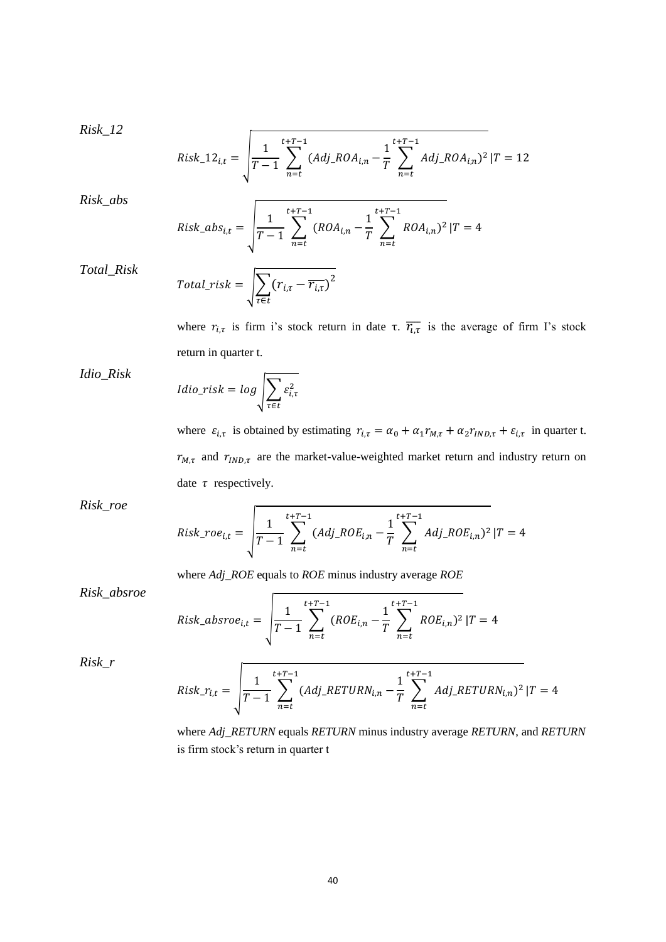*Risk\_12*

$$
Risk\_12_{i,t} = \sqrt{\frac{1}{T-1} \sum_{n=t}^{t+T-1} (Adj\_ROA_{i,n} - \frac{1}{T} \sum_{n=t}^{t+T-1} Adj\_ROA_{i,n})^2 | T = 12}
$$

*Risk\_abs*

Risk\_abs<sub>i,t</sub> = 
$$
\sqrt{\frac{1}{T-1} \sum_{n=t}^{t+T-1} (ROA_{i,n} - \frac{1}{T} \sum_{n=t}^{t+T-1} ROA_{i,n})^2 |T=4}
$$

*Total\_Risk*

*Idio\_Risk*

$$
Total\_risk = \sqrt{\sum_{\tau \in t} (r_{i,\tau} - \overline{r_{i,\tau}})^2}
$$

where  $r_{i,\tau}$  is firm i's stock return in date τ.  $\overline{r_{i,\tau}}$  is the average of firm I's stock return in quarter t.

$$
Idio\_risk = log \sqrt{\sum_{\tau \in t} \varepsilon_{i,\tau}^2}
$$

where  $\varepsilon_{i,\tau}$  is obtained by estimating  $r_{i,\tau} = \alpha_0 + \alpha_1 r_{M,\tau} + \alpha_2 r_{IND,\tau} + \varepsilon_{i,\tau}$  in quarter t.  $r_{M,\tau}$  and  $r_{IND,\tau}$  are the market-value-weighted market return and industry return on date  $\tau$  respectively.

*Risk\_roe*

Risk<sub>-</sub>roe<sub>i,t</sub> = 
$$
\sqrt{\frac{1}{T-1} \sum_{n=t}^{t+T-1} (Adj_{-R}OE_{i,n} - \frac{1}{T} \sum_{n=t}^{t+T-1} Adj_{-R}OE_{i,n})^2 |T=4}
$$

where *Adj\_ROE* equals to *ROE* minus industry average *ROE*

*Risk\_absroe*

Risk\_absroe<sub>i,t</sub> = 
$$
\sqrt{\frac{1}{T-1} \sum_{n=t}^{t+T-1} (ROE_{i,n} - \frac{1}{T} \sum_{n=t}^{t+T-1} ROE_{i,n})^2 |T=4}
$$

*Risk\_r*

$$
Risk\_r_{i,t} = \sqrt{\frac{1}{T-1} \sum_{n=t}^{t+T-1} (Adj\_RETURN_{i,n} - \frac{1}{T} \sum_{n=t}^{t+T-1} Adj\_RETURN_{i,n})^2 |T=4}
$$

where *Adj\_RETURN* equals *RETURN* minus industry average *RETURN*, and *RETURN* is firm stock's return in quarter t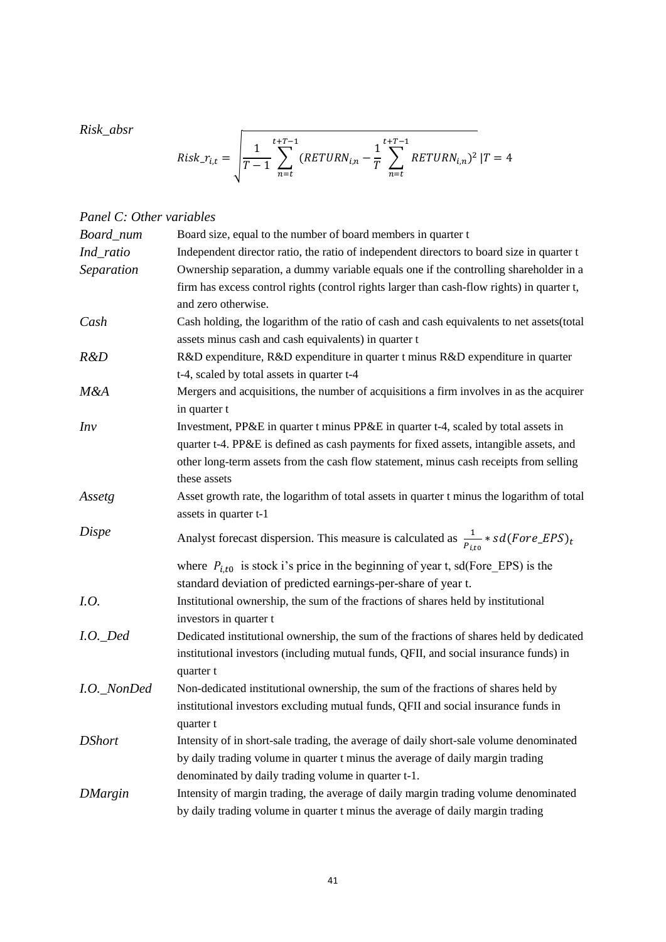*Risk\_absr*

$$
Risk\_r_{i,t} = \sqrt{\frac{1}{T-1} \sum_{n=t}^{t+T-1} (RETURN_{i,n} - \frac{1}{T} \sum_{n=t}^{t+T-1} RETURN_{i,n})^2 | T = 4
$$

# *Panel C: Other variables*

| Board_num      | Board size, equal to the number of board members in quarter t                                       |
|----------------|-----------------------------------------------------------------------------------------------------|
| Ind_ratio      | Independent director ratio, the ratio of independent directors to board size in quarter t           |
| Separation     | Ownership separation, a dummy variable equals one if the controlling shareholder in a               |
|                | firm has excess control rights (control rights larger than cash-flow rights) in quarter t,          |
|                | and zero otherwise.                                                                                 |
| Cash           | Cash holding, the logarithm of the ratio of cash and cash equivalents to net assets (total          |
|                | assets minus cash and cash equivalents) in quarter t                                                |
| R&D            | R&D expenditure, R&D expenditure in quarter t minus R&D expenditure in quarter                      |
|                | t-4, scaled by total assets in quarter t-4                                                          |
| M&A            | Mergers and acquisitions, the number of acquisitions a firm involves in as the acquirer             |
|                | in quarter t                                                                                        |
| Inv            | Investment, PP&E in quarter t minus PP&E in quarter t-4, scaled by total assets in                  |
|                | quarter t-4. PP&E is defined as cash payments for fixed assets, intangible assets, and              |
|                | other long-term assets from the cash flow statement, minus cash receipts from selling               |
|                | these assets                                                                                        |
| Assetg         | Asset growth rate, the logarithm of total assets in quarter t minus the logarithm of total          |
|                | assets in quarter t-1                                                                               |
| Dispe          | Analyst forecast dispersion. This measure is calculated as $\frac{1}{P_{itn}} * sd(Force\_EPS)_{t}$ |
|                | where $P_{i,t0}$ is stock i's price in the beginning of year t, sd(Fore_EPS) is the                 |
|                | standard deviation of predicted earnings-per-share of year t.                                       |
| I.O.           | Institutional ownership, the sum of the fractions of shares held by institutional                   |
|                | investors in quarter t                                                                              |
| $I.O.$ Ded     | Dedicated institutional ownership, the sum of the fractions of shares held by dedicated             |
|                | institutional investors (including mutual funds, QFII, and social insurance funds) in               |
|                | quarter t                                                                                           |
| I.O._NonDed    | Non-dedicated institutional ownership, the sum of the fractions of shares held by                   |
|                | institutional investors excluding mutual funds, QFII and social insurance funds in                  |
|                | quarter t                                                                                           |
| <b>DShort</b>  | Intensity of in short-sale trading, the average of daily short-sale volume denominated              |
|                | by daily trading volume in quarter t minus the average of daily margin trading                      |
|                | denominated by daily trading volume in quarter t-1.                                                 |
| <b>DMargin</b> | Intensity of margin trading, the average of daily margin trading volume denominated                 |
|                | by daily trading volume in quarter t minus the average of daily margin trading                      |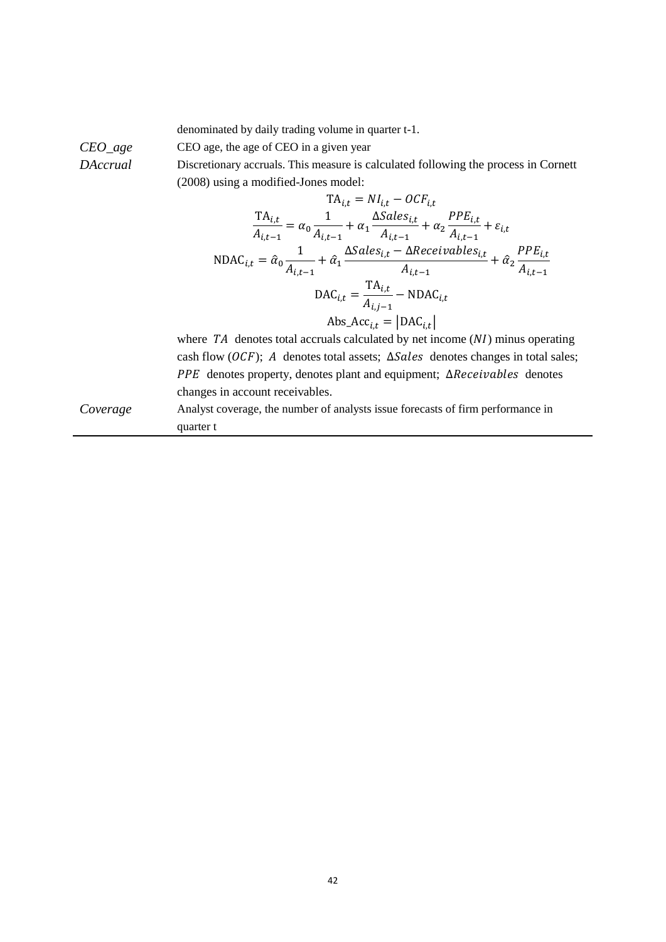denominated by daily trading volume in quarter t-1.

*CEO\_age* CEO age, the age of CEO in a given year

*DAccrual* Discretionary accruals. This measure is calculated following the process in Cornett (2008) using a modified-Jones model:

$$
TA_{i,t} = NI_{i,t} - OCF_{i,t}
$$
\n
$$
\frac{TA_{i,t}}{A_{i,t-1}} = \alpha_0 \frac{1}{A_{i,t-1}} + \alpha_1 \frac{\Delta Sales_{i,t}}{A_{i,t-1}} + \alpha_2 \frac{PPE_{i,t}}{A_{i,t-1}} + \varepsilon_{i,t}
$$
\n
$$
NDAC_{i,t} = \hat{\alpha}_0 \frac{1}{A_{i,t-1}} + \hat{\alpha}_1 \frac{\Delta Sales_{i,t} - \Delta Receiverivables_{i,t}}{A_{i,t-1}} + \hat{\alpha}_2 \frac{PPE_{i,t}}{A_{i,t-1}}
$$
\n
$$
DAC_{i,t} = \frac{TA_{i,t}}{A_{i,j-1}} - NDAC_{i,t}
$$
\n
$$
Abs\_Acc_{i,t} = |DAC_{i,t}|
$$

where  $TA$  denotes total accruals calculated by net income  $(NI)$  minus operating cash flow ( $OCF$ ); A denotes total assets;  $\Delta Sales$  denotes changes in total sales; PPE denotes property, denotes plant and equipment; ∆Receivables denotes changes in account receivables.

*Coverage* Analyst coverage, the number of analysts issue forecasts of firm performance in quarter t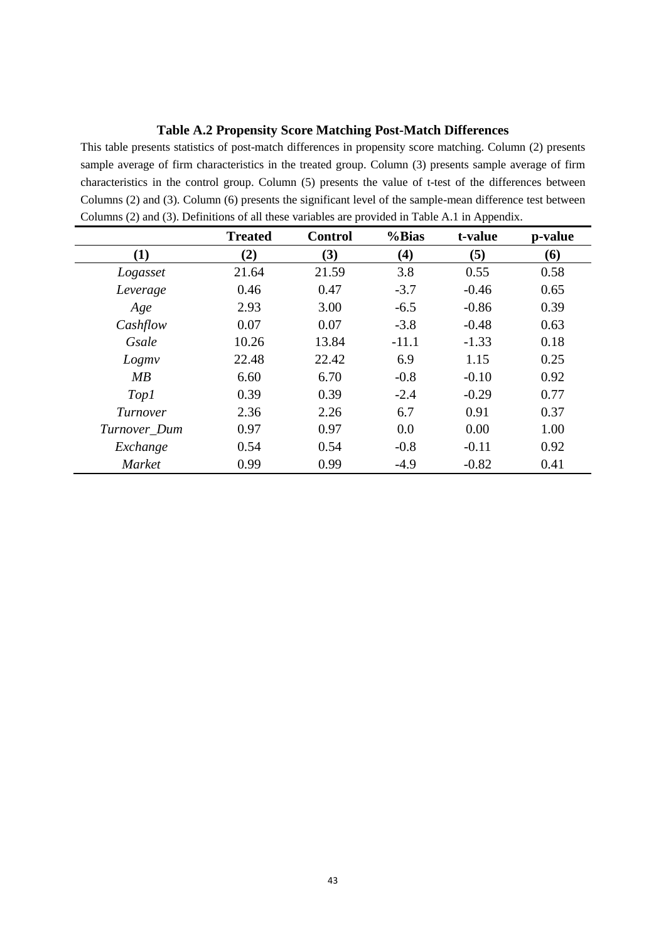# **Table A.2 Propensity Score Matching Post-Match Differences**

This table presents statistics of post-match differences in propensity score matching. Column (2) presents sample average of firm characteristics in the treated group. Column (3) presents sample average of firm characteristics in the control group. Column (5) presents the value of t-test of the differences between Columns (2) and (3). Column (6) presents the significant level of the sample-mean difference test between Columns (2) and (3). Definitions of all these variables are provided in Table A.1 in Appendix.

|              | <b>Treated</b> | <b>Control</b> | %Bias   | t-value | p-value |
|--------------|----------------|----------------|---------|---------|---------|
| (1)          | (2)            | (3)            | (4)     | (5)     | (6)     |
| Logasset     | 21.64          | 21.59          | 3.8     | 0.55    | 0.58    |
| Leverage     | 0.46           | 0.47           | $-3.7$  | $-0.46$ | 0.65    |
| Age          | 2.93           | 3.00           | $-6.5$  | $-0.86$ | 0.39    |
| Cashflow     | 0.07           | 0.07           | $-3.8$  | $-0.48$ | 0.63    |
| Gsale        | 10.26          | 13.84          | $-11.1$ | $-1.33$ | 0.18    |
| Logmy        | 22.48          | 22.42          | 6.9     | 1.15    | 0.25    |
| MB           | 6.60           | 6.70           | $-0.8$  | $-0.10$ | 0.92    |
| <i>Top1</i>  | 0.39           | 0.39           | $-2.4$  | $-0.29$ | 0.77    |
| Turnover     | 2.36           | 2.26           | 6.7     | 0.91    | 0.37    |
| Turnover_Dum | 0.97           | 0.97           | 0.0     | 0.00    | 1.00    |
| Exchange     | 0.54           | 0.54           | $-0.8$  | $-0.11$ | 0.92    |
| Market       | 0.99           | 0.99           | $-4.9$  | $-0.82$ | 0.41    |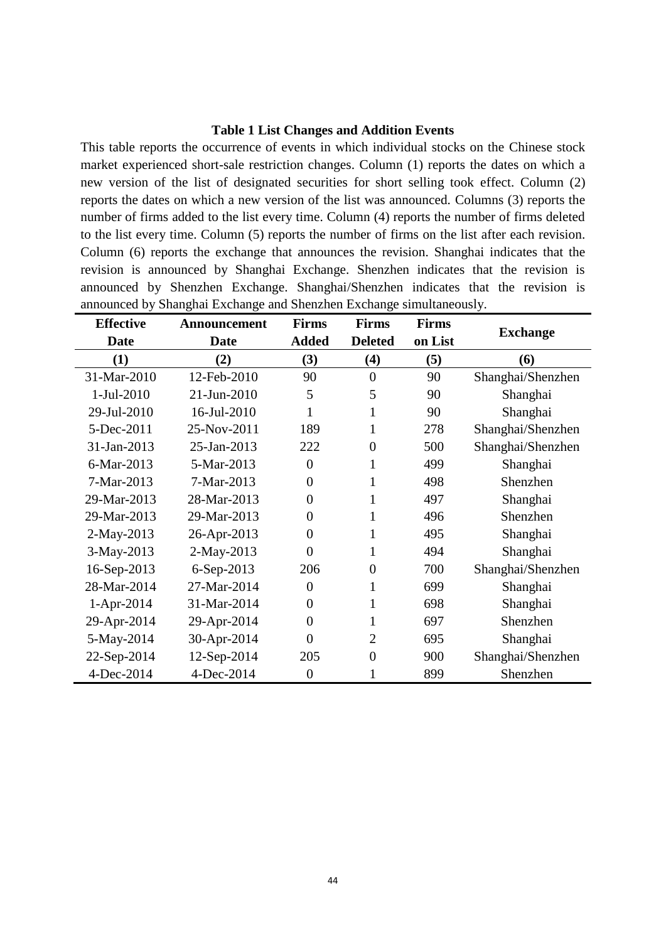# **Table 1 List Changes and Addition Events**

This table reports the occurrence of events in which individual stocks on the Chinese stock market experienced short-sale restriction changes. Column (1) reports the dates on which a new version of the list of designated securities for short selling took effect. Column (2) reports the dates on which a new version of the list was announced. Columns (3) reports the number of firms added to the list every time. Column (4) reports the number of firms deleted to the list every time. Column (5) reports the number of firms on the list after each revision. Column (6) reports the exchange that announces the revision. Shanghai indicates that the revision is announced by Shanghai Exchange. Shenzhen indicates that the revision is announced by Shenzhen Exchange. Shanghai/Shenzhen indicates that the revision is announced by Shanghai Exchange and Shenzhen Exchange simultaneously.

| <b>Effective</b> | Announcement | <b>Firms</b>   | <b>Firms</b>   | <b>Firms</b> |                   |
|------------------|--------------|----------------|----------------|--------------|-------------------|
| <b>Date</b>      | <b>Date</b>  | <b>Added</b>   | <b>Deleted</b> | on List      | <b>Exchange</b>   |
| (1)              | (2)          | (3)            | (4)            | (5)          | (6)               |
| 31-Mar-2010      | 12-Feb-2010  | 90             | $\overline{0}$ | 90           | Shanghai/Shenzhen |
| 1-Jul-2010       | 21-Jun-2010  | 5              | 5              | 90           | Shanghai          |
| 29-Jul-2010      | 16-Jul-2010  | 1              |                | 90           | Shanghai          |
| 5-Dec-2011       | 25-Nov-2011  | 189            |                | 278          | Shanghai/Shenzhen |
| 31-Jan-2013      | 25-Jan-2013  | 222            | $\overline{0}$ | 500          | Shanghai/Shenzhen |
| 6-Mar-2013       | 5-Mar-2013   | $\overline{0}$ | 1              | 499          | Shanghai          |
| 7-Mar-2013       | 7-Mar-2013   | 0              |                | 498          | Shenzhen          |
| 29-Mar-2013      | 28-Mar-2013  | 0              |                | 497          | Shanghai          |
| 29-Mar-2013      | 29-Mar-2013  | 0              |                | 496          | Shenzhen          |
| 2-May-2013       | 26-Apr-2013  | $\overline{0}$ | 1              | 495          | Shanghai          |
| 3-May-2013       | 2-May-2013   | $\overline{0}$ | 1              | 494          | Shanghai          |
| 16-Sep-2013      | 6-Sep-2013   | 206            | $\overline{0}$ | 700          | Shanghai/Shenzhen |
| 28-Mar-2014      | 27-Mar-2014  | $\overline{0}$ |                | 699          | Shanghai          |
| 1-Apr-2014       | 31-Mar-2014  | $\overline{0}$ |                | 698          | Shanghai          |
| 29-Apr-2014      | 29-Apr-2014  | $\overline{0}$ | 1              | 697          | Shenzhen          |
| 5-May-2014       | 30-Apr-2014  | 0              | $\overline{2}$ | 695          | Shanghai          |
| 22-Sep-2014      | 12-Sep-2014  | 205            | $\overline{0}$ | 900          | Shanghai/Shenzhen |
| 4-Dec-2014       | 4-Dec-2014   | $\overline{0}$ |                | 899          | Shenzhen          |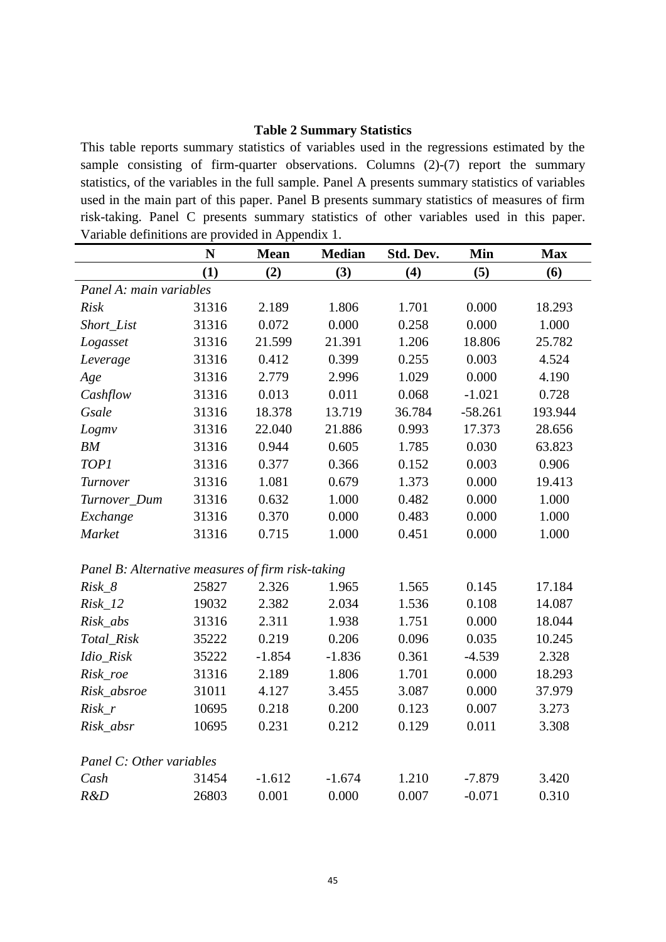# **Table 2 Summary Statistics**

This table reports summary statistics of variables used in the regressions estimated by the sample consisting of firm-quarter observations. Columns (2)-(7) report the summary statistics, of the variables in the full sample. Panel A presents summary statistics of variables used in the main part of this paper. Panel B presents summary statistics of measures of firm risk-taking. Panel C presents summary statistics of other variables used in this paper. Variable definitions are provided in Appendix 1.

|                                                   | N     | <b>Mean</b> | <b>Median</b> | Std. Dev. | Min       | <b>Max</b> |  |  |
|---------------------------------------------------|-------|-------------|---------------|-----------|-----------|------------|--|--|
|                                                   | (1)   | (2)         | (3)           | (4)       | (5)       | (6)        |  |  |
| Panel A: main variables                           |       |             |               |           |           |            |  |  |
| <b>Risk</b>                                       | 31316 | 2.189       | 1.806         | 1.701     | 0.000     | 18.293     |  |  |
| Short List                                        | 31316 | 0.072       | 0.000         | 0.258     | 0.000     | 1.000      |  |  |
| Logasset                                          | 31316 | 21.599      | 21.391        | 1.206     | 18.806    | 25.782     |  |  |
| Leverage                                          | 31316 | 0.412       | 0.399         | 0.255     | 0.003     | 4.524      |  |  |
| Age                                               | 31316 | 2.779       | 2.996         | 1.029     | 0.000     | 4.190      |  |  |
| Cashflow                                          | 31316 | 0.013       | 0.011         | 0.068     | $-1.021$  | 0.728      |  |  |
| Gsale                                             | 31316 | 18.378      | 13.719        | 36.784    | $-58.261$ | 193.944    |  |  |
| Logmv                                             | 31316 | 22.040      | 21.886        | 0.993     | 17.373    | 28.656     |  |  |
| BM                                                | 31316 | 0.944       | 0.605         | 1.785     | 0.030     | 63.823     |  |  |
| <b>TOP1</b>                                       | 31316 | 0.377       | 0.366         | 0.152     | 0.003     | 0.906      |  |  |
| Turnover                                          | 31316 | 1.081       | 0.679         | 1.373     | 0.000     | 19.413     |  |  |
| Turnover_Dum                                      | 31316 | 0.632       | 1.000         | 0.482     | 0.000     | 1.000      |  |  |
| Exchange                                          | 31316 | 0.370       | 0.000         | 0.483     | 0.000     | 1.000      |  |  |
| Market                                            | 31316 | 0.715       | 1.000         | 0.451     | 0.000     | 1.000      |  |  |
|                                                   |       |             |               |           |           |            |  |  |
| Panel B: Alternative measures of firm risk-taking |       |             |               |           |           |            |  |  |
| $Risk_8$                                          | 25827 | 2.326       | 1.965         | 1.565     | 0.145     | 17.184     |  |  |
| $Risk_12$                                         | 19032 | 2.382       | 2.034         | 1.536     | 0.108     | 14.087     |  |  |
| Risk_abs                                          | 31316 | 2.311       | 1.938         | 1.751     | 0.000     | 18.044     |  |  |
| Total_Risk                                        | 35222 | 0.219       | 0.206         | 0.096     | 0.035     | 10.245     |  |  |
| Idio_Risk                                         | 35222 | $-1.854$    | $-1.836$      | 0.361     | $-4.539$  | 2.328      |  |  |
| Risk_roe                                          | 31316 | 2.189       | 1.806         | 1.701     | 0.000     | 18.293     |  |  |
| Risk_absroe                                       | 31011 | 4.127       | 3.455         | 3.087     | 0.000     | 37.979     |  |  |
| $Risk_r$                                          | 10695 | 0.218       | 0.200         | 0.123     | 0.007     | 3.273      |  |  |
| Risk_absr                                         | 10695 | 0.231       | 0.212         | 0.129     | 0.011     | 3.308      |  |  |
|                                                   |       |             |               |           |           |            |  |  |
| Panel C: Other variables                          |       |             |               |           |           |            |  |  |
| Cash                                              | 31454 | $-1.612$    | $-1.674$      | 1.210     | $-7.879$  | 3.420      |  |  |
| R&D                                               | 26803 | 0.001       | 0.000         | 0.007     | $-0.071$  | 0.310      |  |  |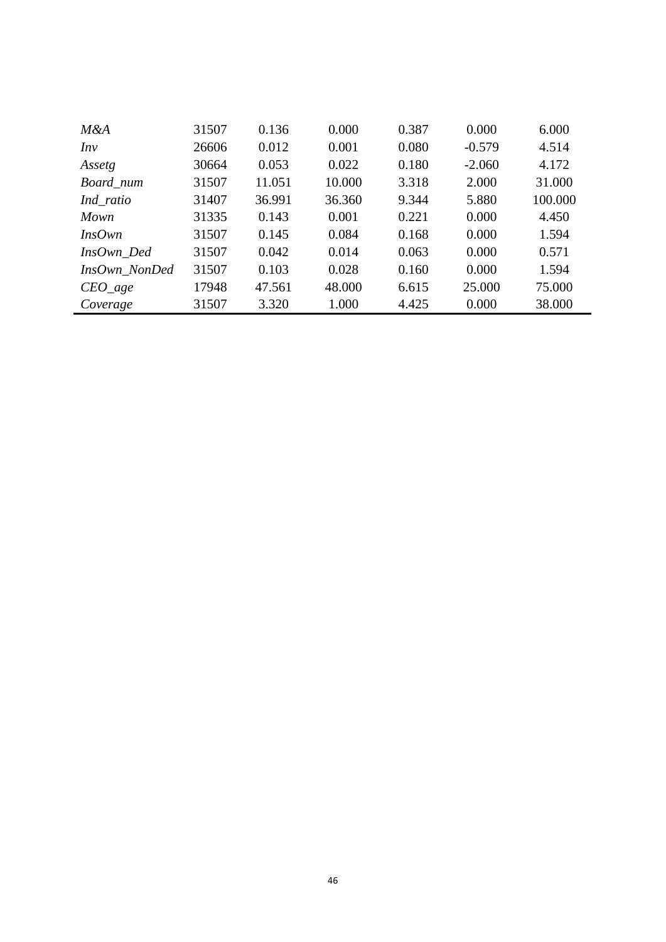| M&A           | 31507 | 0.136  | 0.000  | 0.387 | 0.000    | 6.000   |
|---------------|-------|--------|--------|-------|----------|---------|
| Inv           | 26606 | 0.012  | 0.001  | 0.080 | $-0.579$ | 4.514   |
| Assetg        | 30664 | 0.053  | 0.022  | 0.180 | $-2.060$ | 4.172   |
| Board_num     | 31507 | 11.051 | 10.000 | 3.318 | 2.000    | 31.000  |
| Ind_ratio     | 31407 | 36.991 | 36.360 | 9.344 | 5.880    | 100.000 |
| Mown          | 31335 | 0.143  | 0.001  | 0.221 | 0.000    | 4.450   |
| Ins Own       | 31507 | 0.145  | 0.084  | 0.168 | 0.000    | 1.594   |
| InsOwn_Ded    | 31507 | 0.042  | 0.014  | 0.063 | 0.000    | 0.571   |
| InsOwn NonDed | 31507 | 0.103  | 0.028  | 0.160 | 0.000    | 1.594   |
| $CEO\_age$    | 17948 | 47.561 | 48.000 | 6.615 | 25.000   | 75.000  |
| Coverage      | 31507 | 3.320  | 1.000  | 4.425 | 0.000    | 38.000  |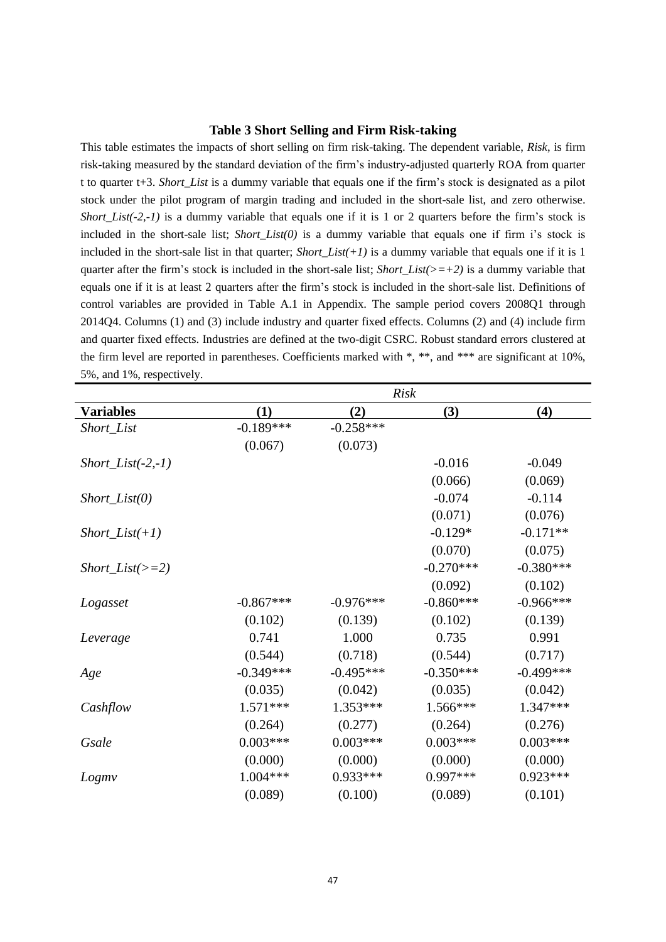#### **Table 3 Short Selling and Firm Risk-taking**

This table estimates the impacts of short selling on firm risk-taking. The dependent variable, *Risk*, is firm risk-taking measured by the standard deviation of the firm's industry-adjusted quarterly ROA from quarter t to quarter t+3. *Short\_List* is a dummy variable that equals one if the firm's stock is designated as a pilot stock under the pilot program of margin trading and included in the short-sale list, and zero otherwise. *Short\_List(-2,-1)* is a dummy variable that equals one if it is 1 or 2 quarters before the firm's stock is included in the short-sale list; *Short\_List(0)* is a dummy variable that equals one if firm i's stock is included in the short-sale list in that quarter; *Short\_List(+1)* is a dummy variable that equals one if it is 1 quarter after the firm's stock is included in the short-sale list; *Short List(>=+2)* is a dummy variable that equals one if it is at least 2 quarters after the firm's stock is included in the short-sale list. Definitions of control variables are provided in Table A.1 in Appendix. The sample period covers 2008Q1 through 2014Q4. Columns (1) and (3) include industry and quarter fixed effects. Columns (2) and (4) include firm and quarter fixed effects. Industries are defined at the two-digit CSRC. Robust standard errors clustered at the firm level are reported in parentheses. Coefficients marked with \*, \*\*, and \*\*\* are significant at 10%, 5%, and 1%, respectively.

|                      | <b>Risk</b> |             |             |             |  |
|----------------------|-------------|-------------|-------------|-------------|--|
| <b>Variables</b>     | (1)         | (2)         | (3)         | (4)         |  |
| Short_List           | $-0.189***$ | $-0.258***$ |             |             |  |
|                      | (0.067)     | (0.073)     |             |             |  |
| $Short\_List(-2,-1)$ |             |             | $-0.016$    | $-0.049$    |  |
|                      |             |             | (0.066)     | (0.069)     |  |
| $Short\_List(0)$     |             |             | $-0.074$    | $-0.114$    |  |
|                      |             |             | (0.071)     | (0.076)     |  |
| $Short\_List(+1)$    |             |             | $-0.129*$   | $-0.171**$  |  |
|                      |             |             | (0.070)     | (0.075)     |  |
| $Short\_List(\gt=2)$ |             |             | $-0.270***$ | $-0.380***$ |  |
|                      |             |             | (0.092)     | (0.102)     |  |
| Logasset             | $-0.867***$ | $-0.976***$ | $-0.860***$ | $-0.966***$ |  |
|                      | (0.102)     | (0.139)     | (0.102)     | (0.139)     |  |
| Leverage             | 0.741       | 1.000       | 0.735       | 0.991       |  |
|                      | (0.544)     | (0.718)     | (0.544)     | (0.717)     |  |
| Age                  | $-0.349***$ | $-0.495***$ | $-0.350***$ | $-0.499***$ |  |
|                      | (0.035)     | (0.042)     | (0.035)     | (0.042)     |  |
| Cashflow             | $1.571***$  | 1.353***    | 1.566***    | 1.347***    |  |
|                      | (0.264)     | (0.277)     | (0.264)     | (0.276)     |  |
| Gsale                | $0.003***$  | $0.003***$  | $0.003***$  | $0.003***$  |  |
|                      | (0.000)     | (0.000)     | (0.000)     | (0.000)     |  |
| Logmv                | $1.004***$  | $0.933***$  | $0.997***$  | $0.923***$  |  |
|                      | (0.089)     | (0.100)     | (0.089)     | (0.101)     |  |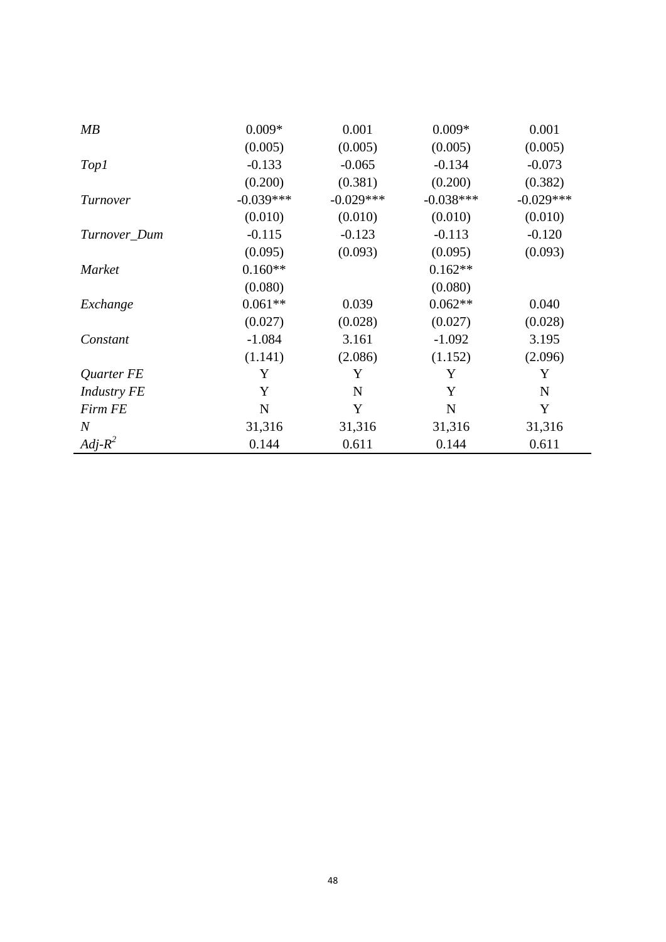| MB                 | $0.009*$    | 0.001       | $0.009*$    | 0.001       |
|--------------------|-------------|-------------|-------------|-------------|
|                    | (0.005)     | (0.005)     | (0.005)     | (0.005)     |
| Top1               | $-0.133$    | $-0.065$    | $-0.134$    | $-0.073$    |
|                    | (0.200)     | (0.381)     | (0.200)     | (0.382)     |
| Turnover           | $-0.039***$ | $-0.029***$ | $-0.038***$ | $-0.029***$ |
|                    | (0.010)     | (0.010)     | (0.010)     | (0.010)     |
| Turnover_Dum       | $-0.115$    | $-0.123$    | $-0.113$    | $-0.120$    |
|                    | (0.095)     | (0.093)     | (0.095)     | (0.093)     |
| <b>Market</b>      | $0.160**$   |             | $0.162**$   |             |
|                    | (0.080)     |             | (0.080)     |             |
| Exchange           | $0.061**$   | 0.039       | $0.062**$   | 0.040       |
|                    | (0.027)     | (0.028)     | (0.027)     | (0.028)     |
| Constant           | $-1.084$    | 3.161       | $-1.092$    | 3.195       |
|                    | (1.141)     | (2.086)     | (1.152)     | (2.096)     |
| Quarter FE         | Y           | Y           | Y           | Y           |
| <b>Industry FE</b> | Y           | N           | Y           | $\mathbf N$ |
| <b>Firm FE</b>     | $\mathbf N$ | Y           | $\mathbf N$ | Y           |
| $\boldsymbol{N}$   | 31,316      | 31,316      | 31,316      | 31,316      |
| $Adj-R^2$          | 0.144       | 0.611       | 0.144       | 0.611       |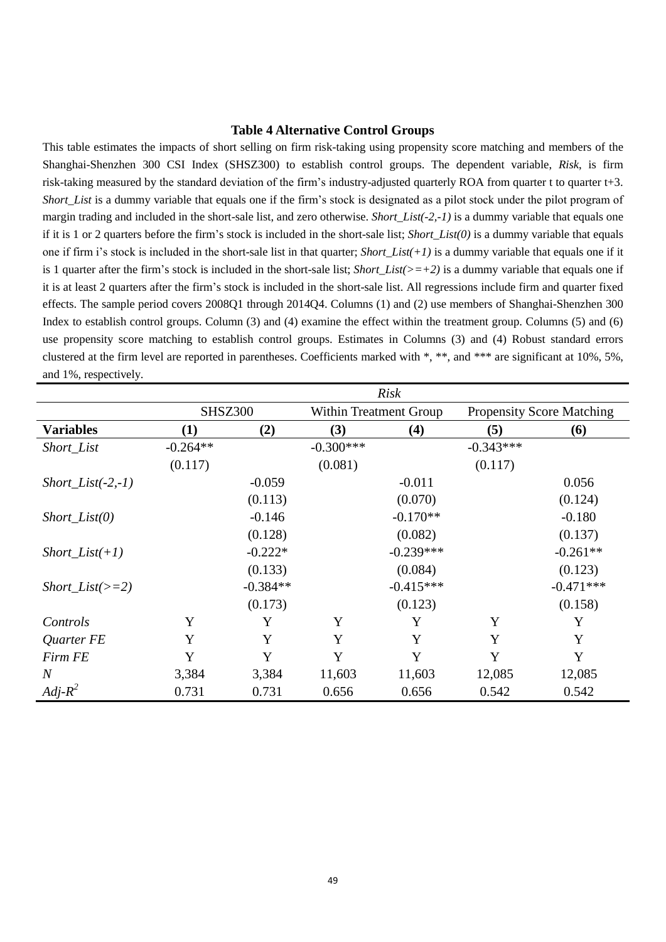#### **Table 4 Alternative Control Groups**

This table estimates the impacts of short selling on firm risk-taking using propensity score matching and members of the Shanghai-Shenzhen 300 CSI Index (SHSZ300) to establish control groups. The dependent variable, *Risk*, is firm risk-taking measured by the standard deviation of the firm's industry-adjusted quarterly ROA from quarter t to quarter t+3. *Short\_List* is a dummy variable that equals one if the firm's stock is designated as a pilot stock under the pilot program of margin trading and included in the short-sale list, and zero otherwise. *Short\_List(-2,-1)* is a dummy variable that equals one if it is 1 or 2 quarters before the firm's stock is included in the short-sale list; *Short\_List(0)* is a dummy variable that equals one if firm i's stock is included in the short-sale list in that quarter; *Short* List( $+1$ ) is a dummy variable that equals one if it is 1 quarter after the firm's stock is included in the short-sale list; *Short List(>=+2)* is a dummy variable that equals one if it is at least 2 quarters after the firm's stock is included in the short-sale list. All regressions include firm and quarter fixed effects. The sample period covers 2008Q1 through 2014Q4. Columns (1) and (2) use members of Shanghai-Shenzhen 300 Index to establish control groups. Column (3) and (4) examine the effect within the treatment group. Columns (5) and (6) use propensity score matching to establish control groups. Estimates in Columns (3) and (4) Robust standard errors clustered at the firm level are reported in parentheses. Coefficients marked with \*, \*\*, and \*\*\* are significant at 10%, 5%, and 1%, respectively.

| <b>Risk</b>          |                |            |             |                        |             |                                  |
|----------------------|----------------|------------|-------------|------------------------|-------------|----------------------------------|
|                      | <b>SHSZ300</b> |            |             | Within Treatment Group |             | <b>Propensity Score Matching</b> |
| <b>Variables</b>     | (1)            | (2)        | (3)         | (4)                    | (5)         | <b>(6)</b>                       |
| Short_List           | $-0.264**$     |            | $-0.300***$ |                        | $-0.343***$ |                                  |
|                      | (0.117)        |            | (0.081)     |                        | (0.117)     |                                  |
| $Short\_List(-2,-1)$ |                | $-0.059$   |             | $-0.011$               |             | 0.056                            |
|                      |                | (0.113)    |             | (0.070)                |             | (0.124)                          |
| $Short\_List(0)$     |                | $-0.146$   |             | $-0.170**$             |             | $-0.180$                         |
|                      |                | (0.128)    |             | (0.082)                |             | (0.137)                          |
| $Short\_List(+1)$    |                | $-0.222*$  |             | $-0.239***$            |             | $-0.261**$                       |
|                      |                | (0.133)    |             | (0.084)                |             | (0.123)                          |
| $Short\_List(\gt=2)$ |                | $-0.384**$ |             | $-0.415***$            |             | $-0.471***$                      |
|                      |                | (0.173)    |             | (0.123)                |             | (0.158)                          |
| Controls             | Y              | Y          | Y           | Y                      | Y           | Y                                |
| Quarter FE           | Y              | Y          | Y           | Y                      | Y           | Y                                |
| Firm FE              | Y              | Y          | Y           | Y                      | Y           | Y                                |
| $\overline{N}$       | 3,384          | 3,384      | 11,603      | 11,603                 | 12,085      | 12,085                           |
| $Adj-R^2$            | 0.731          | 0.731      | 0.656       | 0.656                  | 0.542       | 0.542                            |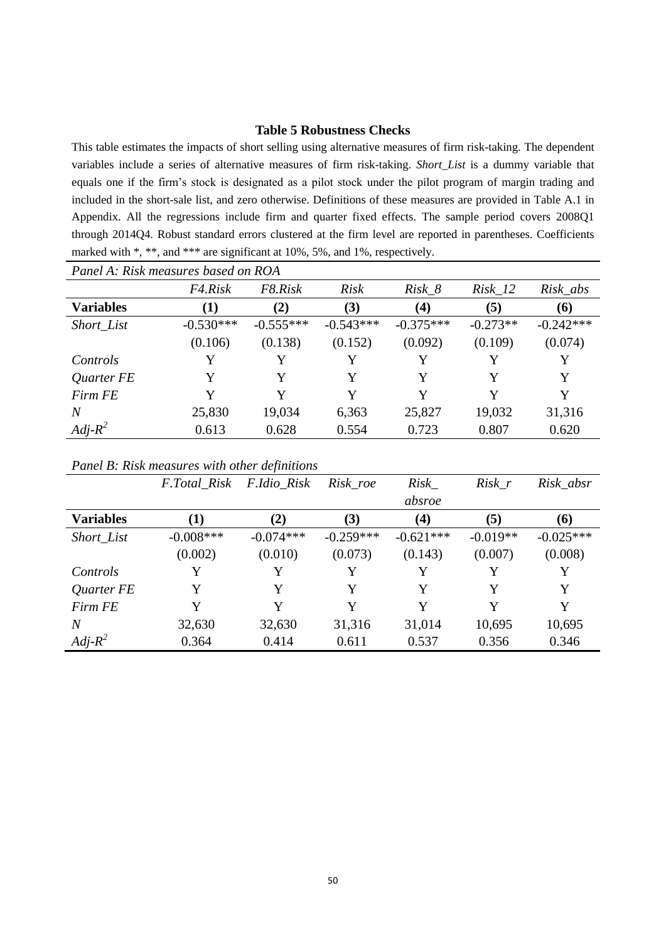# **Table 5 Robustness Checks**

This table estimates the impacts of short selling using alternative measures of firm risk-taking. The dependent variables include a series of alternative measures of firm risk-taking. *Short\_List* is a dummy variable that equals one if the firm's stock is designated as a pilot stock under the pilot program of margin trading and included in the short-sale list, and zero otherwise. Definitions of these measures are provided in Table A.1 in Appendix. All the regressions include firm and quarter fixed effects. The sample period covers 2008Q1 through 2014Q4. Robust standard errors clustered at the firm level are reported in parentheses. Coefficients marked with \*, \*\*, and \*\*\* are significant at 10%, 5%, and 1%, respectively.

| Panel A: Risk measures based on ROA |             |             |             |                   |            |             |  |  |
|-------------------------------------|-------------|-------------|-------------|-------------------|------------|-------------|--|--|
|                                     | F4.Risk     | F8.Risk     | <i>Risk</i> | $Risk_8$          | $Risk_12$  | Risk_abs    |  |  |
| <b>Variables</b>                    | (1)         | (2)         | (3)         | $\left( 4\right)$ | (5)        | <b>(6)</b>  |  |  |
| Short_List                          | $-0.530***$ | $-0.555***$ | $-0.543***$ | $-0.375***$       | $-0.273**$ | $-0.242***$ |  |  |
|                                     | (0.106)     | (0.138)     | (0.152)     | (0.092)           | (0.109)    | (0.074)     |  |  |
| Controls                            | Y           | Y           | Y           |                   |            | Y           |  |  |
| Quarter FE                          | Y           | Y           | Y           | Y                 | Y          | Y           |  |  |
| Firm FE                             | Y           | Y           | Y           | Y                 | Y          | Y           |  |  |
| N                                   | 25,830      | 19,034      | 6,363       | 25,827            | 19,032     | 31,316      |  |  |
| $Adj-R^2$                           | 0.613       | 0.628       | 0.554       | 0.723             | 0.807      | 0.620       |  |  |

|  |  | Panel B: Risk measures with other definitions |
|--|--|-----------------------------------------------|
|  |  |                                               |

|                  | F.Total Risk | F.Idio_Risk | Risk_roe    | Risk        | $Risk_r$   | Risk_absr   |
|------------------|--------------|-------------|-------------|-------------|------------|-------------|
|                  |              |             |             | absroe      |            |             |
| <b>Variables</b> | (1)          | (2)         | (3)         | (4)         | (5)        | (6)         |
| Short_List       | $-0.008$ *** | $-0.074***$ | $-0.259***$ | $-0.621***$ | $-0.019**$ | $-0.025***$ |
|                  | (0.002)      | (0.010)     | (0.073)     | (0.143)     | (0.007)    | (0.008)     |
| Controls         | Y            | Y           | Y           | Y           | Y          | Y           |
| Quarter FE       | Y            | Y           | Y           | Y           | Y          | Y           |
| Firm FE          | Y            | Y           | Y           | Y           | Y          | Y           |
| N                | 32,630       | 32,630      | 31,316      | 31,014      | 10,695     | 10,695      |
| $Adj-R^2$        | 0.364        | 0.414       | 0.611       | 0.537       | 0.356      | 0.346       |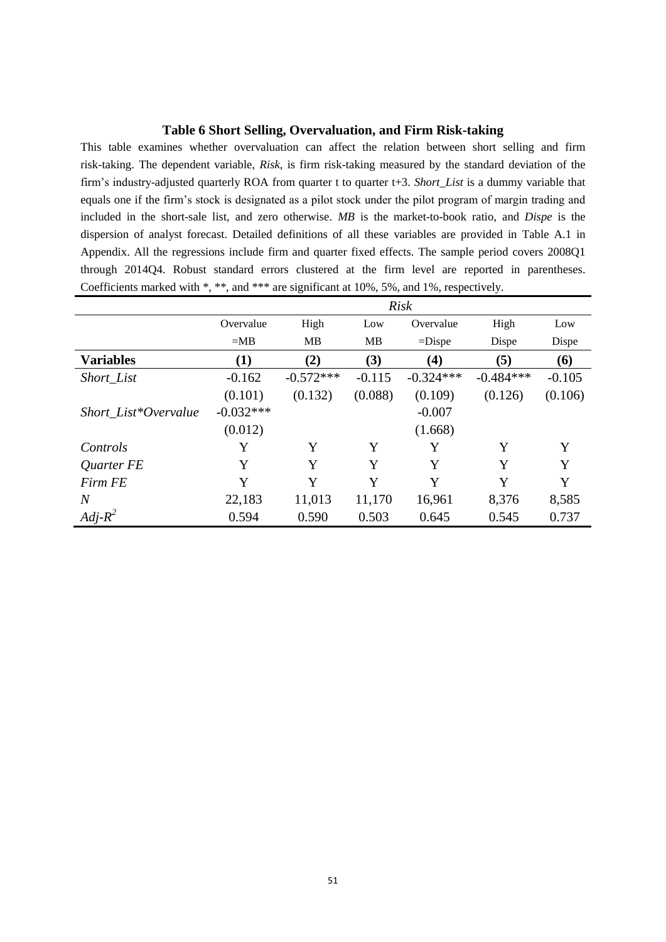# **Table 6 Short Selling, Overvaluation, and Firm Risk-taking**

This table examines whether overvaluation can affect the relation between short selling and firm risk-taking. The dependent variable, *Risk*, is firm risk-taking measured by the standard deviation of the firm's industry-adjusted quarterly ROA from quarter t to quarter t+3. *Short\_List* is a dummy variable that equals one if the firm's stock is designated as a pilot stock under the pilot program of margin trading and included in the short-sale list, and zero otherwise. *MB* is the market-to-book ratio, and *Dispe* is the dispersion of analyst forecast. Detailed definitions of all these variables are provided in Table A.1 in Appendix. All the regressions include firm and quarter fixed effects. The sample period covers 2008Q1 through 2014Q4. Robust standard errors clustered at the firm level are reported in parentheses. Coefficients marked with \*, \*\*, and \*\*\* are significant at 10%, 5%, and 1%, respectively.

|                      |             | <b>Risk</b> |          |             |             |          |  |  |  |
|----------------------|-------------|-------------|----------|-------------|-------------|----------|--|--|--|
|                      | Overvalue   | High        | Low      | Overvalue   | High        | Low      |  |  |  |
|                      | $=MB$       | MB          | MB       | $=$ Dispe   | Dispe       | Dispe    |  |  |  |
| <b>Variables</b>     | $\bf(1)$    | (2)         | (3)      | (4)         | (5)         | (6)      |  |  |  |
| Short_List           | $-0.162$    | $-0.572***$ | $-0.115$ | $-0.324***$ | $-0.484***$ | $-0.105$ |  |  |  |
|                      | (0.101)     | (0.132)     | (0.088)  | (0.109)     | (0.126)     | (0.106)  |  |  |  |
| Short List*Overvalue | $-0.032***$ |             |          | $-0.007$    |             |          |  |  |  |
|                      | (0.012)     |             |          | (1.668)     |             |          |  |  |  |
| Controls             | Y           | Y           | Y        | Y           | Y           | Y        |  |  |  |
| Quarter FE           | Y           | Y           | Y        | Y           | Y           | Y        |  |  |  |
| Firm FE              | Y           | Y           | Y        | Y           | Y           | Y        |  |  |  |
| $\overline{N}$       | 22,183      | 11,013      | 11,170   | 16,961      | 8,376       | 8,585    |  |  |  |
| $Adj-R^2$            | 0.594       | 0.590       | 0.503    | 0.645       | 0.545       | 0.737    |  |  |  |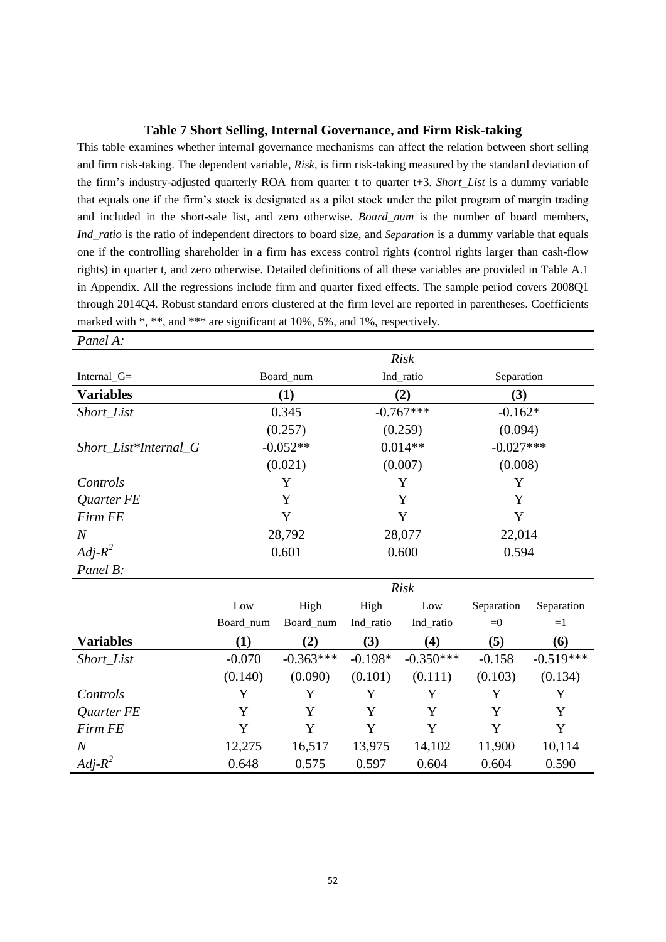#### **Table 7 Short Selling, Internal Governance, and Firm Risk-taking**

This table examines whether internal governance mechanisms can affect the relation between short selling and firm risk-taking. The dependent variable, *Risk*, is firm risk-taking measured by the standard deviation of the firm's industry-adjusted quarterly ROA from quarter t to quarter t+3. *Short\_List* is a dummy variable that equals one if the firm's stock is designated as a pilot stock under the pilot program of margin trading and included in the short-sale list, and zero otherwise. *Board\_num* is the number of board members, *Ind\_ratio* is the ratio of independent directors to board size, and *Separation* is a dummy variable that equals one if the controlling shareholder in a firm has excess control rights (control rights larger than cash-flow rights) in quarter t, and zero otherwise. Detailed definitions of all these variables are provided in Table A.1 in Appendix. All the regressions include firm and quarter fixed effects. The sample period covers 2008Q1 through 2014Q4. Robust standard errors clustered at the firm level are reported in parentheses. Coefficients marked with \*, \*\*, and \*\*\* are significant at 10%, 5%, and 1%, respectively.

| Panel A:               |            |             |             |  |
|------------------------|------------|-------------|-------------|--|
|                        |            | <b>Risk</b> |             |  |
| Internal <sub>G=</sub> | Board_num  | Ind_ratio   | Separation  |  |
| <b>Variables</b>       | $\bf(1)$   | (2)         | (3)         |  |
| Short_List             | 0.345      | $-0.767***$ | $-0.162*$   |  |
|                        | (0.257)    | (0.259)     | (0.094)     |  |
| Short_List*Internal_G  | $-0.052**$ | $0.014**$   | $-0.027***$ |  |
|                        | (0.021)    | (0.007)     | (0.008)     |  |
| Controls               | Y          | Y           | Y           |  |
| Quarter FE             | Y          | Y           | Y           |  |
| Firm FE                | Y          | Y           | Y           |  |
| $\overline{N}$         | 28,792     | 28,077      | 22,014      |  |
| $Adj-R^2$              | 0.601      | 0.600       | 0.594       |  |
| Panel B:               |            |             |             |  |

|                  | <b>Risk</b> |             |           |             |            |             |  |  |
|------------------|-------------|-------------|-----------|-------------|------------|-------------|--|--|
|                  | Low         | High        | High      | Low         | Separation | Separation  |  |  |
|                  | Board_num   | Board num   | Ind_ratio | Ind_ratio   | $= 0$      | $=1$        |  |  |
| <b>Variables</b> | $\bf(1)$    | (2)         | (3)       | (4)         | (5)        | (6)         |  |  |
| Short_List       | $-0.070$    | $-0.363***$ | $-0.198*$ | $-0.350***$ | $-0.158$   | $-0.519***$ |  |  |
|                  | (0.140)     | (0.090)     | (0.101)   | (0.111)     | (0.103)    | (0.134)     |  |  |
| Controls         | Y           | Y           | Y         | Y           | Y          | Y           |  |  |
| Quarter FE       | Y           | Y           | Y         | Y           | Y          | Y           |  |  |
| Firm FE          | Y           | Y           | Y         | Y           | Y          | Y           |  |  |
| $\overline{N}$   | 12,275      | 16,517      | 13,975    | 14,102      | 11,900     | 10,114      |  |  |
| $Adj-R^2$        | 0.648       | 0.575       | 0.597     | 0.604       | 0.604      | 0.590       |  |  |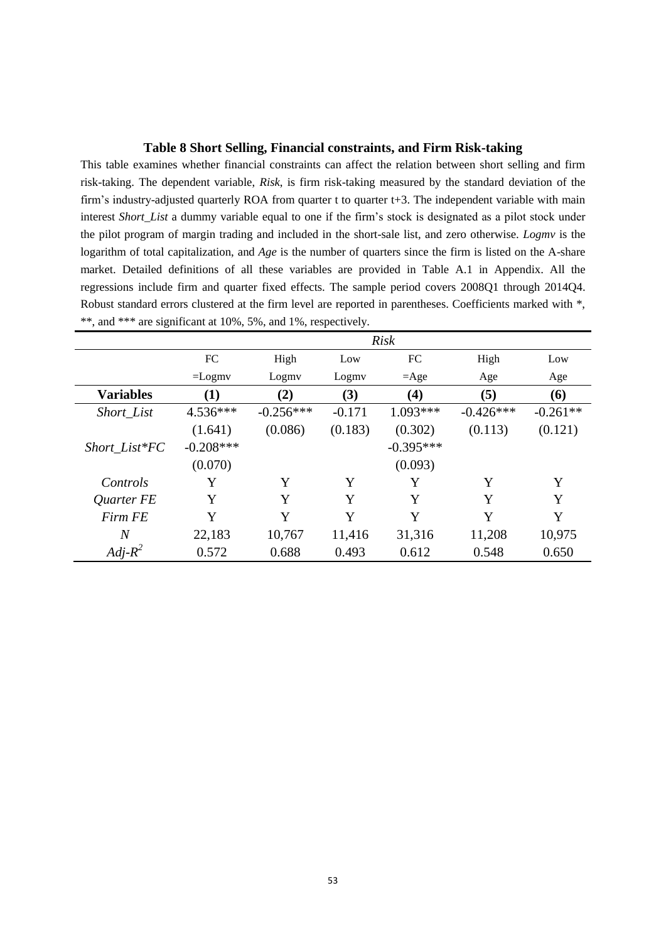### **Table 8 Short Selling, Financial constraints, and Firm Risk-taking**

This table examines whether financial constraints can affect the relation between short selling and firm risk-taking. The dependent variable, *Risk*, is firm risk-taking measured by the standard deviation of the firm's industry-adjusted quarterly ROA from quarter  $t$  to quarter  $t+3$ . The independent variable with main interest *Short\_List* a dummy variable equal to one if the firm's stock is designated as a pilot stock under the pilot program of margin trading and included in the short-sale list, and zero otherwise. *Logmv* is the logarithm of total capitalization, and *Age* is the number of quarters since the firm is listed on the A-share market. Detailed definitions of all these variables are provided in Table A.1 in Appendix. All the regressions include firm and quarter fixed effects. The sample period covers 2008Q1 through 2014Q4. Robust standard errors clustered at the firm level are reported in parentheses. Coefficients marked with \*, \*\*, and \*\*\* are significant at 10%, 5%, and 1%, respectively.

|                  |             | <b>Risk</b> |          |                   |             |            |  |  |
|------------------|-------------|-------------|----------|-------------------|-------------|------------|--|--|
|                  | FC          | High        | Low      | FC                | High        | Low        |  |  |
|                  | $=$ Logmv   | Logmy       | Logmy    | $=$ Age           | Age         | Age        |  |  |
| <b>Variables</b> | $\bf(1)$    | (2)         | (3)      | $\left( 4\right)$ | (5)         | (6)        |  |  |
| Short_List       | $4.536***$  | $-0.256***$ | $-0.171$ | 1.093***          | $-0.426***$ | $-0.261**$ |  |  |
|                  | (1.641)     | (0.086)     | (0.183)  | (0.302)           | (0.113)     | (0.121)    |  |  |
| $Short\_List*FC$ | $-0.208***$ |             |          | $-0.395***$       |             |            |  |  |
|                  | (0.070)     |             |          | (0.093)           |             |            |  |  |
| Controls         | Y           | Y           | Y        | Y                 | Y           | Y          |  |  |
| Quarter FE       | Y           | Y           | Y        | Y                 | Y           | Y          |  |  |
| <b>Firm FE</b>   | Y           | Y           | Y        | Y                 | Y           | Y          |  |  |
| $\overline{N}$   | 22,183      | 10,767      | 11,416   | 31,316            | 11,208      | 10,975     |  |  |
| $Adj-R^2$        | 0.572       | 0.688       | 0.493    | 0.612             | 0.548       | 0.650      |  |  |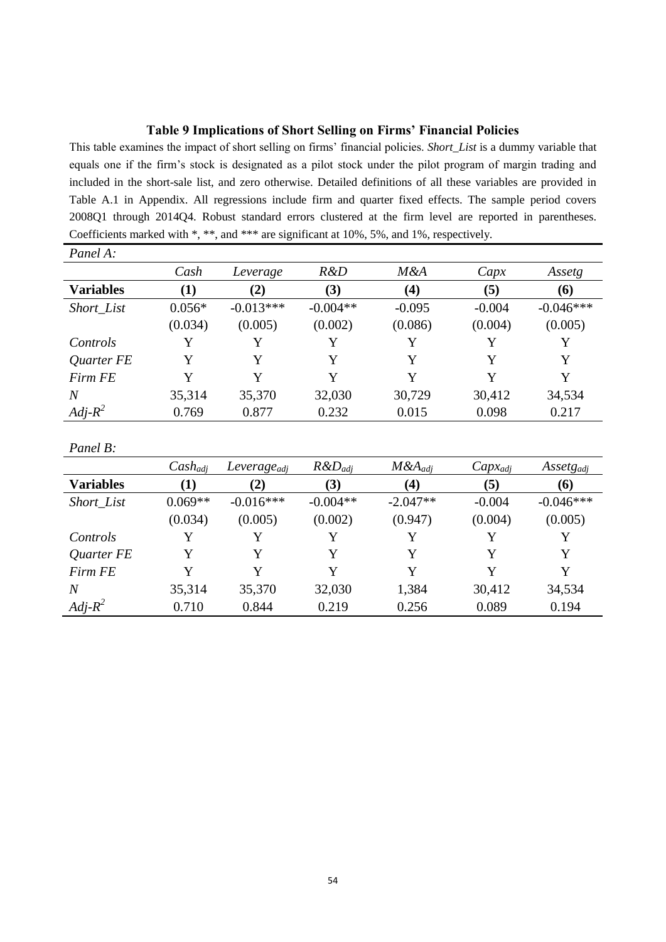# **Table 9 Implications of Short Selling on Firms' Financial Policies**

This table examines the impact of short selling on firms' financial policies. *Short\_List* is a dummy variable that equals one if the firm's stock is designated as a pilot stock under the pilot program of margin trading and included in the short-sale list, and zero otherwise. Detailed definitions of all these variables are provided in Table A.1 in Appendix. All regressions include firm and quarter fixed effects. The sample period covers 2008Q1 through 2014Q4. Robust standard errors clustered at the firm level are reported in parentheses. Coefficients marked with \*, \*\*, and \*\*\* are significant at 10%, 5%, and 1%, respectively.

| Panel A:         |              |                         |              |              |              |                    |
|------------------|--------------|-------------------------|--------------|--------------|--------------|--------------------|
|                  | Cash         | Leverage                | R&D          | M&A          | Capx         | Assetg             |
| <b>Variables</b> | (1)          | (2)                     | (3)          | (4)          | (5)          | (6)                |
| Short_List       | $0.056*$     | $-0.013***$             | $-0.004**$   | $-0.095$     | $-0.004$     | $-0.046***$        |
|                  | (0.034)      | (0.005)                 | (0.002)      | (0.086)      | (0.004)      | (0.005)            |
| Controls         | Y            | Y                       | Y            | Y            | Y            | Y                  |
| Quarter FE       | Y            | Y                       | Y            | Y            | Y            | Y                  |
| <b>Firm FE</b>   | Y            | Y                       | Y            | Y            | Y            | Y                  |
| $\boldsymbol{N}$ | 35,314       | 35,370                  | 32,030       | 30,729       | 30,412       | 34,534             |
| $Adj-R^2$        | 0.769        | 0.877                   | 0.232        | 0.015        | 0.098        | 0.217              |
|                  |              |                         |              |              |              |                    |
| Panel B:         |              |                         |              |              |              |                    |
|                  | $Cash_{adj}$ | Leverage <sub>adj</sub> | $R\&D_{adj}$ | $M\&A_{adj}$ | $Capx_{adj}$ | $\it Assetg_{adj}$ |
| <b>Variables</b> | (1)          | (2)                     | (3)          | (4)          | (5)          | (6)                |
| Short_List       | $0.069**$    | $-0.016***$             | $-0.004**$   | $-2.047**$   | $-0.004$     | $-0.046***$        |
|                  | (0.034)      | (0.005)                 | (0.002)      | (0.947)      | (0.004)      | (0.005)            |
| Controls         | Y            | Y                       | Y            | Y            | Y            | Y                  |
| Quarter FE       | Y            | Y                       | Y            | Y            | Y            | Y                  |
| Firm FE          | Y            | Y                       | Y            | Y            | Y            | Y                  |
| $\boldsymbol{N}$ | 35,314       | 35,370                  | 32,030       | 1,384        | 30,412       | 34,534             |
| $Adj-R^2$        | 0.710        | 0.844                   | 0.219        | 0.256        | 0.089        | 0.194              |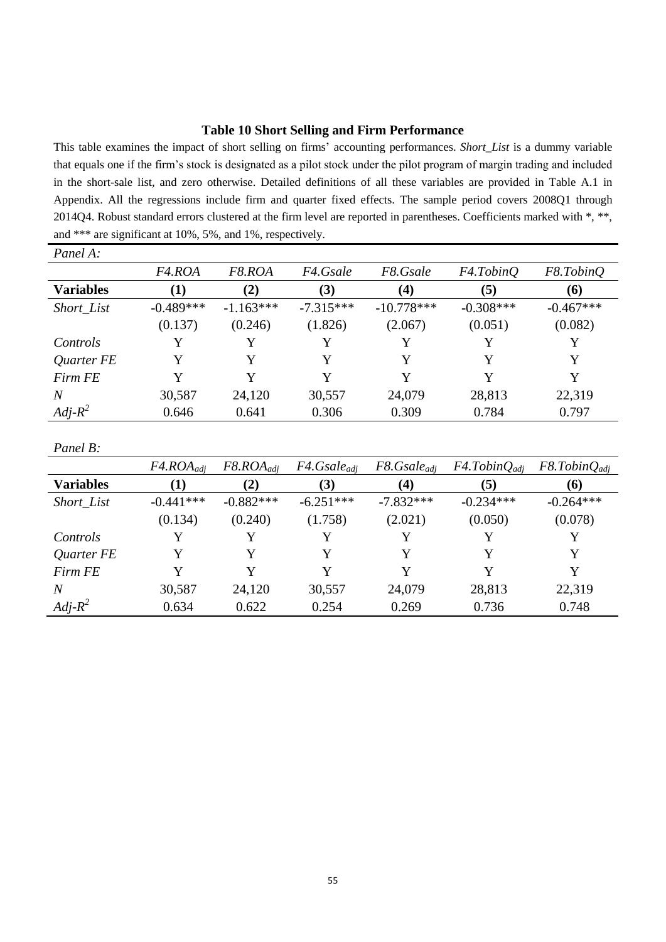# **Table 10 Short Selling and Firm Performance**

This table examines the impact of short selling on firms' accounting performances. *Short\_List* is a dummy variable that equals one if the firm's stock is designated as a pilot stock under the pilot program of margin trading and included in the short-sale list, and zero otherwise. Detailed definitions of all these variables are provided in Table A.1 in Appendix. All the regressions include firm and quarter fixed effects. The sample period covers 2008Q1 through 2014Q4. Robust standard errors clustered at the firm level are reported in parentheses. Coefficients marked with \*, \*\*, and \*\*\* are significant at 10%, 5%, and 1%, respectively.

| Panel A:         |                     |                |                  |                  |                       |                    |
|------------------|---------------------|----------------|------------------|------------------|-----------------------|--------------------|
|                  | F <sub>4</sub> .ROA | F8.ROA         | F4.Gsale         | F8.Gsale         | F4.TobinQ             | F8.TobinQ          |
| <b>Variables</b> | (1)                 | (2)            | (3)              | (4)              | (5)                   | (6)                |
| Short_List       | $-0.489***$         | $-1.163***$    | $-7.315***$      | $-10.778***$     | $-0.308***$           | $-0.467***$        |
|                  | (0.137)             | (0.246)        | (1.826)          | (2.067)          | (0.051)               | (0.082)            |
| Controls         | Y                   | Y              | Y                | Y                | Y                     | Y                  |
| Quarter FE       | Y                   | Y              | Y                | Y                | Y                     | Y                  |
| Firm FE          | Y                   | Y              | Y                | Y                | Y                     | Y                  |
| $\boldsymbol{N}$ | 30,587              | 24,120         | 30,557           | 24,079           | 28,813                | 22,319             |
| $Adj-R^2$        | 0.646               | 0.641          | 0.306            | 0.309            | 0.784                 | 0.797              |
|                  |                     |                |                  |                  |                       |                    |
| Panel B:         |                     |                |                  |                  |                       |                    |
|                  | $F4.ROA_{adj}$      | $F8.ROA_{adi}$ | $F4.Gsale_{adj}$ | $F8.Gsale_{adj}$ | $F4.$ Tobin $Q_{adj}$ | $F8. TobinQ_{adj}$ |
| <b>Variables</b> | (1)                 | (2)            | (3)              | (4)              | (5)                   | (6)                |
| Short_List       | $-0.441***$         | $-0.882***$    | $-6.251***$      | $-7.832***$      | $-0.234***$           | $-0.264***$        |
|                  | (0.134)             | (0.240)        | (1.758)          | (2.021)          | (0.050)               | (0.078)            |
| Controls         | Y                   | Y              | Y                | Y                | Y                     | Y                  |
| Quarter FE       | Y                   | Y              | Y                | Y                | Y                     | Y                  |
| Firm FE          | Y                   | Y              | Y                | Y                | Y                     | Y                  |
| $\overline{N}$   | 30,587              | 24,120         | 30,557           | 24,079           | 28,813                | 22,319             |
| $Adj-R^2$        | 0.634               | 0.622          | 0.254            | 0.269            | 0.736                 | 0.748              |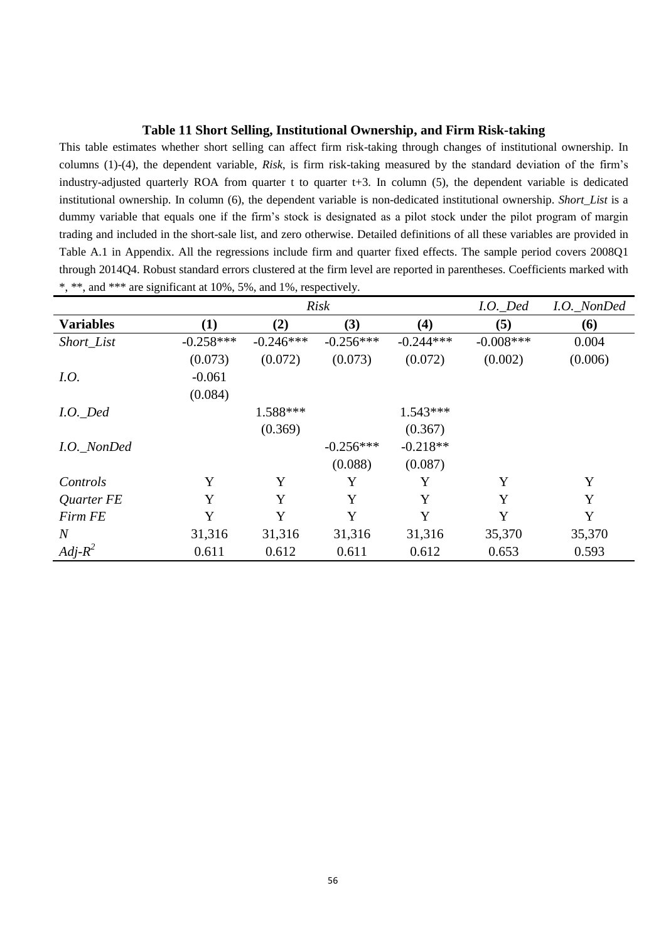# **Table 11 Short Selling, Institutional Ownership, and Firm Risk-taking**

This table estimates whether short selling can affect firm risk-taking through changes of institutional ownership. In columns (1)-(4), the dependent variable, *Risk*, is firm risk-taking measured by the standard deviation of the firm's industry-adjusted quarterly ROA from quarter t to quarter  $t+3$ . In column  $(5)$ , the dependent variable is dedicated institutional ownership. In column (6), the dependent variable is non-dedicated institutional ownership. *Short\_List* is a dummy variable that equals one if the firm's stock is designated as a pilot stock under the pilot program of margin trading and included in the short-sale list, and zero otherwise. Detailed definitions of all these variables are provided in Table A.1 in Appendix. All the regressions include firm and quarter fixed effects. The sample period covers 2008Q1 through 2014Q4. Robust standard errors clustered at the firm level are reported in parentheses. Coefficients marked with \*, \*\*, and \*\*\* are significant at 10%, 5%, and 1%, respectively.

| <b>Risk</b>      |             |             |             |             | $I.O.$ Ded   | I.O._NonDed |
|------------------|-------------|-------------|-------------|-------------|--------------|-------------|
| <b>Variables</b> | (1)         | (2)         | (3)         | (4)         | (5)          | (6)         |
| Short_List       | $-0.258***$ | $-0.246***$ | $-0.256***$ | $-0.244***$ | $-0.008$ *** | 0.004       |
|                  | (0.073)     | (0.072)     | (0.073)     | (0.072)     | (0.002)      | (0.006)     |
| I.O.             | $-0.061$    |             |             |             |              |             |
|                  | (0.084)     |             |             |             |              |             |
| $I.O.$ Ded       |             | 1.588***    |             | $1.543***$  |              |             |
|                  |             | (0.369)     |             | (0.367)     |              |             |
| I.O._NonDed      |             |             | $-0.256***$ | $-0.218**$  |              |             |
|                  |             |             | (0.088)     | (0.087)     |              |             |
| Controls         | Y           | Y           | Y           | Y           | Y            | Y           |
| Quarter FE       | Y           | Y           | Y           | Y           | Y            | Y           |
| Firm FE          | Y           | Y           | Y           | Y           | Y            | Y           |
| $\overline{N}$   | 31,316      | 31,316      | 31,316      | 31,316      | 35,370       | 35,370      |
| $Adj-R^2$        | 0.611       | 0.612       | 0.611       | 0.612       | 0.653        | 0.593       |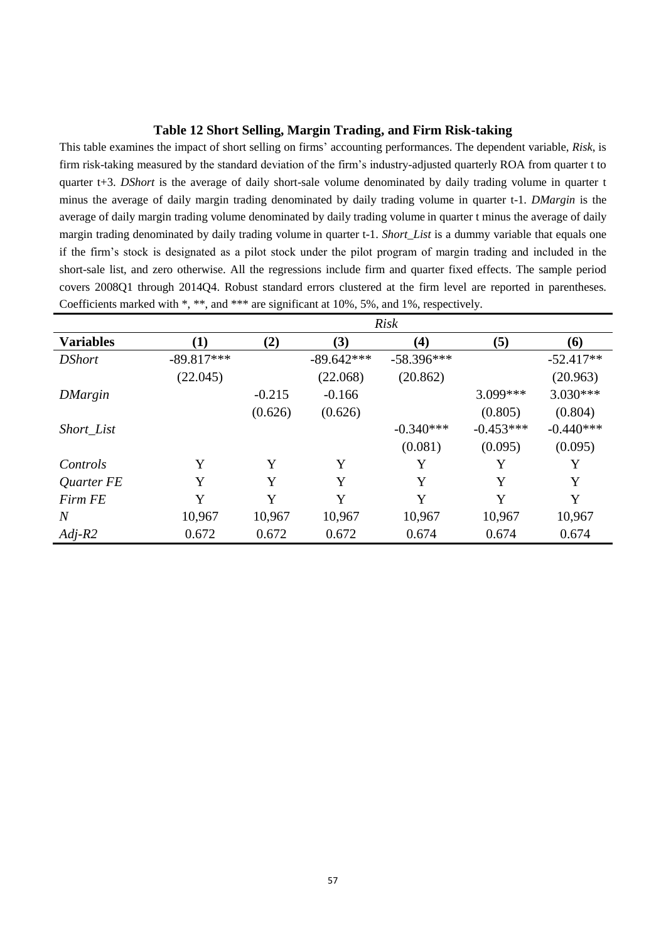# **Table 12 Short Selling, Margin Trading, and Firm Risk-taking**

This table examines the impact of short selling on firms' accounting performances. The dependent variable, *Risk*, is firm risk-taking measured by the standard deviation of the firm's industry-adjusted quarterly ROA from quarter t to quarter t+3. *DShort* is the average of daily short-sale volume denominated by daily trading volume in quarter t minus the average of daily margin trading denominated by daily trading volume in quarter t-1. *DMargin* is the average of daily margin trading volume denominated by daily trading volume in quarter t minus the average of daily margin trading denominated by daily trading volume in quarter t-1. *Short\_List* is a dummy variable that equals one if the firm's stock is designated as a pilot stock under the pilot program of margin trading and included in the short-sale list, and zero otherwise. All the regressions include firm and quarter fixed effects. The sample period covers 2008Q1 through 2014Q4. Robust standard errors clustered at the firm level are reported in parentheses. Coefficients marked with \*, \*\*, and \*\*\* are significant at 10%, 5%, and 1%, respectively.

|                  | <b>Risk</b>  |          |              |              |             |             |
|------------------|--------------|----------|--------------|--------------|-------------|-------------|
| <b>Variables</b> | $\bf{(1)}$   | (2)      | (3)          | (4)          | (5)         | (6)         |
| <b>DShort</b>    | $-89.817***$ |          | $-89.642***$ | $-58.396***$ |             | $-52.417**$ |
|                  | (22.045)     |          | (22.068)     | (20.862)     |             | (20.963)    |
| <b>DMargin</b>   |              | $-0.215$ | $-0.166$     |              | 3.099***    | $3.030***$  |
|                  |              | (0.626)  | (0.626)      |              | (0.805)     | (0.804)     |
| Short_List       |              |          |              | $-0.340***$  | $-0.453***$ | $-0.440***$ |
|                  |              |          |              | (0.081)      | (0.095)     | (0.095)     |
| Controls         | Y            | Y        | Y            | Y            | Y           | Y           |
| Quarter FE       | Y            | Y        | Y            | Y            | Y           | Y           |
| Firm FE          | Y            | Y        | Y            | Y            | Y           | Y           |
| N                | 10,967       | 10,967   | 10,967       | 10,967       | 10,967      | 10,967      |
| $Adj-R2$         | 0.672        | 0.672    | 0.672        | 0.674        | 0.674       | 0.674       |